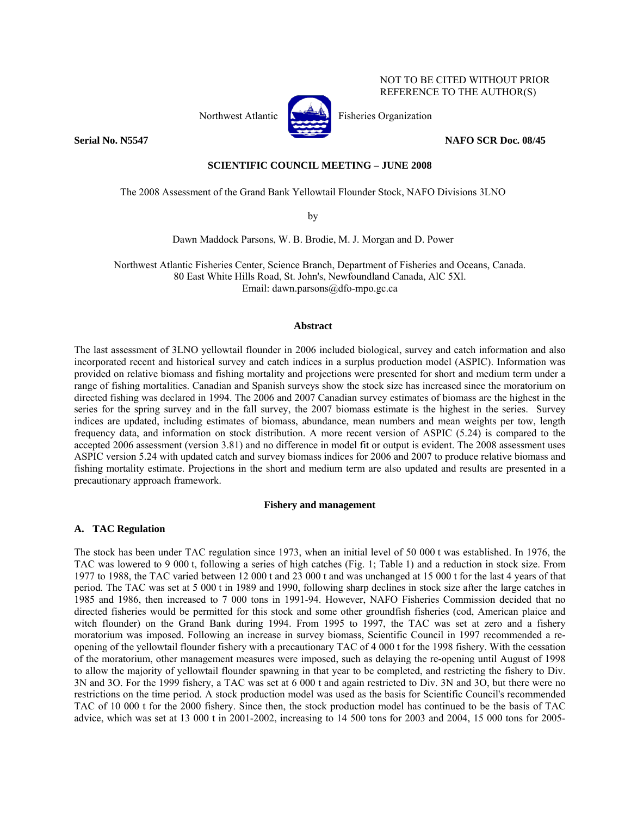Northwest Atlantic **Fisheries** *Fisheries Organization* 



NOT TO BE CITED WITHOUT PRIOR REFERENCE TO THE AUTHOR(S)

**Serial No. N5547 NAFO SCR Doc. 08/45** 

# **SCIENTIFIC COUNCIL MEETING – JUNE 2008**

The 2008 Assessment of the Grand Bank Yellowtail Flounder Stock, NAFO Divisions 3LNO

by

Dawn Maddock Parsons, W. B. Brodie, M. J. Morgan and D. Power

Northwest Atlantic Fisheries Center, Science Branch, Department of Fisheries and Oceans, Canada. 80 East White Hills Road, St. John's, Newfoundland Canada, AlC 5Xl. Email: dawn.parsons@dfo-mpo.gc.ca

### **Abstract**

The last assessment of 3LNO yellowtail flounder in 2006 included biological, survey and catch information and also incorporated recent and historical survey and catch indices in a surplus production model (ASPIC). Information was provided on relative biomass and fishing mortality and projections were presented for short and medium term under a range of fishing mortalities. Canadian and Spanish surveys show the stock size has increased since the moratorium on directed fishing was declared in 1994. The 2006 and 2007 Canadian survey estimates of biomass are the highest in the series for the spring survey and in the fall survey, the 2007 biomass estimate is the highest in the series. Survey indices are updated, including estimates of biomass, abundance, mean numbers and mean weights per tow, length frequency data, and information on stock distribution. A more recent version of ASPIC (5.24) is compared to the accepted 2006 assessment (version 3.81) and no difference in model fit or output is evident. The 2008 assessment uses ASPIC version 5.24 with updated catch and survey biomass indices for 2006 and 2007 to produce relative biomass and fishing mortality estimate. Projections in the short and medium term are also updated and results are presented in a precautionary approach framework.

## **Fishery and management**

## **A. TAC Regulation**

The stock has been under TAC regulation since 1973, when an initial level of 50 000 t was established. In 1976, the TAC was lowered to 9 000 t, following a series of high catches (Fig. 1; Table 1) and a reduction in stock size. From 1977 to 1988, the TAC varied between 12 000 t and 23 000 t and was unchanged at 15 000 t for the last 4 years of that period. The TAC was set at 5 000 t in 1989 and 1990, following sharp declines in stock size after the large catches in 1985 and 1986, then increased to 7 000 tons in 1991-94. However, NAFO Fisheries Commission decided that no directed fisheries would be permitted for this stock and some other groundfish fisheries (cod, American plaice and witch flounder) on the Grand Bank during 1994. From 1995 to 1997, the TAC was set at zero and a fishery moratorium was imposed. Following an increase in survey biomass, Scientific Council in 1997 recommended a reopening of the yellowtail flounder fishery with a precautionary TAC of 4 000 t for the 1998 fishery. With the cessation of the moratorium, other management measures were imposed, such as delaying the re-opening until August of 1998 to allow the majority of yellowtail flounder spawning in that year to be completed, and restricting the fishery to Div. 3N and 3O. For the 1999 fishery, a TAC was set at 6 000 t and again restricted to Div. 3N and 3O, but there were no restrictions on the time period. A stock production model was used as the basis for Scientific Council's recommended TAC of 10 000 t for the 2000 fishery. Since then, the stock production model has continued to be the basis of TAC advice, which was set at 13 000 t in 2001-2002, increasing to 14 500 tons for 2003 and 2004, 15 000 tons for 2005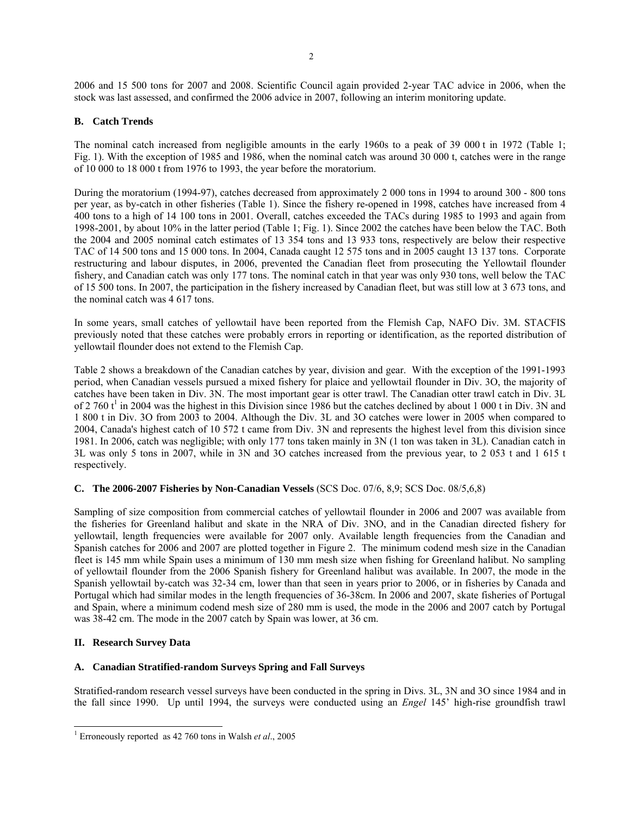2006 and 15 500 tons for 2007 and 2008. Scientific Council again provided 2-year TAC advice in 2006, when the stock was last assessed, and confirmed the 2006 advice in 2007, following an interim monitoring update.

# **B. Catch Trends**

The nominal catch increased from negligible amounts in the early 1960s to a peak of 39 000 t in 1972 (Table 1; Fig. 1). With the exception of 1985 and 1986, when the nominal catch was around 30 000 t, catches were in the range of 10 000 to 18 000 t from 1976 to 1993, the year before the moratorium.

During the moratorium (1994-97), catches decreased from approximately 2 000 tons in 1994 to around 300 - 800 tons per year, as by-catch in other fisheries (Table 1). Since the fishery re-opened in 1998, catches have increased from 4 400 tons to a high of 14 100 tons in 2001. Overall, catches exceeded the TACs during 1985 to 1993 and again from 1998-2001, by about 10% in the latter period (Table 1; Fig. 1). Since 2002 the catches have been below the TAC. Both the 2004 and 2005 nominal catch estimates of 13 354 tons and 13 933 tons, respectively are below their respective TAC of 14 500 tons and 15 000 tons. In 2004, Canada caught 12 575 tons and in 2005 caught 13 137 tons. Corporate restructuring and labour disputes, in 2006, prevented the Canadian fleet from prosecuting the Yellowtail flounder fishery, and Canadian catch was only 177 tons. The nominal catch in that year was only 930 tons, well below the TAC of 15 500 tons. In 2007, the participation in the fishery increased by Canadian fleet, but was still low at 3 673 tons, and the nominal catch was 4 617 tons.

In some years, small catches of yellowtail have been reported from the Flemish Cap, NAFO Div. 3M. STACFIS previously noted that these catches were probably errors in reporting or identification, as the reported distribution of yellowtail flounder does not extend to the Flemish Cap.

Table 2 shows a breakdown of the Canadian catches by year, division and gear. With the exception of the 1991-1993 period, when Canadian vessels pursued a mixed fishery for plaice and yellowtail flounder in Div. 3O, the majority of catches have been taken in Div. 3N. The most important gear is otter trawl. The Canadian otter trawl catch in Div. 3L of 2 760  $t^1$  in 2004 was the highest in this Division since 1986 but the catches declined by about 1 000 t in Div. 3N and 1 800 t in Div. 3O from 2003 to 2004. Although the Div. 3L and 3O catches were lower in 2005 when compared to 2004, Canada's highest catch of 10 572 t came from Div. 3N and represents the highest level from this division since 1981. In 2006, catch was negligible; with only 177 tons taken mainly in 3N (1 ton was taken in 3L). Canadian catch in 3L was only 5 tons in 2007, while in 3N and 3O catches increased from the previous year, to 2 053 t and 1 615 t respectively.

# **C. The 2006-2007 Fisheries by Non-Canadian Vessels** (SCS Doc. 07/6, 8,9; SCS Doc. 08/5,6,8)

Sampling of size composition from commercial catches of yellowtail flounder in 2006 and 2007 was available from the fisheries for Greenland halibut and skate in the NRA of Div. 3NO, and in the Canadian directed fishery for yellowtail, length frequencies were available for 2007 only. Available length frequencies from the Canadian and Spanish catches for 2006 and 2007 are plotted together in Figure 2. The minimum codend mesh size in the Canadian fleet is 145 mm while Spain uses a minimum of 130 mm mesh size when fishing for Greenland halibut. No sampling of yellowtail flounder from the 2006 Spanish fishery for Greenland halibut was available. In 2007, the mode in the Spanish yellowtail by-catch was 32-34 cm, lower than that seen in years prior to 2006, or in fisheries by Canada and Portugal which had similar modes in the length frequencies of 36-38cm. In 2006 and 2007, skate fisheries of Portugal and Spain, where a minimum codend mesh size of 280 mm is used, the mode in the 2006 and 2007 catch by Portugal was 38-42 cm. The mode in the 2007 catch by Spain was lower, at 36 cm.

## **II. Research Survey Data**

# **A. Canadian Stratified-random Surveys Spring and Fall Surveys**

Stratified-random research vessel surveys have been conducted in the spring in Divs. 3L, 3N and 3O since 1984 and in the fall since 1990. Up until 1994, the surveys were conducted using an *Engel* 145' high-rise groundfish trawl

 1 Erroneously reported as 42 760 tons in Walsh *et al*., 2005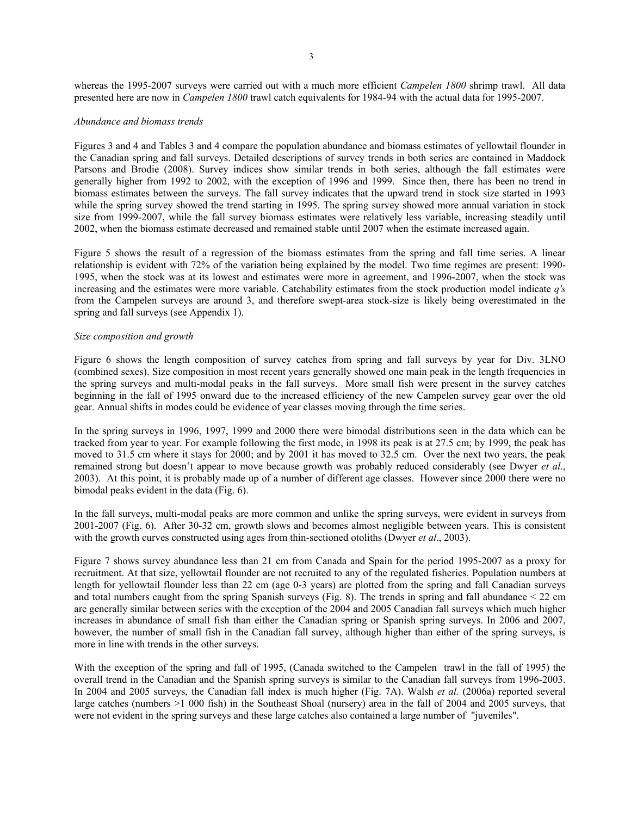whereas the 1995-2007 surveys were carried out with a much more efficient *Campelen 1800* shrimp trawl. All data presented here are now in *Campelen 1800* trawl catch equivalents for 1984-94 with the actual data for 1995-2007.

### *Abundance and biomass trends*

Figures 3 and 4 and Tables 3 and 4 compare the population abundance and biomass estimates of yellowtail flounder in the Canadian spring and fall surveys. Detailed descriptions of survey trends in both series are contained in Maddock Parsons and Brodie (2008). Survey indices show similar trends in both series, although the fall estimates were generally higher from 1992 to 2002, with the exception of 1996 and 1999. Since then, there has been no trend in biomass estimates between the surveys. The fall survey indicates that the upward trend in stock size started in 1993 while the spring survey showed the trend starting in 1995. The spring survey showed more annual variation in stock size from 1999-2007, while the fall survey biomass estimates were relatively less variable, increasing steadily until 2002, when the biomass estimate decreased and remained stable until 2007 when the estimate increased again.

Figure 5 shows the result of a regression of the biomass estimates from the spring and fall time series. A linear relationship is evident with 72% of the variation being explained by the model. Two time regimes are present: 1990- 1995, when the stock was at its lowest and estimates were more in agreement, and 1996-2007, when the stock was increasing and the estimates were more variable. Catchability estimates from the stock production model indicate *q's* from the Campelen surveys are around 3, and therefore swept-area stock-size is likely being overestimated in the spring and fall surveys (see Appendix 1).

### *Size composition and growth*

Figure 6 shows the length composition of survey catches from spring and fall surveys by year for Div. 3LNO (combined sexes). Size composition in most recent years generally showed one main peak in the length frequencies in the spring surveys and multi-modal peaks in the fall surveys. More small fish were present in the survey catches beginning in the fall of 1995 onward due to the increased efficiency of the new Campelen survey gear over the old gear. Annual shifts in modes could be evidence of year classes moving through the time series.

In the spring surveys in 1996, 1997, 1999 and 2000 there were bimodal distributions seen in the data which can be tracked from year to year. For example following the first mode, in 1998 its peak is at 27.5 cm; by 1999, the peak has moved to 31.5 cm where it stays for 2000; and by 2001 it has moved to 32.5 cm. Over the next two years, the peak remained strong but doesn't appear to move because growth was probably reduced considerably (see Dwyer *et al*., 2003). At this point, it is probably made up of a number of different age classes. However since 2000 there were no bimodal peaks evident in the data (Fig. 6).

In the fall surveys, multi-modal peaks are more common and unlike the spring surveys, were evident in surveys from 2001-2007 (Fig. 6). After 30-32 cm, growth slows and becomes almost negligible between years. This is consistent with the growth curves constructed using ages from thin-sectioned otoliths (Dwyer *et al*., 2003).

Figure 7 shows survey abundance less than 21 cm from Canada and Spain for the period 1995-2007 as a proxy for recruitment. At that size, yellowtail flounder are not recruited to any of the regulated fisheries. Population numbers at length for yellowtail flounder less than 22 cm (age 0-3 years) are plotted from the spring and fall Canadian surveys and total numbers caught from the spring Spanish surveys (Fig. 8). The trends in spring and fall abundance  $\leq$  22 cm are generally similar between series with the exception of the 2004 and 2005 Canadian fall surveys which much higher increases in abundance of small fish than either the Canadian spring or Spanish spring surveys. In 2006 and 2007, however, the number of small fish in the Canadian fall survey, although higher than either of the spring surveys, is more in line with trends in the other surveys.

With the exception of the spring and fall of 1995, (Canada switched to the Campelen trawl in the fall of 1995) the overall trend in the Canadian and the Spanish spring surveys is similar to the Canadian fall surveys from 1996-2003. In 2004 and 2005 surveys, the Canadian fall index is much higher (Fig. 7A). Walsh *et al.* (2006a) reported several large catches (numbers >1 000 fish) in the Southeast Shoal (nursery) area in the fall of 2004 and 2005 surveys, that were not evident in the spring surveys and these large catches also contained a large number of "juveniles".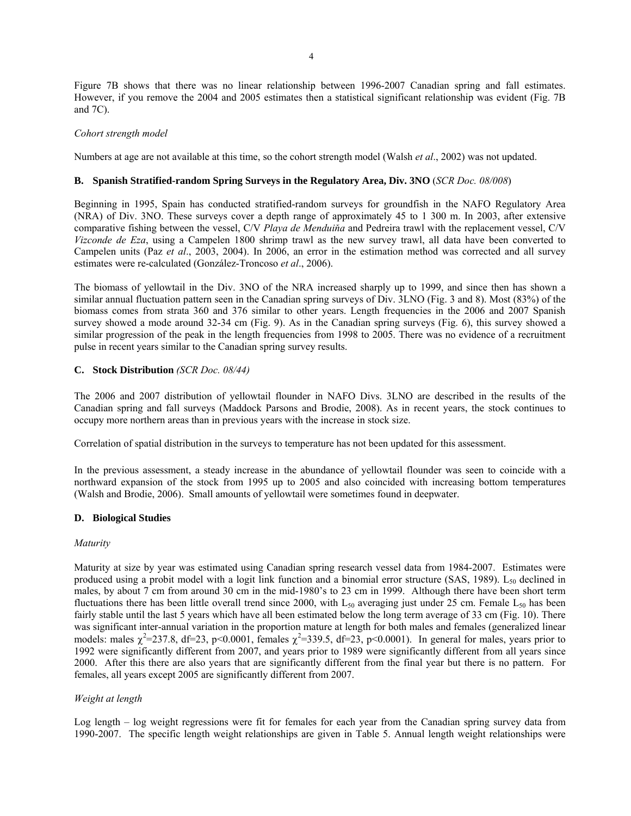Figure 7B shows that there was no linear relationship between 1996-2007 Canadian spring and fall estimates. However, if you remove the 2004 and 2005 estimates then a statistical significant relationship was evident (Fig. 7B and 7C).

# *Cohort strength model*

Numbers at age are not available at this time, so the cohort strength model (Walsh *et al*., 2002) was not updated.

# **B. Spanish Stratified-random Spring Surveys in the Regulatory Area, Div. 3NO** (*SCR Doc. 08/008*)

Beginning in 1995, Spain has conducted stratified-random surveys for groundfish in the NAFO Regulatory Area (NRA) of Div. 3NO. These surveys cover a depth range of approximately 45 to 1 300 m. In 2003, after extensive comparative fishing between the vessel, C/V *Playa de Menduiňa* and Pedreira trawl with the replacement vessel, C/V *Vizconde de Eza*, using a Campelen 1800 shrimp trawl as the new survey trawl, all data have been converted to Campelen units (Paz *et al*., 2003, 2004). In 2006, an error in the estimation method was corrected and all survey estimates were re-calculated (González-Troncoso *et al*., 2006).

The biomass of yellowtail in the Div. 3NO of the NRA increased sharply up to 1999, and since then has shown a similar annual fluctuation pattern seen in the Canadian spring surveys of Div. 3LNO (Fig. 3 and 8). Most (83%) of the biomass comes from strata 360 and 376 similar to other years. Length frequencies in the 2006 and 2007 Spanish survey showed a mode around 32-34 cm (Fig. 9). As in the Canadian spring surveys (Fig. 6), this survey showed a similar progression of the peak in the length frequencies from 1998 to 2005. There was no evidence of a recruitment pulse in recent years similar to the Canadian spring survey results.

# **C. Stock Distribution** *(SCR Doc. 08/44)*

The 2006 and 2007 distribution of yellowtail flounder in NAFO Divs. 3LNO are described in the results of the Canadian spring and fall surveys (Maddock Parsons and Brodie, 2008). As in recent years, the stock continues to occupy more northern areas than in previous years with the increase in stock size.

Correlation of spatial distribution in the surveys to temperature has not been updated for this assessment.

In the previous assessment, a steady increase in the abundance of yellowtail flounder was seen to coincide with a northward expansion of the stock from 1995 up to 2005 and also coincided with increasing bottom temperatures (Walsh and Brodie, 2006). Small amounts of yellowtail were sometimes found in deepwater.

## **D. Biological Studies**

## *Maturity*

Maturity at size by year was estimated using Canadian spring research vessel data from 1984-2007. Estimates were produced using a probit model with a logit link function and a binomial error structure (SAS, 1989).  $L_{50}$  declined in males, by about 7 cm from around 30 cm in the mid-1980's to 23 cm in 1999. Although there have been short term fluctuations there has been little overall trend since 2000, with  $L_{50}$  averaging just under 25 cm. Female  $L_{50}$  has been fairly stable until the last 5 years which have all been estimated below the long term average of 33 cm (Fig. 10). There was significant inter-annual variation in the proportion mature at length for both males and females (generalized linear models: males  $\chi^2$ =237.8, df=23, p<0.0001, females  $\chi^2$ =339.5, df=23, p<0.0001). In general for males, years prior to 1992 were significantly different from 2007, and years prior to 1989 were significantly different from all years since 2000. After this there are also years that are significantly different from the final year but there is no pattern. For females, all years except 2005 are significantly different from 2007.

# *Weight at length*

Log length – log weight regressions were fit for females for each year from the Canadian spring survey data from 1990-2007. The specific length weight relationships are given in Table 5. Annual length weight relationships were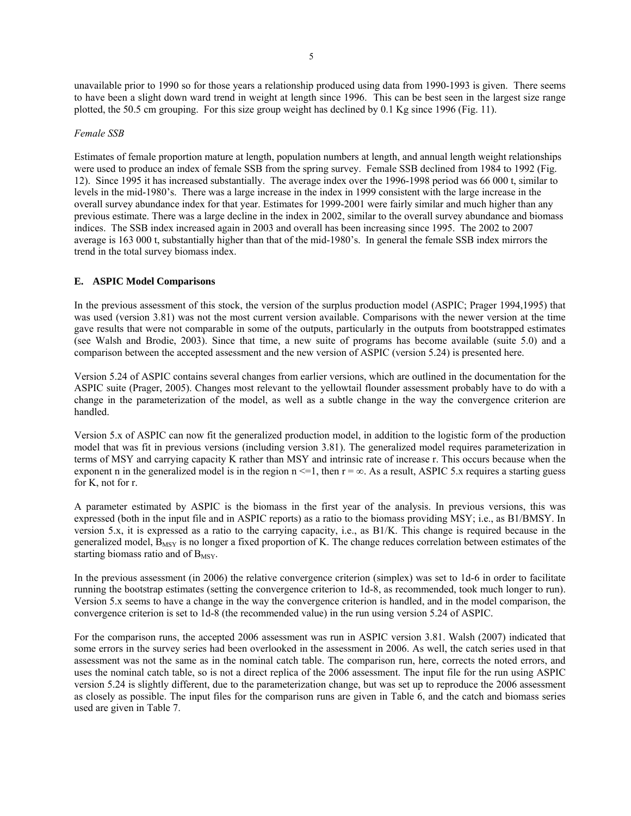unavailable prior to 1990 so for those years a relationship produced using data from 1990-1993 is given. There seems to have been a slight down ward trend in weight at length since 1996. This can be best seen in the largest size range plotted, the 50.5 cm grouping. For this size group weight has declined by 0.1 Kg since 1996 (Fig. 11).

### *Female SSB*

Estimates of female proportion mature at length, population numbers at length, and annual length weight relationships were used to produce an index of female SSB from the spring survey. Female SSB declined from 1984 to 1992 (Fig. 12). Since 1995 it has increased substantially. The average index over the 1996-1998 period was 66 000 t, similar to levels in the mid-1980's. There was a large increase in the index in 1999 consistent with the large increase in the overall survey abundance index for that year. Estimates for 1999-2001 were fairly similar and much higher than any previous estimate. There was a large decline in the index in 2002, similar to the overall survey abundance and biomass indices. The SSB index increased again in 2003 and overall has been increasing since 1995. The 2002 to 2007 average is 163 000 t, substantially higher than that of the mid-1980's. In general the female SSB index mirrors the trend in the total survey biomass index.

### **E. ASPIC Model Comparisons**

In the previous assessment of this stock, the version of the surplus production model (ASPIC; Prager 1994,1995) that was used (version 3.81) was not the most current version available. Comparisons with the newer version at the time gave results that were not comparable in some of the outputs, particularly in the outputs from bootstrapped estimates (see Walsh and Brodie, 2003). Since that time, a new suite of programs has become available (suite 5.0) and a comparison between the accepted assessment and the new version of ASPIC (version 5.24) is presented here.

Version 5.24 of ASPIC contains several changes from earlier versions, which are outlined in the documentation for the ASPIC suite (Prager, 2005). Changes most relevant to the yellowtail flounder assessment probably have to do with a change in the parameterization of the model, as well as a subtle change in the way the convergence criterion are handled.

Version 5.x of ASPIC can now fit the generalized production model, in addition to the logistic form of the production model that was fit in previous versions (including version 3.81). The generalized model requires parameterization in terms of MSY and carrying capacity K rather than MSY and intrinsic rate of increase r. This occurs because when the exponent n in the generalized model is in the region  $n \le 1$ , then  $r = \infty$ . As a result, ASPIC 5.x requires a starting guess for K, not for r.

A parameter estimated by ASPIC is the biomass in the first year of the analysis. In previous versions, this was expressed (both in the input file and in ASPIC reports) as a ratio to the biomass providing MSY; i.e., as B1/BMSY. In version 5.x, it is expressed as a ratio to the carrying capacity, i.e., as B1/K. This change is required because in the generalized model,  $B_{MSY}$  is no longer a fixed proportion of K. The change reduces correlation between estimates of the starting biomass ratio and of  $B_{MSY}$ .

In the previous assessment (in 2006) the relative convergence criterion (simplex) was set to 1d-6 in order to facilitate running the bootstrap estimates (setting the convergence criterion to 1d-8, as recommended, took much longer to run). Version 5.x seems to have a change in the way the convergence criterion is handled, and in the model comparison, the convergence criterion is set to 1d-8 (the recommended value) in the run using version 5.24 of ASPIC.

For the comparison runs, the accepted 2006 assessment was run in ASPIC version 3.81. Walsh (2007) indicated that some errors in the survey series had been overlooked in the assessment in 2006. As well, the catch series used in that assessment was not the same as in the nominal catch table. The comparison run, here, corrects the noted errors, and uses the nominal catch table, so is not a direct replica of the 2006 assessment. The input file for the run using ASPIC version 5.24 is slightly different, due to the parameterization change, but was set up to reproduce the 2006 assessment as closely as possible. The input files for the comparison runs are given in Table 6, and the catch and biomass series used are given in Table 7.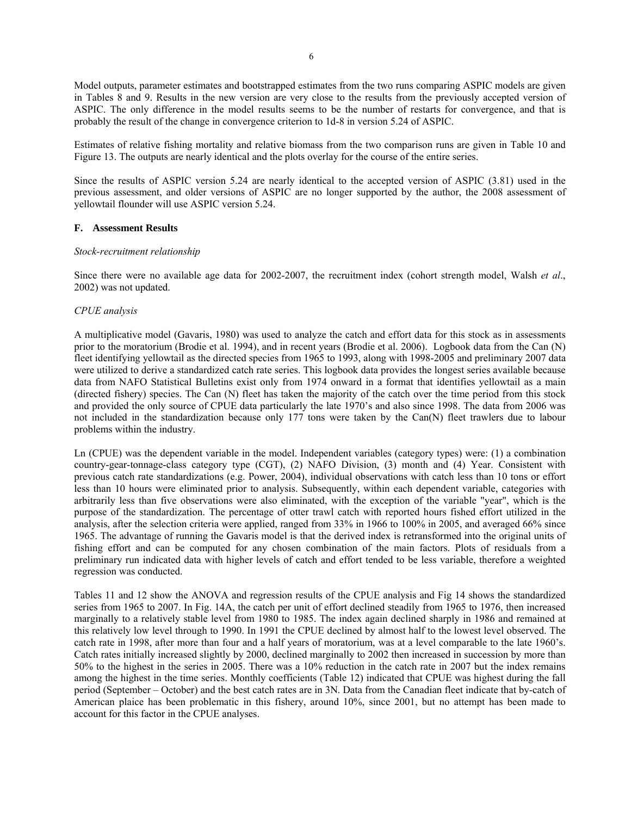Model outputs, parameter estimates and bootstrapped estimates from the two runs comparing ASPIC models are given in Tables 8 and 9. Results in the new version are very close to the results from the previously accepted version of ASPIC. The only difference in the model results seems to be the number of restarts for convergence, and that is probably the result of the change in convergence criterion to 1d-8 in version 5.24 of ASPIC.

Estimates of relative fishing mortality and relative biomass from the two comparison runs are given in Table 10 and Figure 13. The outputs are nearly identical and the plots overlay for the course of the entire series.

Since the results of ASPIC version 5.24 are nearly identical to the accepted version of ASPIC (3.81) used in the previous assessment, and older versions of ASPIC are no longer supported by the author, the 2008 assessment of yellowtail flounder will use ASPIC version 5.24.

## **F. Assessment Results**

### *Stock-recruitment relationship*

Since there were no available age data for 2002-2007, the recruitment index (cohort strength model, Walsh *et al*., 2002) was not updated.

### *CPUE analysis*

A multiplicative model (Gavaris, 1980) was used to analyze the catch and effort data for this stock as in assessments prior to the moratorium (Brodie et al. 1994), and in recent years (Brodie et al. 2006). Logbook data from the Can (N) fleet identifying yellowtail as the directed species from 1965 to 1993, along with 1998-2005 and preliminary 2007 data were utilized to derive a standardized catch rate series. This logbook data provides the longest series available because data from NAFO Statistical Bulletins exist only from 1974 onward in a format that identifies yellowtail as a main (directed fishery) species. The Can (N) fleet has taken the majority of the catch over the time period from this stock and provided the only source of CPUE data particularly the late 1970's and also since 1998. The data from 2006 was not included in the standardization because only 177 tons were taken by the Can(N) fleet trawlers due to labour problems within the industry.

Ln (CPUE) was the dependent variable in the model. Independent variables (category types) were: (1) a combination country-gear-tonnage-class category type (CGT), (2) NAFO Division, (3) month and (4) Year. Consistent with previous catch rate standardizations (e.g. Power, 2004), individual observations with catch less than 10 tons or effort less than 10 hours were eliminated prior to analysis. Subsequently, within each dependent variable, categories with arbitrarily less than five observations were also eliminated, with the exception of the variable "year", which is the purpose of the standardization. The percentage of otter trawl catch with reported hours fished effort utilized in the analysis, after the selection criteria were applied, ranged from 33% in 1966 to 100% in 2005, and averaged 66% since 1965. The advantage of running the Gavaris model is that the derived index is retransformed into the original units of fishing effort and can be computed for any chosen combination of the main factors. Plots of residuals from a preliminary run indicated data with higher levels of catch and effort tended to be less variable, therefore a weighted regression was conducted.

Tables 11 and 12 show the ANOVA and regression results of the CPUE analysis and Fig 14 shows the standardized series from 1965 to 2007. In Fig. 14A, the catch per unit of effort declined steadily from 1965 to 1976, then increased marginally to a relatively stable level from 1980 to 1985. The index again declined sharply in 1986 and remained at this relatively low level through to 1990. In 1991 the CPUE declined by almost half to the lowest level observed. The catch rate in 1998, after more than four and a half years of moratorium, was at a level comparable to the late 1960's. Catch rates initially increased slightly by 2000, declined marginally to 2002 then increased in succession by more than 50% to the highest in the series in 2005. There was a 10% reduction in the catch rate in 2007 but the index remains among the highest in the time series. Monthly coefficients (Table 12) indicated that CPUE was highest during the fall period (September – October) and the best catch rates are in 3N. Data from the Canadian fleet indicate that by-catch of American plaice has been problematic in this fishery, around 10%, since 2001, but no attempt has been made to account for this factor in the CPUE analyses.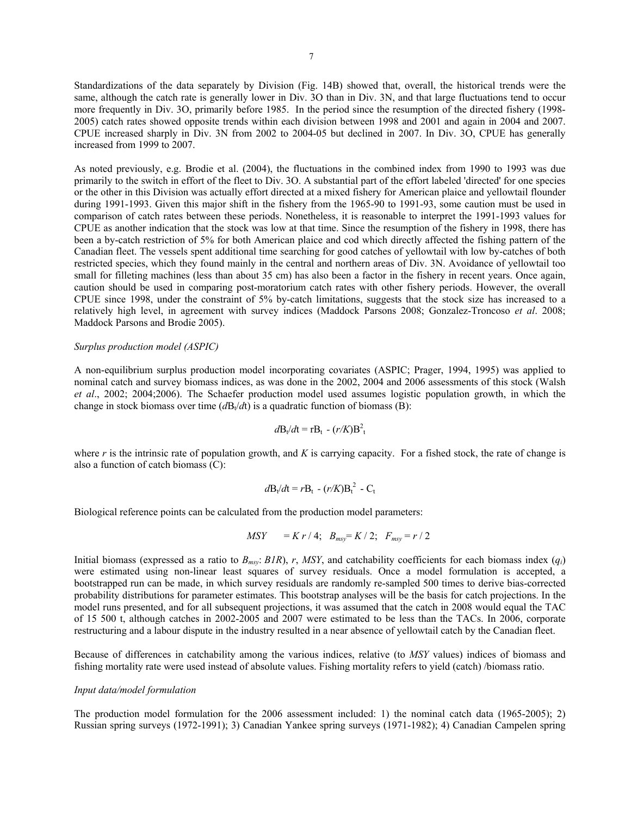Standardizations of the data separately by Division (Fig. 14B) showed that, overall, the historical trends were the same, although the catch rate is generally lower in Div. 3O than in Div. 3N, and that large fluctuations tend to occur more frequently in Div. 3O, primarily before 1985. In the period since the resumption of the directed fishery (1998- 2005) catch rates showed opposite trends within each division between 1998 and 2001 and again in 2004 and 2007. CPUE increased sharply in Div. 3N from 2002 to 2004-05 but declined in 2007. In Div. 3O, CPUE has generally increased from 1999 to 2007.

As noted previously, e.g. Brodie et al. (2004), the fluctuations in the combined index from 1990 to 1993 was due primarily to the switch in effort of the fleet to Div. 3O. A substantial part of the effort labeled 'directed' for one species or the other in this Division was actually effort directed at a mixed fishery for American plaice and yellowtail flounder during 1991-1993. Given this major shift in the fishery from the 1965-90 to 1991-93, some caution must be used in comparison of catch rates between these periods. Nonetheless, it is reasonable to interpret the 1991-1993 values for CPUE as another indication that the stock was low at that time. Since the resumption of the fishery in 1998, there has been a by-catch restriction of 5% for both American plaice and cod which directly affected the fishing pattern of the Canadian fleet. The vessels spent additional time searching for good catches of yellowtail with low by-catches of both restricted species, which they found mainly in the central and northern areas of Div. 3N. Avoidance of yellowtail too small for filleting machines (less than about 35 cm) has also been a factor in the fishery in recent years. Once again, caution should be used in comparing post-moratorium catch rates with other fishery periods. However, the overall CPUE since 1998, under the constraint of 5% by-catch limitations, suggests that the stock size has increased to a relatively high level, in agreement with survey indices (Maddock Parsons 2008; Gonzalez-Troncoso *et al*. 2008; Maddock Parsons and Brodie 2005).

## *Surplus production model (ASPIC)*

A non-equilibrium surplus production model incorporating covariates (ASPIC; Prager, 1994, 1995) was applied to nominal catch and survey biomass indices, as was done in the 2002, 2004 and 2006 assessments of this stock (Walsh *et al*., 2002; 2004;2006). The Schaefer production model used assumes logistic population growth, in which the change in stock biomass over time  $(dB_t/dt)$  is a quadratic function of biomass (B):

$$
d\mathbf{B}_t/dt = r\mathbf{B}_t - (r/K)\mathbf{B}_t^2
$$

where *r* is the intrinsic rate of population growth, and *K* is carrying capacity. For a fished stock, the rate of change is also a function of catch biomass (C):

$$
d\mathbf{B}_t/d\mathbf{t} = r\mathbf{B}_t - (r/K)\mathbf{B}_t^2 - \mathbf{C}_t
$$

Biological reference points can be calculated from the production model parameters:

$$
MSY = K r / 4; B_{msy} = K / 2; F_{msy} = r / 2
$$

Initial biomass (expressed as a ratio to *Bmsy*: *B1R*), *r*, *MSY*, and catchability coefficients for each biomass index (*qi*) were estimated using non-linear least squares of survey residuals. Once a model formulation is accepted, a bootstrapped run can be made, in which survey residuals are randomly re-sampled 500 times to derive bias-corrected probability distributions for parameter estimates. This bootstrap analyses will be the basis for catch projections. In the model runs presented, and for all subsequent projections, it was assumed that the catch in 2008 would equal the TAC of 15 500 t, although catches in 2002-2005 and 2007 were estimated to be less than the TACs. In 2006, corporate restructuring and a labour dispute in the industry resulted in a near absence of yellowtail catch by the Canadian fleet.

Because of differences in catchability among the various indices, relative (to *MSY* values) indices of biomass and fishing mortality rate were used instead of absolute values. Fishing mortality refers to yield (catch) /biomass ratio.

### *Input data/model formulation*

The production model formulation for the 2006 assessment included: 1) the nominal catch data (1965-2005); 2) Russian spring surveys (1972-1991); 3) Canadian Yankee spring surveys (1971-1982); 4) Canadian Campelen spring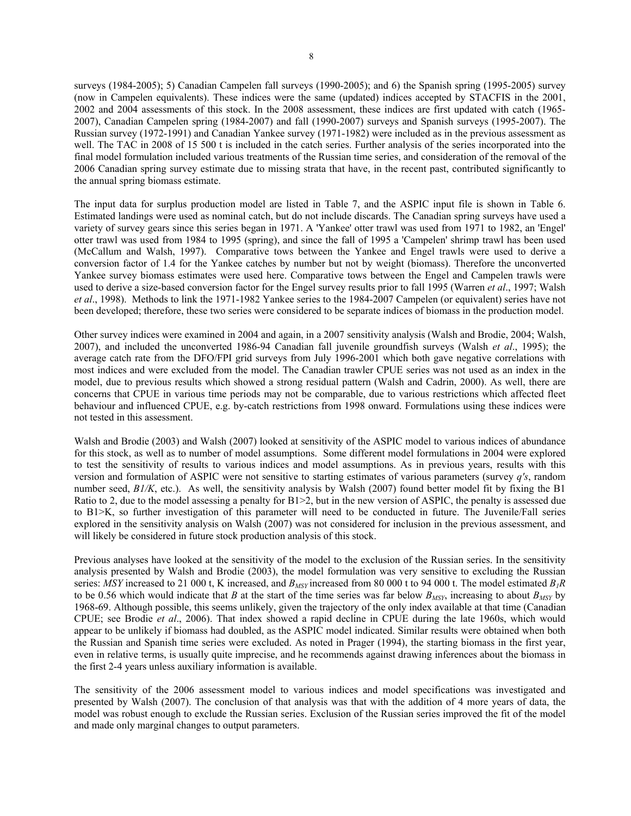surveys (1984-2005); 5) Canadian Campelen fall surveys (1990-2005); and 6) the Spanish spring (1995-2005) survey (now in Campelen equivalents). These indices were the same (updated) indices accepted by STACFIS in the 2001, 2002 and 2004 assessments of this stock. In the 2008 assessment, these indices are first updated with catch (1965- 2007), Canadian Campelen spring (1984-2007) and fall (1990-2007) surveys and Spanish surveys (1995-2007). The Russian survey (1972-1991) and Canadian Yankee survey (1971-1982) were included as in the previous assessment as well. The TAC in 2008 of 15 500 t is included in the catch series. Further analysis of the series incorporated into the final model formulation included various treatments of the Russian time series, and consideration of the removal of the 2006 Canadian spring survey estimate due to missing strata that have, in the recent past, contributed significantly to the annual spring biomass estimate.

The input data for surplus production model are listed in Table 7, and the ASPIC input file is shown in Table 6. Estimated landings were used as nominal catch, but do not include discards. The Canadian spring surveys have used a variety of survey gears since this series began in 1971. A 'Yankee' otter trawl was used from 1971 to 1982, an 'Engel' otter trawl was used from 1984 to 1995 (spring), and since the fall of 1995 a 'Campelen' shrimp trawl has been used (McCallum and Walsh, 1997). Comparative tows between the Yankee and Engel trawls were used to derive a conversion factor of 1.4 for the Yankee catches by number but not by weight (biomass). Therefore the unconverted Yankee survey biomass estimates were used here. Comparative tows between the Engel and Campelen trawls were used to derive a size-based conversion factor for the Engel survey results prior to fall 1995 (Warren *et al*., 1997; Walsh *et al*., 1998). Methods to link the 1971-1982 Yankee series to the 1984-2007 Campelen (or equivalent) series have not been developed; therefore, these two series were considered to be separate indices of biomass in the production model.

Other survey indices were examined in 2004 and again, in a 2007 sensitivity analysis (Walsh and Brodie, 2004; Walsh, 2007), and included the unconverted 1986-94 Canadian fall juvenile groundfish surveys (Walsh *et al*., 1995); the average catch rate from the DFO/FPI grid surveys from July 1996-2001 which both gave negative correlations with most indices and were excluded from the model. The Canadian trawler CPUE series was not used as an index in the model, due to previous results which showed a strong residual pattern (Walsh and Cadrin, 2000). As well, there are concerns that CPUE in various time periods may not be comparable, due to various restrictions which affected fleet behaviour and influenced CPUE, e.g. by-catch restrictions from 1998 onward. Formulations using these indices were not tested in this assessment.

Walsh and Brodie (2003) and Walsh (2007) looked at sensitivity of the ASPIC model to various indices of abundance for this stock, as well as to number of model assumptions. Some different model formulations in 2004 were explored to test the sensitivity of results to various indices and model assumptions. As in previous years, results with this version and formulation of ASPIC were not sensitive to starting estimates of various parameters (survey *q's*, random number seed,  $B1/K$ , etc.). As well, the sensitivity analysis by Walsh (2007) found better model fit by fixing the B1 Ratio to 2, due to the model assessing a penalty for B1>2, but in the new version of ASPIC, the penalty is assessed due to B1>K, so further investigation of this parameter will need to be conducted in future. The Juvenile/Fall series explored in the sensitivity analysis on Walsh (2007) was not considered for inclusion in the previous assessment, and will likely be considered in future stock production analysis of this stock.

Previous analyses have looked at the sensitivity of the model to the exclusion of the Russian series. In the sensitivity analysis presented by Walsh and Brodie (2003), the model formulation was very sensitive to excluding the Russian series: *MSY* increased to 21 000 t, K increased, and  $B_{MSY}$  increased from 80 000 t to 94 000 t. The model estimated  $B_I R$ to be 0.56 which would indicate that *B* at the start of the time series was far below  $B_{MSY}$ , increasing to about  $B_{MSY}$  by 1968-69. Although possible, this seems unlikely, given the trajectory of the only index available at that time (Canadian CPUE; see Brodie *et al*., 2006). That index showed a rapid decline in CPUE during the late 1960s, which would appear to be unlikely if biomass had doubled, as the ASPIC model indicated. Similar results were obtained when both the Russian and Spanish time series were excluded. As noted in Prager (1994), the starting biomass in the first year, even in relative terms, is usually quite imprecise, and he recommends against drawing inferences about the biomass in the first 2-4 years unless auxiliary information is available.

The sensitivity of the 2006 assessment model to various indices and model specifications was investigated and presented by Walsh (2007). The conclusion of that analysis was that with the addition of 4 more years of data, the model was robust enough to exclude the Russian series. Exclusion of the Russian series improved the fit of the model and made only marginal changes to output parameters.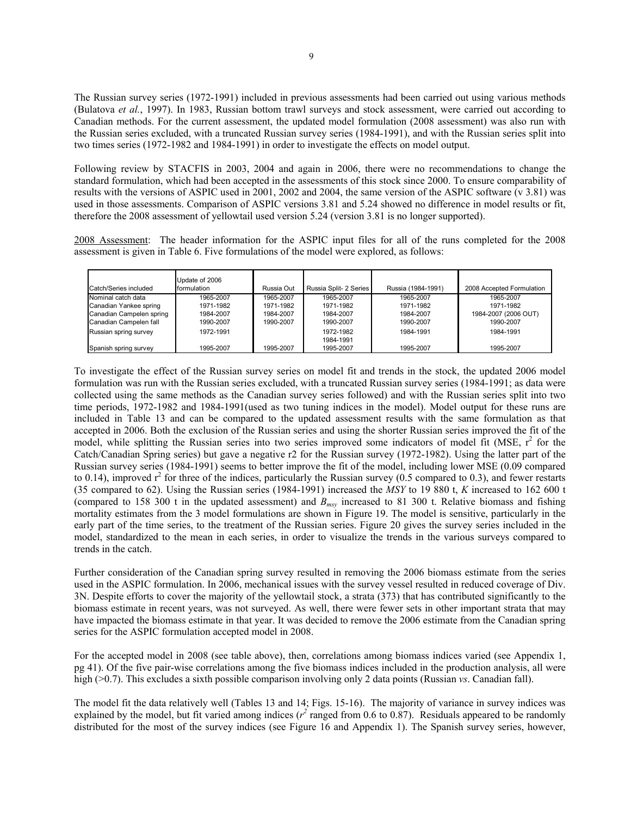The Russian survey series (1972-1991) included in previous assessments had been carried out using various methods (Bulatova *et al.*, 1997). In 1983, Russian bottom trawl surveys and stock assessment, were carried out according to Canadian methods. For the current assessment, the updated model formulation (2008 assessment) was also run with the Russian series excluded, with a truncated Russian survey series (1984-1991), and with the Russian series split into two times series (1972-1982 and 1984-1991) in order to investigate the effects on model output.

Following review by STACFIS in 2003, 2004 and again in 2006, there were no recommendations to change the standard formulation, which had been accepted in the assessments of this stock since 2000. To ensure comparability of results with the versions of ASPIC used in 2001, 2002 and 2004, the same version of the ASPIC software (v 3.81) was used in those assessments. Comparison of ASPIC versions 3.81 and 5.24 showed no difference in model results or fit, therefore the 2008 assessment of yellowtail used version 5.24 (version 3.81 is no longer supported).

2008 Assessment: The header information for the ASPIC input files for all of the runs completed for the 2008 assessment is given in Table 6. Five formulations of the model were explored, as follows:

| Catch/Series included    | Update of 2006<br>formulation | Russia Out | Russia Split- 2 Series | Russia (1984-1991) | 2008 Accepted Formulation |
|--------------------------|-------------------------------|------------|------------------------|--------------------|---------------------------|
| Nominal catch data       | 1965-2007                     | 1965-2007  | 1965-2007              | 1965-2007          | 1965-2007                 |
| Canadian Yankee spring   | 1971-1982                     | 1971-1982  | 1971-1982              | 1971-1982          | 1971-1982                 |
| Canadian Campelen spring | 1984-2007                     | 1984-2007  | 1984-2007              | 1984-2007          | 1984-2007 (2006 OUT)      |
| Canadian Campelen fall   | 1990-2007                     | 1990-2007  | 1990-2007              | 1990-2007          | 1990-2007                 |
| Russian spring survey    | 1972-1991                     |            | 1972-1982              | 1984-1991          | 1984-1991                 |
|                          |                               |            | 1984-1991              |                    |                           |
| Spanish spring survey    | 1995-2007                     | 1995-2007  | 1995-2007              | 1995-2007          | 1995-2007                 |

To investigate the effect of the Russian survey series on model fit and trends in the stock, the updated 2006 model formulation was run with the Russian series excluded, with a truncated Russian survey series (1984-1991; as data were collected using the same methods as the Canadian survey series followed) and with the Russian series split into two time periods, 1972-1982 and 1984-1991(used as two tuning indices in the model). Model output for these runs are included in Table 13 and can be compared to the updated assessment results with the same formulation as that accepted in 2006. Both the exclusion of the Russian series and using the shorter Russian series improved the fit of the model, while splitting the Russian series into two series improved some indicators of model fit (MSE,  $r^2$  for the Catch/Canadian Spring series) but gave a negative r2 for the Russian survey (1972-1982). Using the latter part of the Russian survey series (1984-1991) seems to better improve the fit of the model, including lower MSE (0.09 compared to 0.14), improved  $r^2$  for three of the indices, particularly the Russian survey (0.5 compared to 0.3), and fewer restarts (35 compared to 62). Using the Russian series (1984-1991) increased the *MSY* to 19 880 t, *K* increased to 162 600 t (compared to 158 300 t in the updated assessment) and *Bmsy* increased to 81 300 t. Relative biomass and fishing mortality estimates from the 3 model formulations are shown in Figure 19. The model is sensitive, particularly in the early part of the time series, to the treatment of the Russian series. Figure 20 gives the survey series included in the model, standardized to the mean in each series, in order to visualize the trends in the various surveys compared to trends in the catch.

Further consideration of the Canadian spring survey resulted in removing the 2006 biomass estimate from the series used in the ASPIC formulation. In 2006, mechanical issues with the survey vessel resulted in reduced coverage of Div. 3N. Despite efforts to cover the majority of the yellowtail stock, a strata (373) that has contributed significantly to the biomass estimate in recent years, was not surveyed. As well, there were fewer sets in other important strata that may have impacted the biomass estimate in that year. It was decided to remove the 2006 estimate from the Canadian spring series for the ASPIC formulation accepted model in 2008.

For the accepted model in 2008 (see table above), then, correlations among biomass indices varied (see Appendix 1, pg 41). Of the five pair-wise correlations among the five biomass indices included in the production analysis, all were high (>0.7). This excludes a sixth possible comparison involving only 2 data points (Russian *vs*. Canadian fall).

The model fit the data relatively well (Tables 13 and 14; Figs. 15-16). The majority of variance in survey indices was explained by the model, but fit varied among indices ( $r^2$  ranged from 0.6 to 0.87). Residuals appeared to be randomly distributed for the most of the survey indices (see Figure 16 and Appendix 1). The Spanish survey series, however,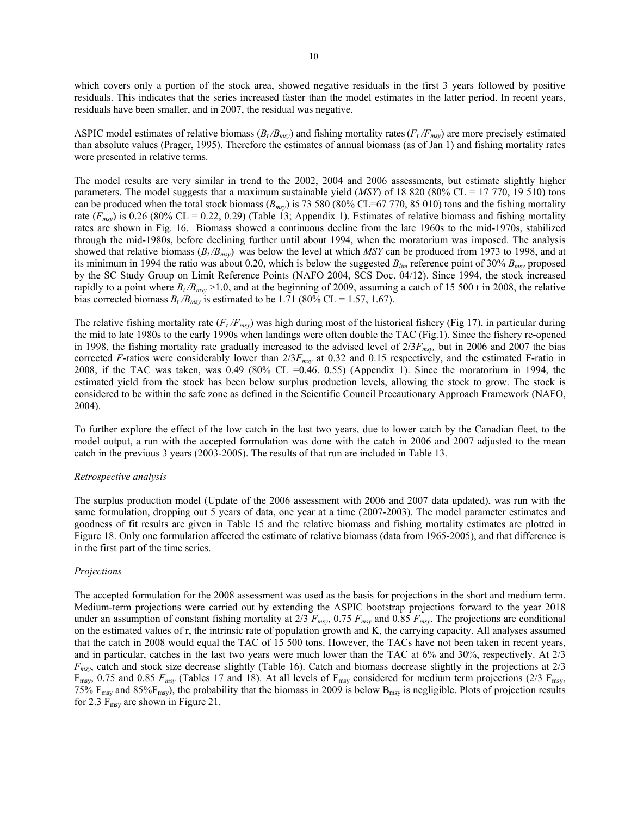which covers only a portion of the stock area, showed negative residuals in the first 3 years followed by positive residuals. This indicates that the series increased faster than the model estimates in the latter period. In recent years, residuals have been smaller, and in 2007, the residual was negative.

ASPIC model estimates of relative biomass  $(B_t/B_{msy})$  and fishing mortality rates ( $F_t/F_{msy}$ ) are more precisely estimated than absolute values (Prager, 1995). Therefore the estimates of annual biomass (as of Jan 1) and fishing mortality rates were presented in relative terms.

The model results are very similar in trend to the 2002, 2004 and 2006 assessments, but estimate slightly higher parameters. The model suggests that a maximum sustainable yield (*MSY*) of 18 820 (80% CL = 17 770, 19 510) tons can be produced when the total stock biomass  $(B_{msy})$  is 73 580 (80% CL=67 770, 85 010) tons and the fishing mortality rate  $(F_{msy})$  is 0.26 (80% CL = 0.22, 0.29) (Table 13; Appendix 1). Estimates of relative biomass and fishing mortality rates are shown in Fig. 16. Biomass showed a continuous decline from the late 1960s to the mid-1970s, stabilized through the mid-1980s, before declining further until about 1994, when the moratorium was imposed. The analysis showed that relative biomass  $(B_t/B_{msy})$  was below the level at which *MSY* can be produced from 1973 to 1998, and at its minimum in 1994 the ratio was about 0.20, which is below the suggested *Blim* reference point of 30% *Bmsy* proposed by the SC Study Group on Limit Reference Points (NAFO 2004, SCS Doc. 04/12). Since 1994, the stock increased rapidly to a point where  $B_t/B_{msy}$  >1.0, and at the beginning of 2009, assuming a catch of 15 500 t in 2008, the relative bias corrected biomass  $B_t/B_{msy}$  is estimated to be 1.71 (80% CL = 1.57, 1.67).

The relative fishing mortality rate  $(F_t/F_{msy})$  was high during most of the historical fishery (Fig 17), in particular during the mid to late 1980s to the early 1990s when landings were often double the TAC (Fig.1). Since the fishery re-opened in 1998, the fishing mortality rate gradually increased to the advised level of 2/3*Fmsy,* but in 2006 and 2007 the bias corrected *F*-ratios were considerably lower than  $2/3F_{msy}$  at 0.32 and 0.15 respectively, and the estimated F-ratio in 2008, if the TAC was taken, was  $0.49$  (80% CL =0.46. 0.55) (Appendix 1). Since the moratorium in 1994, the estimated yield from the stock has been below surplus production levels, allowing the stock to grow. The stock is considered to be within the safe zone as defined in the Scientific Council Precautionary Approach Framework (NAFO, 2004).

To further explore the effect of the low catch in the last two years, due to lower catch by the Canadian fleet, to the model output, a run with the accepted formulation was done with the catch in 2006 and 2007 adjusted to the mean catch in the previous 3 years (2003-2005). The results of that run are included in Table 13.

### *Retrospective analysis*

The surplus production model (Update of the 2006 assessment with 2006 and 2007 data updated), was run with the same formulation, dropping out 5 years of data, one year at a time (2007-2003). The model parameter estimates and goodness of fit results are given in Table 15 and the relative biomass and fishing mortality estimates are plotted in Figure 18. Only one formulation affected the estimate of relative biomass (data from 1965-2005), and that difference is in the first part of the time series.

### *Projections*

The accepted formulation for the 2008 assessment was used as the basis for projections in the short and medium term. Medium-term projections were carried out by extending the ASPIC bootstrap projections forward to the year 2018 under an assumption of constant fishing mortality at  $2/3$   $F_{msv}$ , 0.75  $F_{msv}$  and 0.85  $F_{msv}$ . The projections are conditional on the estimated values of r, the intrinsic rate of population growth and K, the carrying capacity. All analyses assumed that the catch in 2008 would equal the TAC of 15 500 tons. However, the TACs have not been taken in recent years, and in particular, catches in the last two years were much lower than the TAC at 6% and 30%, respectively. At 2/3 *Fmsy*, catch and stock size decrease slightly (Table 16). Catch and biomass decrease slightly in the projections at 2/3  $F_{\text{msy}}$ , 0.75 and 0.85  $F_{\text{msy}}$  (Tables 17 and 18). At all levels of  $F_{\text{msy}}$  considered for medium term projections (2/3  $F_{\text{msy}}$ , 75%  $F_{\text{msy}}$  and 85% $F_{\text{msy}}$ ), the probability that the biomass in 2009 is below  $B_{\text{msy}}$  is negligible. Plots of projection results for 2.3  $F_{\text{msy}}$  are shown in Figure 21.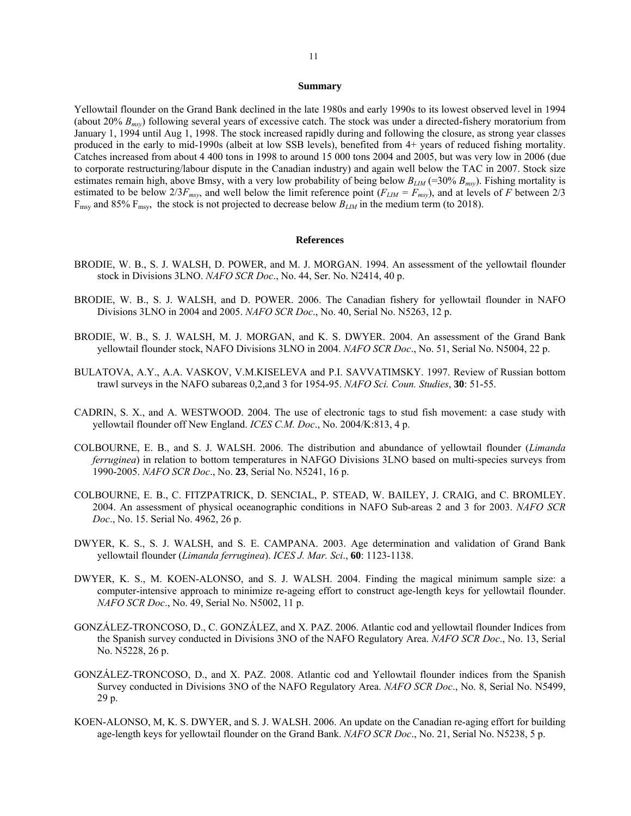# 11

#### **Summary**

Yellowtail flounder on the Grand Bank declined in the late 1980s and early 1990s to its lowest observed level in 1994 (about 20% *Bmsy*) following several years of excessive catch. The stock was under a directed-fishery moratorium from January 1, 1994 until Aug 1, 1998. The stock increased rapidly during and following the closure, as strong year classes produced in the early to mid-1990s (albeit at low SSB levels), benefited from 4+ years of reduced fishing mortality. Catches increased from about 4 400 tons in 1998 to around 15 000 tons 2004 and 2005, but was very low in 2006 (due to corporate restructuring/labour dispute in the Canadian industry) and again well below the TAC in 2007. Stock size estimates remain high, above Bmsy, with a very low probability of being below  $B_{LM}$  (=30%  $B_{msy}$ ). Fishing mortality is estimated to be below  $2/3F_{msv}$ , and well below the limit reference point ( $F_{LIM} = F_{msv}$ ), and at levels of *F* between 2/3 F<sub>msy</sub> and 85% F<sub>msy</sub>, the stock is not projected to decrease below  $B_{LM}$  in the medium term (to 2018).

### **References**

- BRODIE, W. B., S. J. WALSH, D. POWER, and M. J. MORGAN. 1994. An assessment of the yellowtail flounder stock in Divisions 3LNO. *NAFO SCR Doc*., No. 44, Ser. No. N2414, 40 p.
- BRODIE, W. B., S. J. WALSH, and D. POWER. 2006. The Canadian fishery for yellowtail flounder in NAFO Divisions 3LNO in 2004 and 2005. *NAFO SCR Doc*., No. 40, Serial No. N5263, 12 p.
- BRODIE, W. B., S. J. WALSH, M. J. MORGAN, and K. S. DWYER. 2004. An assessment of the Grand Bank yellowtail flounder stock, NAFO Divisions 3LNO in 2004. *NAFO SCR Doc*., No. 51, Serial No. N5004, 22 p.
- BULATOVA, A.Y., A.A. VASKOV, V.M.KISELEVA and P.I. SAVVATIMSKY. 1997. Review of Russian bottom trawl surveys in the NAFO subareas 0,2,and 3 for 1954-95. *NAFO Sci. Coun. Studies*, **30**: 51-55.
- CADRIN, S. X., and A. WESTWOOD. 2004. The use of electronic tags to stud fish movement: a case study with yellowtail flounder off New England. *ICES C.M. Doc*., No. 2004/K:813, 4 p.
- COLBOURNE, E. B., and S. J. WALSH. 2006. The distribution and abundance of yellowtail flounder (*Limanda ferruginea*) in relation to bottom temperatures in NAFGO Divisions 3LNO based on multi-species surveys from 1990-2005. *NAFO SCR Doc*., No. **23**, Serial No. N5241, 16 p.
- COLBOURNE, E. B., C. FITZPATRICK, D. SENCIAL, P. STEAD, W. BAILEY, J. CRAIG, and C. BROMLEY. 2004. An assessment of physical oceanographic conditions in NAFO Sub-areas 2 and 3 for 2003. *NAFO SCR Doc*., No. 15. Serial No. 4962, 26 p.
- DWYER, K. S., S. J. WALSH, and S. E. CAMPANA. 2003. Age determination and validation of Grand Bank yellowtail flounder (*Limanda ferruginea*). *ICES J. Mar. Sci*., **60**: 1123-1138.
- DWYER, K. S., M. KOEN-ALONSO, and S. J. WALSH. 2004. Finding the magical minimum sample size: a computer-intensive approach to minimize re-ageing effort to construct age-length keys for yellowtail flounder. *NAFO SCR Doc*., No. 49, Serial No. N5002, 11 p.
- GONZÁLEZ-TRONCOSO, D., C. GONZÁLEZ, and X. PAZ. 2006. Atlantic cod and yellowtail flounder Indices from the Spanish survey conducted in Divisions 3NO of the NAFO Regulatory Area. *NAFO SCR Doc*., No. 13, Serial No. N5228, 26 p.
- GONZÁLEZ-TRONCOSO, D., and X. PAZ. 2008. Atlantic cod and Yellowtail flounder indices from the Spanish Survey conducted in Divisions 3NO of the NAFO Regulatory Area. *NAFO SCR Doc*., No. 8, Serial No. N5499, 29 p.
- KOEN-ALONSO, M, K. S. DWYER, and S. J. WALSH. 2006. An update on the Canadian re-aging effort for building age-length keys for yellowtail flounder on the Grand Bank. *NAFO SCR Doc*., No. 21, Serial No. N5238, 5 p.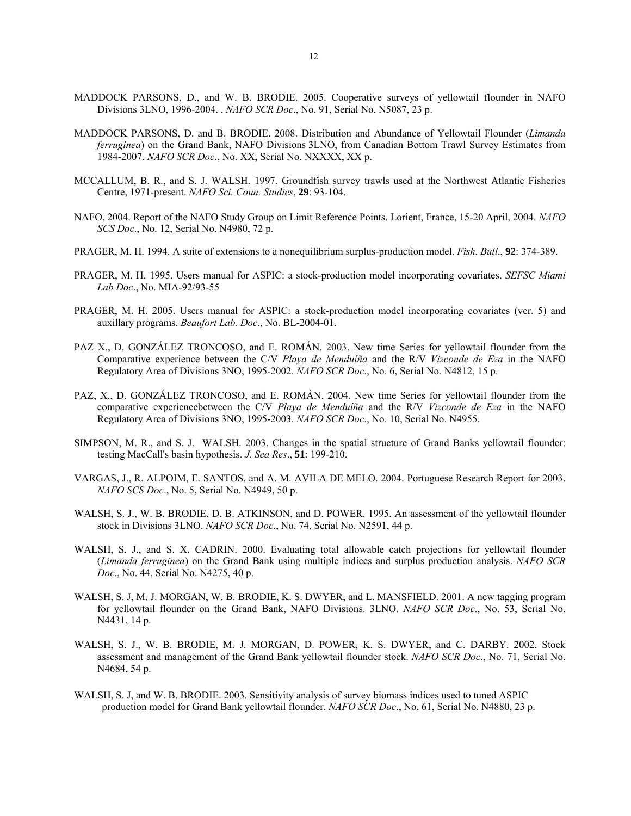- MADDOCK PARSONS, D., and W. B. BRODIE. 2005. Cooperative surveys of yellowtail flounder in NAFO Divisions 3LNO, 1996-2004. . *NAFO SCR Doc*., No. 91, Serial No. N5087, 23 p.
- MADDOCK PARSONS, D. and B. BRODIE. 2008. Distribution and Abundance of Yellowtail Flounder (*Limanda ferruginea*) on the Grand Bank, NAFO Divisions 3LNO, from Canadian Bottom Trawl Survey Estimates from 1984-2007. *NAFO SCR Doc*., No. XX, Serial No. NXXXX, XX p.
- MCCALLUM, B. R., and S. J. WALSH. 1997. Groundfish survey trawls used at the Northwest Atlantic Fisheries Centre, 1971-present. *NAFO Sci. Coun. Studies*, **29**: 93-104.
- NAFO. 2004. Report of the NAFO Study Group on Limit Reference Points. Lorient, France, 15-20 April, 2004. *NAFO SCS Doc*., No. 12, Serial No. N4980, 72 p.
- PRAGER, M. H. 1994. A suite of extensions to a nonequilibrium surplus-production model. *Fish. Bull*., **92**: 374-389.
- PRAGER, M. H. 1995. Users manual for ASPIC: a stock-production model incorporating covariates. *SEFSC Miami Lab Doc*., No. MIA-92/93-55
- PRAGER, M. H. 2005. Users manual for ASPIC: a stock-production model incorporating covariates (ver. 5) and auxillary programs. *Beaufort Lab. Doc*., No. BL-2004-01.
- PAZ X., D. GONZÁLEZ TRONCOSO, and E. ROMÁN. 2003. New time Series for yellowtail flounder from the Comparative experience between the C/V *Playa de Menduíña* and the R/V *Vizconde de Eza* in the NAFO Regulatory Area of Divisions 3NO, 1995-2002. *NAFO SCR Doc*., No. 6, Serial No. N4812, 15 p.
- PAZ, X., D. GONZÁLEZ TRONCOSO, and E. ROMÁN. 2004. New time Series for yellowtail flounder from the comparative experiencebetween the C/V *Playa de Menduíña* and the R/V *Vizconde de Eza* in the NAFO Regulatory Area of Divisions 3NO, 1995-2003. *NAFO SCR Doc*., No. 10, Serial No. N4955.
- SIMPSON, M. R., and S. J. WALSH. 2003. Changes in the spatial structure of Grand Banks yellowtail flounder: testing MacCall's basin hypothesis. *J. Sea Res*., **51**: 199-210.
- VARGAS, J., R. ALPOIM, E. SANTOS, and A. M. AVILA DE MELO. 2004. Portuguese Research Report for 2003. *NAFO SCS Doc*., No. 5, Serial No. N4949, 50 p.
- WALSH, S. J., W. B. BRODIE, D. B. ATKINSON, and D. POWER. 1995. An assessment of the yellowtail flounder stock in Divisions 3LNO. *NAFO SCR Doc*., No. 74, Serial No. N2591, 44 p.
- WALSH, S. J., and S. X. CADRIN. 2000. Evaluating total allowable catch projections for yellowtail flounder (*Limanda ferruginea*) on the Grand Bank using multiple indices and surplus production analysis. *NAFO SCR Doc*., No. 44, Serial No. N4275, 40 p.
- WALSH, S. J, M. J. MORGAN, W. B. BRODIE, K. S. DWYER, and L. MANSFIELD. 2001. A new tagging program for yellowtail flounder on the Grand Bank, NAFO Divisions. 3LNO. *NAFO SCR Doc*., No. 53, Serial No. N4431, 14 p.
- WALSH, S. J., W. B. BRODIE, M. J. MORGAN, D. POWER, K. S. DWYER, and C. DARBY. 2002. Stock assessment and management of the Grand Bank yellowtail flounder stock. *NAFO SCR Doc*., No. 71, Serial No. N4684, 54 p.
- WALSH, S. J, and W. B. BRODIE. 2003. Sensitivity analysis of survey biomass indices used to tuned ASPIC production model for Grand Bank yellowtail flounder. *NAFO SCR Doc*., No. 61, Serial No. N4880, 23 p.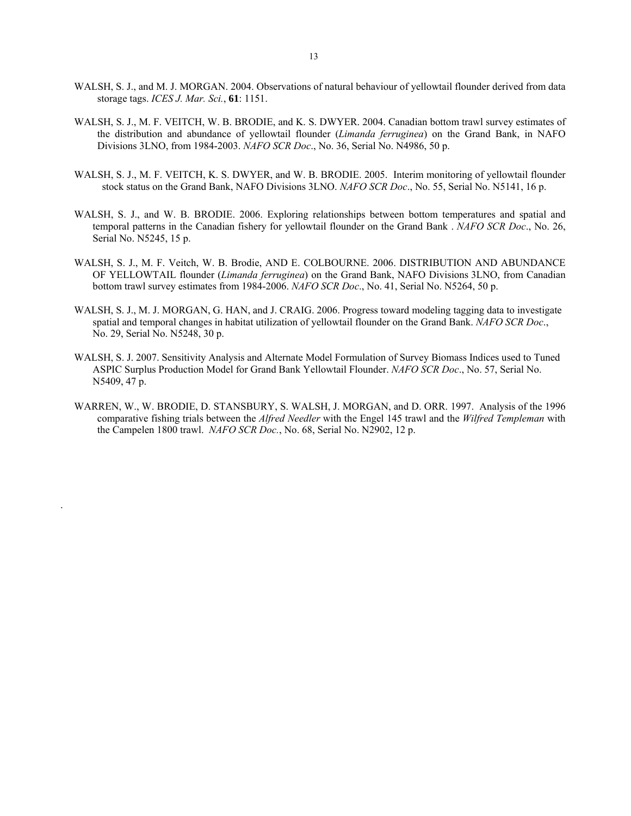- WALSH, S. J., and M. J. MORGAN. 2004. Observations of natural behaviour of yellowtail flounder derived from data storage tags. *ICES J. Mar. Sci.*, **61**: 1151.
- WALSH, S. J., M. F. VEITCH, W. B. BRODIE, and K. S. DWYER. 2004. Canadian bottom trawl survey estimates of the distribution and abundance of yellowtail flounder (*Limanda ferruginea*) on the Grand Bank, in NAFO Divisions 3LNO, from 1984-2003. *NAFO SCR Doc*., No. 36, Serial No. N4986, 50 p.
- WALSH, S. J., M. F. VEITCH, K. S. DWYER, and W. B. BRODIE. 2005. Interim monitoring of yellowtail flounder stock status on the Grand Bank, NAFO Divisions 3LNO. *NAFO SCR Doc*., No. 55, Serial No. N5141, 16 p.
- WALSH, S. J., and W. B. BRODIE. 2006. Exploring relationships between bottom temperatures and spatial and temporal patterns in the Canadian fishery for yellowtail flounder on the Grand Bank . *NAFO SCR Doc*., No. 26, Serial No. N5245, 15 p.
- WALSH, S. J., M. F. Veitch, W. B. Brodie, AND E. COLBOURNE. 2006. DISTRIBUTION AND ABUNDANCE OF YELLOWTAIL flounder (*Limanda ferruginea*) on the Grand Bank, NAFO Divisions 3LNO, from Canadian bottom trawl survey estimates from 1984-2006. *NAFO SCR Doc*., No. 41, Serial No. N5264, 50 p.
- WALSH, S. J., M. J. MORGAN, G. HAN, and J. CRAIG. 2006. Progress toward modeling tagging data to investigate spatial and temporal changes in habitat utilization of yellowtail flounder on the Grand Bank. *NAFO SCR Doc*., No. 29, Serial No. N5248, 30 p.
- WALSH, S. J. 2007. Sensitivity Analysis and Alternate Model Formulation of Survey Biomass Indices used to Tuned ASPIC Surplus Production Model for Grand Bank Yellowtail Flounder. *NAFO SCR Doc*., No. 57, Serial No. N5409, 47 p.
- WARREN, W., W. BRODIE, D. STANSBURY, S. WALSH, J. MORGAN, and D. ORR. 1997. Analysis of the 1996 comparative fishing trials between the *Alfred Needler* with the Engel 145 trawl and the *Wilfred Templeman* with the Campelen 1800 trawl. *NAFO SCR Doc.*, No. 68, Serial No. N2902, 12 p.

.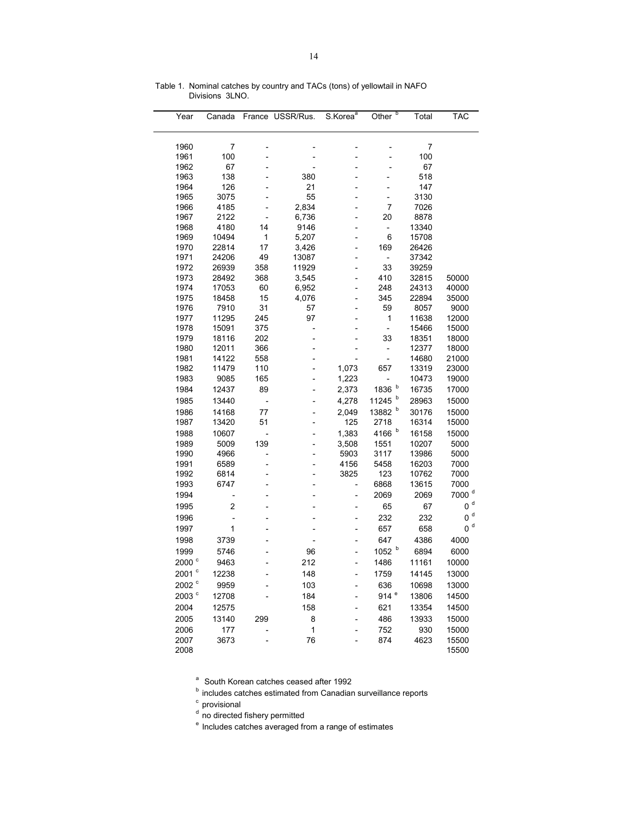| Year                | Canada |     | France USSR/Rus. | S.Korea <sup>a</sup> | Other <sup>b</sup>       | Total | <b>TAC</b>        |
|---------------------|--------|-----|------------------|----------------------|--------------------------|-------|-------------------|
|                     |        |     |                  |                      |                          |       |                   |
| 1960                | 7      |     |                  |                      |                          | 7     |                   |
| 1961                | 100    |     |                  |                      |                          | 100   |                   |
| 1962                | 67     |     |                  |                      |                          | 67    |                   |
| 1963                | 138    |     | 380              |                      |                          | 518   |                   |
| 1964                | 126    |     | 21               |                      |                          | 147   |                   |
| 1965                | 3075   |     | 55               |                      | -                        | 3130  |                   |
| 1966                | 4185   |     | 2,834            |                      | 7                        | 7026  |                   |
| 1967                | 2122   |     | 6,736            |                      | 20                       | 8878  |                   |
| 1968                | 4180   | 14  | 9146             |                      | ÷                        | 13340 |                   |
| 1969                | 10494  | 1   | 5,207            |                      | 6                        | 15708 |                   |
| 1970                | 22814  | 17  | 3,426            |                      | 169                      | 26426 |                   |
| 1971                | 24206  | 49  | 13087            |                      | $\qquad \qquad -$        | 37342 |                   |
| 1972                | 26939  | 358 | 11929            |                      | 33                       | 39259 |                   |
| 1973                | 28492  | 368 | 3,545            |                      | 410                      | 32815 | 50000             |
| 1974                | 17053  | 60  | 6,952            |                      | 248                      | 24313 | 40000             |
| 1975                | 18458  | 15  | 4,076            |                      | 345                      | 22894 | 35000             |
| 1976                | 7910   | 31  | 57               |                      | 59                       | 8057  | 9000              |
| 1977                | 11295  | 245 | 97               |                      | 1                        | 11638 | 12000             |
| 1978                | 15091  | 375 |                  |                      | $\overline{\phantom{0}}$ | 15466 | 15000             |
| 1979                | 18116  | 202 |                  |                      | 33                       | 18351 | 18000             |
| 1980                | 12011  | 366 |                  |                      | $\overline{\phantom{0}}$ | 12377 | 18000             |
| 1981                | 14122  | 558 |                  |                      | $\overline{\phantom{0}}$ | 14680 | 21000             |
| 1982                | 11479  | 110 |                  | 1,073                | 657                      | 13319 | 23000             |
| 1983                | 9085   | 165 |                  | 1,223                | $\overline{\phantom{0}}$ | 10473 | 19000             |
| 1984                | 12437  | 89  |                  | 2,373                | b<br>1836                | 16735 | 17000             |
| 1985                | 13440  | -   |                  | 4,278                | $\mathsf{b}$<br>11245    | 28963 | 15000             |
| 1986                | 14168  | 77  |                  | 2,049                | b<br>13882               | 30176 | 15000             |
| 1987                | 13420  | 51  |                  | 125                  | 2718                     | 16314 | 15000             |
| 1988                | 10607  | -   |                  | 1,383                | 4166 b                   | 16158 | 15000             |
| 1989                | 5009   | 139 |                  | 3,508                | 1551                     | 10207 | 5000              |
| 1990                | 4966   |     |                  | 5903                 | 3117                     | 13986 | 5000              |
| 1991                | 6589   |     |                  | 4156                 | 5458                     | 16203 | 7000              |
| 1992                | 6814   |     |                  | 3825                 | 123                      | 10762 | 7000              |
| 1993                | 6747   |     |                  |                      | 6868                     | 13615 | 7000              |
| 1994                |        |     |                  | -                    | 2069                     | 2069  | 7000 <sup>d</sup> |
| 1995                | 2      |     |                  |                      | 65                       | 67    | 0 <sup>d</sup>    |
| 1996                |        |     |                  |                      | 232                      | 232   | d<br>0            |
|                     |        |     |                  |                      |                          |       | $0d$              |
| 1997                | 1      |     |                  |                      | 657                      | 658   |                   |
| 1998                | 3739   |     |                  |                      | 647                      | 4386  | 4000              |
| 1999                | 5746   |     | 96               |                      | 1052 b                   | 6894  | 6000              |
| 2000 <sup>c</sup>   | 9463   |     | 212              | $\overline{a}$       | 1486                     | 11161 | 10000             |
| $2001$ <sup>c</sup> | 12238  |     | 148              | -                    | 1759                     | 14145 | 13000             |
| 2002 <sup>c</sup>   | 9959   |     | 103              |                      | 636                      | 10698 | 13000             |
| 2003 $\degree$      | 12708  |     | 184              |                      | 914 <sup>e</sup>         | 13806 | 14500             |
| 2004                | 12575  |     | 158              |                      | 621                      | 13354 | 14500             |
| 2005                | 13140  | 299 | 8                |                      | 486                      | 13933 | 15000             |
| 2006                | 177    |     | 1                |                      | 752                      | 930   | 15000             |
| 2007                | 3673   |     | 76               |                      | 874                      | 4623  | 15500             |
| 2008                |        |     |                  |                      |                          |       | 15500             |

Table 1. Nominal catches by country and TACs (tons) of yellowtail in NAFO Divisions 3LNO.

<sup>a</sup> South Korean catches ceased after 1992

**b** includes catches estimated from Canadian surveillance reports

<sup>c</sup> provisional

<sup>d</sup> no directed fishery permitted

<sup>e</sup> Includes catches averaged from a range of estimates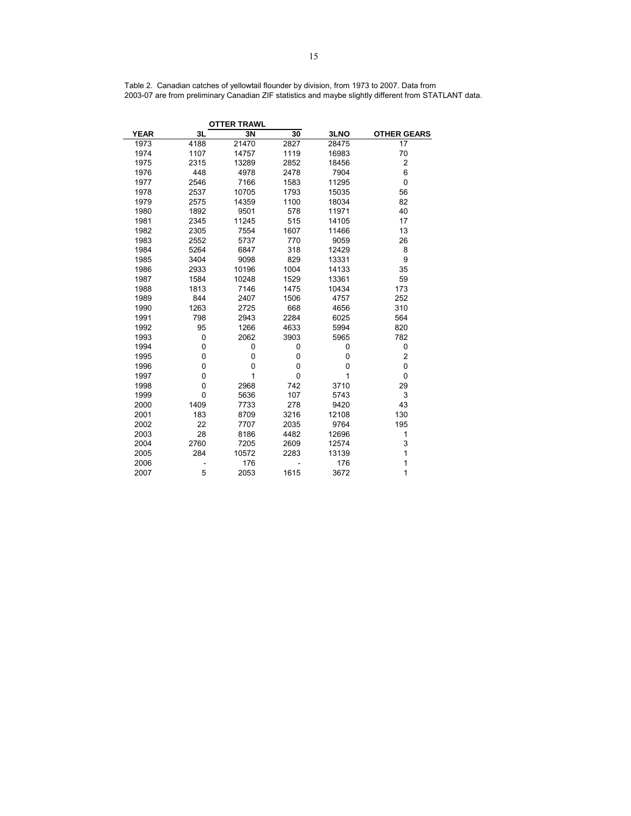| Table 2. Canadian catches of yellowtail flounder by division, from 1973 to 2007. Data from            |  |  |  |
|-------------------------------------------------------------------------------------------------------|--|--|--|
| 2003-07 are from preliminary Canadian ZIF statistics and maybe slightly different from STATLANT data. |  |  |  |

|             |      | <b>OTTER TRAWL</b> |              |       |                    |
|-------------|------|--------------------|--------------|-------|--------------------|
| <b>YEAR</b> | 3L   | 3N                 | 30           | 3LNO  | <b>OTHER GEARS</b> |
| 1973        | 4188 | 21470              | 2827         | 28475 | 17                 |
| 1974        | 1107 | 14757              | 1119         | 16983 | 70                 |
| 1975        | 2315 | 13289              | 2852         | 18456 | $\boldsymbol{2}$   |
| 1976        | 448  | 4978               | 2478         | 7904  | 6                  |
| 1977        | 2546 | 7166               | 1583         | 11295 | 0                  |
| 1978        | 2537 | 10705              | 1793         | 15035 | 56                 |
| 1979        | 2575 | 14359              | 1100         | 18034 | 82                 |
| 1980        | 1892 | 9501               | 578          | 11971 | 40                 |
| 1981        | 2345 | 11245              | 515          | 14105 | 17                 |
| 1982        | 2305 | 7554               | 1607         | 11466 | 13                 |
| 1983        | 2552 | 5737               | 770          | 9059  | 26                 |
| 1984        | 5264 | 6847               | 318          | 12429 | 8                  |
| 1985        | 3404 | 9098               | 829          | 13331 | 9                  |
| 1986        | 2933 | 10196              | 1004         | 14133 | 35                 |
| 1987        | 1584 | 10248              | 1529         | 13361 | 59                 |
| 1988        | 1813 | 7146               | 1475         | 10434 | 173                |
| 1989        | 844  | 2407               | 1506         | 4757  | 252                |
| 1990        | 1263 | 2725               | 668          | 4656  | 310                |
| 1991        | 798  | 2943               | 2284         | 6025  | 564                |
| 1992        | 95   | 1266               | 4633         | 5994  | 820                |
| 1993        | 0    | 2062               | 3903         | 5965  | 782                |
| 1994        | 0    | 0                  | 0            | 0     | 0                  |
| 1995        | 0    | 0                  | 0            | 0     | 2                  |
| 1996        | 0    | 0                  | 0            | 0     | 0                  |
| 1997        | 0    | 1                  | $\mathbf{0}$ | 1     | $\Omega$           |
| 1998        | 0    | 2968               | 742          | 3710  | 29                 |
| 1999        | 0    | 5636               | 107          | 5743  | 3                  |
| 2000        | 1409 | 7733               | 278          | 9420  | 43                 |
| 2001        | 183  | 8709               | 3216         | 12108 | 130                |
| 2002        | 22   | 7707               | 2035         | 9764  | 195                |
| 2003        | 28   | 8186               | 4482         | 12696 | 1                  |
| 2004        | 2760 | 7205               | 2609         | 12574 | 3                  |
| 2005        | 284  | 10572              | 2283         | 13139 | $\mathbf{1}$       |
| 2006        |      | 176                |              | 176   | 1                  |
| 2007        | 5    | 2053               | 1615         | 3672  | 1                  |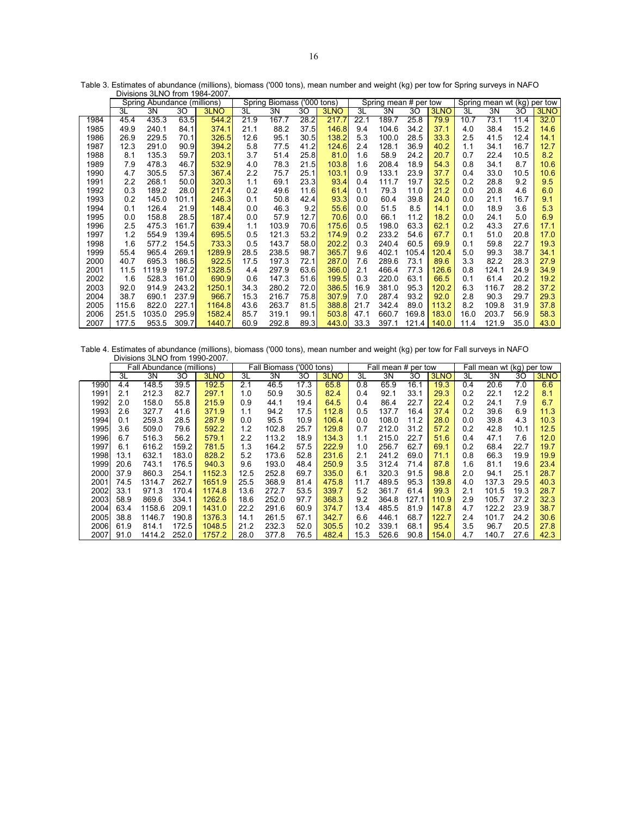|      |       | Spring Abundance (millions) |       |        | Spring | Biomass |      | ('000 tons) |      | Spring mean # per tow |       |       |      | Spring mean wt (kg) per tow |      |      |
|------|-------|-----------------------------|-------|--------|--------|---------|------|-------------|------|-----------------------|-------|-------|------|-----------------------------|------|------|
|      | 3L    | 3N                          | 30    | 3LNO   | 3L     | 3N      | 30   | 3LNO        | 3L   | 3N                    | 30    | 3LNO  | 3L   | 3N                          | 30   | 3LNO |
| 1984 | 45.4  | 435.3                       | 63.5  | 544.2  | 21.9   | 167.7   | 28.2 | 217.7       | 22.1 | 189.7                 | 25.8  | 79.9  | 10.7 | 73.1                        | 11.4 | 32.0 |
| 1985 | 49.9  | 240.1                       | 84.1  | 374.1  | 21.1   | 88.2    | 37.5 | 146.8       | 9.4  | 104.6                 | 34.2  | 37.1  | 4.0  | 38.4                        | 15.2 | 14.6 |
| 1986 | 26.9  | 229.5                       | 70.1  | 326.5  | 12.6   | 95.1    | 30.5 | 138.2       | 5.3  | 100.0                 | 28.5  | 33.3  | 2.5  | 41.5                        | 12.4 | 14.1 |
| 1987 | 12.3  | 291.0                       | 90.9  | 394.2  | 5.8    | 77.5    | 41.2 | 124.6       | 2.4  | 128.1                 | 36.9  | 40.2  | 1.1  | 34.1                        | 16.7 | 12.7 |
| 1988 | 8.1   | 135.3                       | 59.7  | 203.1  | 3.7    | 51.4    | 25.8 | 81.0        | 1.6  | 58.9                  | 24.2  | 20.7  | 0.7  | 22.4                        | 10.5 | 8.2  |
| 1989 | 7.9   | 478.3                       | 46.7  | 532.9  | 4.0    | 78.3    | 21.5 | 103.8       | 1.6  | 208.4                 | 18.9  | 54.3  | 0.8  | 34.1                        | 8.7  | 10.6 |
| 1990 | 4.7   | 305.5                       | 57.3  | 367.4  | 2.2    | 75.7    | 25.1 | 103.1       | 0.9  | 133.1                 | 23.9  | 37.7  | 0.4  | 33.0                        | 10.5 | 10.6 |
| 1991 | 2.2   | 268.1                       | 50.0  | 320.3  | 1.1    | 69.1    | 23.3 | 93.4        | 0.4  | 111.7                 | 19.7  | 32.5  | 0.2  | 28.8                        | 9.2  | 9.5  |
| 1992 | 0.3   | 189.2                       | 28.0  | 217.4  | 0.2    | 49.6    | 11.6 | 61.4        | 0.1  | 79.3                  | 11.0  | 21.2  | 0.0  | 20.8                        | 4.6  | 6.0  |
| 1993 | 0.2   | 145.0                       | 101.1 | 246.3  | 0.1    | 50.8    | 42.4 | 93.3        | 0.0  | 60.4                  | 39.8  | 24.0  | 0.0  | 21.1                        | 16.7 | 9.1  |
| 1994 | 0.1   | 126.4                       | 21.9  | 148.4  | 0.0    | 46.3    | 9.2  | 55.6        | 0.0  | 51.5                  | 8.5   | 14.1  | 0.0  | 18.9                        | 3.6  | 5.3  |
| 1995 | 0.0   | 158.8                       | 28.5  | 187.4  | 0.0    | 57.9    | 12.7 | 70.6        | 0.0  | 66.1                  | 11.2  | 18.2  | 0.0  | 24.1                        | 5.0  | 6.9  |
| 1996 | 2.5   | 475.3                       | 161.7 | 639.4  | 1.1    | 103.9   | 70.6 | 175.6       | 0.5  | 198.0                 | 63.3  | 62.1  | 0.2  | 43.3                        | 27.6 | 17.1 |
| 1997 | 1.2   | 554.9                       | 139.4 | 695.5  | 0.5    | 121.3   | 53.2 | 174.9       | 0.2  | 233.2                 | 54.6  | 67.7  | 0.1  | 51.0                        | 20.8 | 17.0 |
| 1998 | 1.6   | 577.2                       | 154.5 | 733.3  | 0.5    | 143.7   | 58.0 | 202.2       | 0.3  | 240.4                 | 60.5  | 69.9  | 0.1  | 59.8                        | 22.7 | 19.3 |
| 1999 | 55.4  | 965.4                       | 269.1 | 1289.9 | 28.5   | 238.5   | 98.7 | 365.7       | 9.6  | 402.1                 | 105.4 | 120.4 | 5.0  | 99.3                        | 38.7 | 34.1 |
| 2000 | 40.7  | 695.3                       | 186.5 | 922.5  | 17.5   | 197.3   | 72.1 | 287.0       | 7.6  | 289.6                 | 73.1  | 89.6  | 3.3  | 82.2                        | 28.3 | 27.9 |
| 2001 | 11.5  | 1119.9                      | 197.2 | 1328.5 | 4.4    | 297.9   | 63.6 | 366.0       | 2.1  | 466.4                 | 77.3  | 126.6 | 0.8  | 124.1                       | 24.9 | 34.9 |
| 2002 | 1.6   | 528.3                       | 161.0 | 690.9  | 0.6    | 147.3   | 51.6 | 199.5       | 0.3  | 220.0                 | 63.1  | 66.5  | 0.1  | 61.4                        | 20.2 | 19.2 |
| 2003 | 92.0  | 914.9                       | 243.2 | 1250.1 | 34.3   | 280.2   | 72.0 | 386.5       | 16.9 | 381.0                 | 95.3  | 120.2 | 6.3  | 116.7                       | 28.2 | 37.2 |
| 2004 | 38.7  | 690.1                       | 237.9 | 966.7  | 15.3   | 216.7   | 75.8 | 307.9       | 7.0  | 287.4                 | 93.2  | 92.0  | 2.8  | 90.3                        | 29.7 | 29.3 |
| 2005 | 115.6 | 822.0                       | 227.1 | 1164.8 | 43.6   | 263.7   | 81.5 | 388.8       | 21.7 | 342.4                 | 89.0  | 113.2 | 8.2  | 109.8                       | 31.9 | 37.8 |
| 2006 | 251.5 | 1035.0                      | 295.9 | 1582.4 | 85.7   | 319.1   | 99.1 | 503.8       | 47.1 | 660.7                 | 169.8 | 183.0 | 16.0 | 203.7                       | 56.9 | 58.3 |
| 2007 | 177.5 | 953.5                       | 309.7 | 1440.7 | 60.9   | 292.8   | 89.3 | 443.0       | 33.3 | 397.1                 | 121.4 | 140.0 | 11.4 | 121.9                       | 35.0 | 43.0 |

Table 3. Estimates of abundance (millions), biomass ('000 tons), mean number and weight (kg) per tow for Spring surveys in NAFO Divisions 3LNO from 1984-2007.

Table 4. Estimates of abundance (millions), biomass ('000 tons), mean number and weight (kg) per tow for Fall surveys in NAFO Divisions 3LNO from 1990-2007.

|      | Fall Abundance (millions) |        |       |        | Fall Biomass ('000 tons) |       |      |       |      | Fall mean # per tow |       |       | Fall mean wt (kg) per tow |       |      |      |
|------|---------------------------|--------|-------|--------|--------------------------|-------|------|-------|------|---------------------|-------|-------|---------------------------|-------|------|------|
|      | 3L                        | 3N     | 30    | 3LNO   | 3L                       | 3N    | 30   | 3LNO  | 3L   | 3N                  | 30    | 3LNO  | 3L                        | 3N    | 30   | 3LNO |
| 1990 | 4.4                       | 148.5  | 39.5  | 192.5  | 2.1                      | 46.5  | 17.3 | 65.8  | 0.8  | 65.9                | 16.1  | 19.3  | 0.4                       | 20.6  | 7.0  | 6.6  |
| 1991 | 2.1                       | 212.3  | 82.7  | 297.1  | 1.0                      | 50.9  | 30.5 | 82.4  | 0.4  | 92.1                | 33.1  | 29.3  | 0.2                       | 22.1  | 12.2 | 8.1  |
| 1992 | 2.0                       | 158.0  | 55.8  | 215.9  | 0.9                      | 44.1  | 19.4 | 64.5  | 0.4  | 86.4                | 22.7  | 22.4  | 0.2                       | 24.1  | 7.9  | 6.7  |
| 1993 | 2.6                       | 327.7  | 41.6  | 371.9  | 1.1                      | 94.2  | 17.5 | 112.8 | 0.5  | 137.7               | 16.4  | 37.4  | 0.2                       | 39.6  | 6.9  | 11.3 |
| 1994 | 0.1                       | 259.3  | 28.5  | 287.9  | 0.0                      | 95.5  | 10.9 | 106.4 | 0.0  | 108.0               | 11.2  | 28.0  | 0.0                       | 39.8  | 4.3  | 10.3 |
| 1995 | 3.6                       | 509.0  | 79.6  | 592.2  | 1.2                      | 102.8 | 25.7 | 129.8 | 0.7  | 212.0               | 31.2  | 57.2  | 0.2                       | 42.8  | 10.1 | 12.5 |
| 1996 | 6.7                       | 516.3  | 56.2  | 579.1  | 2.2                      | 113.2 | 18.9 | 134.3 | 1.1  | 215.0               | 22.7  | 51.6  | 0.4                       | 47.1  | 7.6  | 12.0 |
| 1997 | 6.1                       | 616.2  | 159.2 | 781.5  | 1.3                      | 164.2 | 57.5 | 222.9 | 1.0  | 256.7               | 62.7  | 69.1  | 0.2                       | 68.4  | 22.7 | 19.7 |
| 1998 | 13.1                      | 632.1  | 183.0 | 828.2  | 5.2                      | 173.6 | 52.8 | 231.6 | 2.1  | 241.2               | 69.0  | 71.1  | 0.8                       | 66.3  | 19.9 | 19.9 |
| 1999 | 20.6                      | 743.1  | 176.5 | 940.3  | 9.6                      | 193.0 | 48.4 | 250.9 | 3.5  | 312.4               | 71.4  | 87.8  | 1.6                       | 81.1  | 19.6 | 23.4 |
| 2000 | 37.9                      | 860.3  | 254.1 | 1152.3 | 12.5                     | 252.8 | 69.7 | 335.0 | 6.1  | 320.3               | 91.5  | 98.8  | 2.0                       | 94.1  | 25.1 | 28.7 |
| 2001 | 74.5                      | 1314.7 | 262.7 | 1651.9 | 25.5                     | 368.9 | 81.4 | 475.8 | 11.7 | 489.5               | 95.3  | 139.8 | 4.0                       | 137.3 | 29.5 | 40.3 |
| 2002 | 33.1                      | 971.3  | 170.4 | 1174.8 | 13.6                     | 272.7 | 53.5 | 339.7 | 5.2  | 361.7               | 61.4  | 99.3  | 2.1                       | 101.5 | 19.3 | 28.7 |
| 2003 | 58.9                      | 869.6  | 334.1 | 1262.6 | 18.6                     | 252.0 | 97.7 | 368.3 | 9.2  | 364.8               | 127.1 | 110.9 | 2.9                       | 105.7 | 37.2 | 32.3 |
| 2004 | 63.4                      | 1158.6 | 209.1 | 1431.0 | 22.2                     | 291.6 | 60.9 | 374.7 | 13.4 | 485.5               | 81.9  | 147.8 | 4.7                       | 122.2 | 23.9 | 38.7 |
| 2005 | 38.8                      | 1146.7 | 190.8 | 1376.3 | 14.1                     | 261.5 | 67.1 | 342.7 | 6.6  | 446.1               | 68.7  | 122.7 | 2.4                       | 101.7 | 24.2 | 30.6 |
| 2006 | 61.9                      | 814.1  | 172.5 | 1048.5 | 21.2                     | 232.3 | 52.0 | 305.5 | 10.2 | 339.1               | 68.1  | 95.4  | 3.5                       | 96.7  | 20.5 | 27.8 |
| 2007 | 91.0                      | 1414.2 | 252.0 | 1757.2 | 28.0                     | 377.8 | 76.5 | 482.4 | 15.3 | 526.6               | 90.8  | 154.0 | 4.7                       | 140.7 | 27.6 | 42.3 |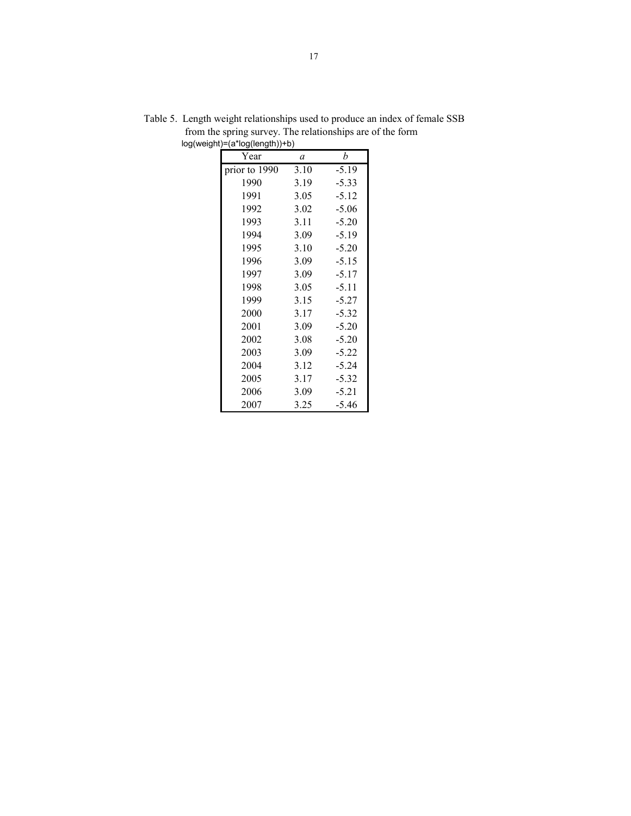| Year          | $\mathfrak a$ | h       |
|---------------|---------------|---------|
| prior to 1990 | 3.10          | $-5.19$ |
| 1990          | 3.19          | $-5.33$ |
| 1991          | 3.05          | $-5.12$ |
| 1992          | 3.02          | $-5.06$ |
| 1993          | 3.11          | $-5.20$ |
| 1994          | 3.09          | $-5.19$ |
| 1995          | 3.10          | $-5.20$ |
| 1996          | 3.09          | $-5.15$ |
| 1997          | 3.09          | $-5.17$ |
| 1998          | 3.05          | $-5.11$ |
| 1999          | 3.15          | $-5.27$ |
| 2000          | 3.17          | $-5.32$ |
| 2001          | 3.09          | $-5.20$ |
| 2002          | 3.08          | $-5.20$ |
| 2003          | 3.09          | $-5.22$ |
| 2004          | 3.12          | $-5.24$ |
| 2005          | 3.17          | $-5.32$ |
| 2006          | 3.09          | $-5.21$ |
| 2007          | 3.25          | -5.46   |

Table 5. Length weight relationships used to produce an index of female SSB from the spring survey. The relationships are of the form log(weight)=(a\*log(length))+b)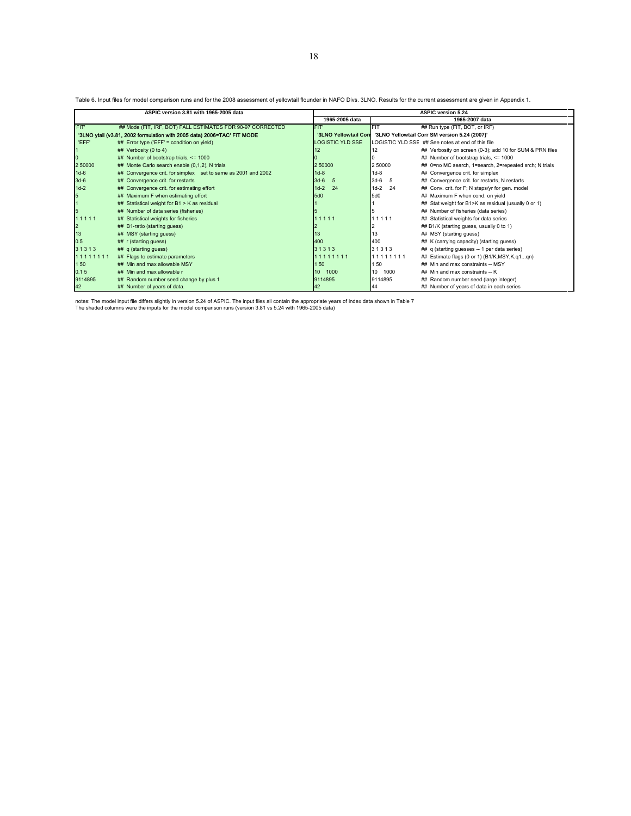Table 6. Input files for model comparison runs and for the 2008 assessment of yellowtail flounder in NAFO Divs. 3LNO. Results for the current assessment are given in Appendix 1.

|                | ASPIC version 3.81 with 1965-2005 data                                  |                                                                        |                          | <b>ASPIC version 5.24</b>                                |  |  |
|----------------|-------------------------------------------------------------------------|------------------------------------------------------------------------|--------------------------|----------------------------------------------------------|--|--|
|                |                                                                         | 1965-2005 data                                                         |                          | 1965-2007 data                                           |  |  |
| 'FIT'          | ## Mode (FIT, IRF, BOT) FALL ESTIMATES FOR 90-97 CORRECTED              | FIT'                                                                   | <b>FIT</b>               | ## Run type (FIT, BOT, or IRF)                           |  |  |
|                | '3LNO ytail (v3.81, 2002 formulation with 2005 data) 2006=TAC' FIT MODE | '3LNO Yellowtail Corr SM version 5.24 (2007)'<br>'3LNO Yellowtail Corr |                          |                                                          |  |  |
| 'EFF'          | $\#$ Error type ('EFF' = condition on yield)                            | <b>LOGISTIC YLD SSE</b>                                                |                          | LOGISTIC YLD SSE ## See notes at end of this file        |  |  |
|                | ## Verbosity (0 to 4)                                                   |                                                                        | 12                       | ## Verbosity on screen (0-3); add 10 for SUM & PRN files |  |  |
| 0              | ## Number of bootstrap trials, <= 1000                                  |                                                                        |                          | ## Number of bootstrap trials, <= 1000                   |  |  |
| 2 50000        | ## Monte Carlo search enable (0,1,2), N trials                          | 2 50000                                                                | 2 50000                  | ## 0=no MC search, 1=search, 2=repeated srch; N trials   |  |  |
| $1d-6$         | ## Convergence crit. for simplex set to same as 2001 and 2002           | $1d-8$                                                                 | $1d-8$                   | ## Convergence crit. for simplex                         |  |  |
| $3d-6$         | ## Convergence crit. for restarts                                       | $3d-6$<br>-5                                                           | $3d-6$<br>5              | ## Convergence crit. for restarts, N restarts            |  |  |
| $1d-2$         | ## Convergence crit. for estimating effort                              | 24<br>$1d-2$                                                           | 24<br>$1d-2$             | ## Conv. crit. for F; N steps/yr for gen. model          |  |  |
| 5              | ## Maximum F when estimating effort                                     | 5d0                                                                    | 5d0                      | ## Maximum F when cond. on yield                         |  |  |
|                | ## Statistical weight for B1 > K as residual                            |                                                                        |                          | ## Stat weight for B1>K as residual (usually 0 or 1)     |  |  |
| 5              | ## Number of data series (fisheries)                                    |                                                                        |                          | ## Number of fisheries (data series)                     |  |  |
| 11111          | ## Statistical weights for fisheries                                    | 11111                                                                  | 11111                    | ## Statistical weights for data series                   |  |  |
| $\overline{2}$ | ## B1-ratio (starting guess)                                            |                                                                        |                          | ## B1/K (starting guess, usually 0 to 1)                 |  |  |
| 13             | ## MSY (starting guess)                                                 |                                                                        | 13                       | ## MSY (starting quess)                                  |  |  |
| 0.5            | ## r (starting guess)                                                   | 400                                                                    | 400                      | ## K (carrying capacity) (starting guess)                |  |  |
| 31313          | ## q (starting quess)                                                   | 31313                                                                  | 31313                    | ## q (starting guesses -- 1 per data series)             |  |  |
| 11111111       | ## Flags to estimate parameters                                         | 11111111                                                               | 11111111                 | ## Estimate flags (0 or 1) (B1/K, MSY, K, q1qn)          |  |  |
| 1 50           | ## Min and max allowable MSY                                            | 150                                                                    | 1 50                     | ## Min and max constraints -- MSY                        |  |  |
| 0.15           | ## Min and max allowable r                                              | $10-1$<br>1000                                                         | 1000<br>10 <sup>10</sup> | ## Min and max constraints -- K                          |  |  |
| 9114895        | ## Random number seed change by plus 1                                  | 9114895                                                                | 9114895                  | ## Random number seed (large integer)                    |  |  |
| 42             | ## Number of years of data.                                             | 42                                                                     | 44                       | ## Number of years of data in each series                |  |  |

notes: The model input file differs slightly in version 5.24 of ASPIC. The input files all contain the appropriate years of index data shown in Table 7<br>The shaded columns were the inputs for the model comparison runs (vers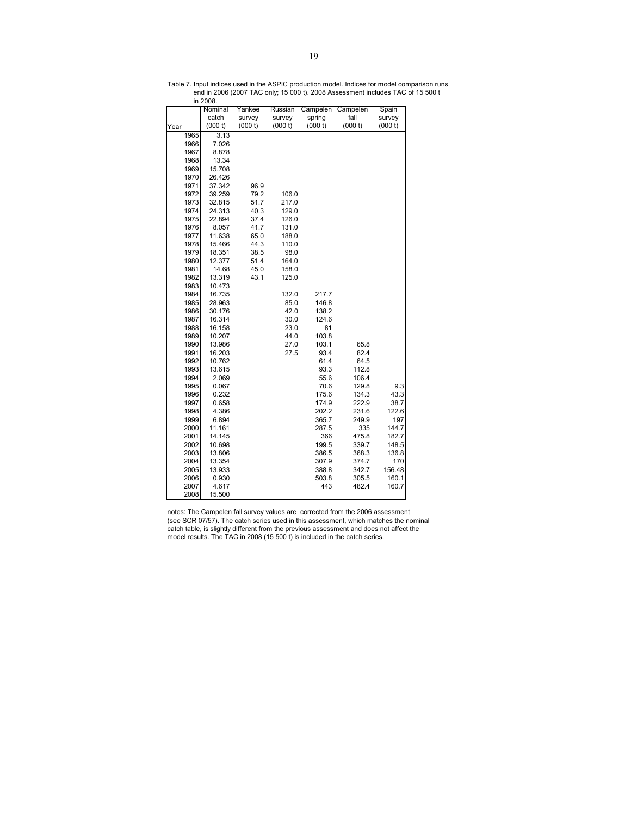|              | Nominal        | Yankee  | Russian | Campelen     | Campelen       | Spain   |
|--------------|----------------|---------|---------|--------------|----------------|---------|
|              | catch          | survey  | survey  | spring       | fall           | survey  |
| Year         | (000 t)        | (000 t) | (000 t) | (000 t)      | (000 t)        | (000 t) |
| 1965         | 3.13           |         |         |              |                |         |
| 1966         | 7.026          |         |         |              |                |         |
| 1967         | 8.878          |         |         |              |                |         |
| 1968         | 13.34          |         |         |              |                |         |
| 1969         | 15.708         |         |         |              |                |         |
| 1970         | 26.426         |         |         |              |                |         |
| 1971         | 37.342         | 96.9    |         |              |                |         |
| 1972         | 39.259         | 79.2    | 106.0   |              |                |         |
| 1973         | 32.815         | 51.7    | 217.0   |              |                |         |
| 1974         | 24.313         | 40.3    | 129.0   |              |                |         |
| 1975         | 22.894         | 37.4    | 126.0   |              |                |         |
| 1976         | 8.057          | 41.7    | 131.0   |              |                |         |
| 1977         | 11.638         | 65.0    | 188.0   |              |                |         |
| 1978         | 15.466         | 44.3    | 110.0   |              |                |         |
| 1979         | 18.351         | 38.5    | 98.0    |              |                |         |
| 1980         | 12.377         | 51.4    | 164.0   |              |                |         |
| 1981         | 14.68          | 45.0    | 158.0   |              |                |         |
| 1982         | 13.319         | 43.1    | 125.0   |              |                |         |
| 1983         | 10.473         |         |         |              |                |         |
| 1984         | 16.735         |         | 132.0   | 217.7        |                |         |
| 1985         | 28.963         |         | 85.0    | 146.8        |                |         |
| 1986         | 30.176         |         | 42.0    | 138.2        |                |         |
| 1987         | 16.314         |         | 30.0    | 124.6        |                |         |
| 1988         | 16.158         |         | 23.0    | 81           |                |         |
| 1989         | 10.207         |         | 44.0    | 103.8        |                |         |
| 1990         | 13.986         |         | 27.0    | 103.1        | 65.8           |         |
| 1991<br>1992 | 16.203         |         | 27.5    | 93.4<br>61.4 | 82.4           |         |
|              | 10.762         |         |         |              | 64.5           |         |
| 1993         | 13.615         |         |         | 93.3         | 112.8          |         |
| 1994<br>1995 | 2.069<br>0.067 |         |         | 55.6<br>70.6 | 106.4<br>129.8 | 9.3     |
| 1996         | 0.232          |         |         | 175.6        | 134.3          | 43.3    |
| 1997         | 0.658          |         |         | 174.9        | 222.9          | 38.7    |
| 1998         | 4.386          |         |         | 202.2        | 231.6          | 122.6   |
| 1999         | 6.894          |         |         | 365.7        | 249.9          | 197     |
| 2000         | 11.161         |         |         | 287.5        | 335            | 144.7   |
| 2001         | 14.145         |         |         | 366          | 475.8          | 182.7   |
| 2002         | 10.698         |         |         | 199.5        | 339.7          | 148.5   |
| 2003         | 13.806         |         |         | 386.5        | 368.3          | 136.8   |
| 2004         | 13.354         |         |         | 307.9        | 374.7          | 170     |
| 2005         | 13.933         |         |         | 388.8        | 342.7          | 156.48  |
| 2006         | 0.930          |         |         | 503.8        | 305.5          | 160.1   |
| 2007         | 4.617          |         |         | 443          | 482.4          | 160.7   |
| 2008         | 15.500         |         |         |              |                |         |

Table 7. Input indices used in the ASPIC production model. Indices for model comparison runs end in 2006 (2007 TAC only; 15 000 t). 2008 Assessment includes TAC of 15 500 t in 2008.

notes: The Campelen fall survey values are corrected from the 2006 assessment (see SCR 07/57). The catch series used in this assessment, which matches the nominal catch table, is slightly different from the previous assessment and does not affect the model results. The TAC in 2008 (15 500 t) is included in the catch series.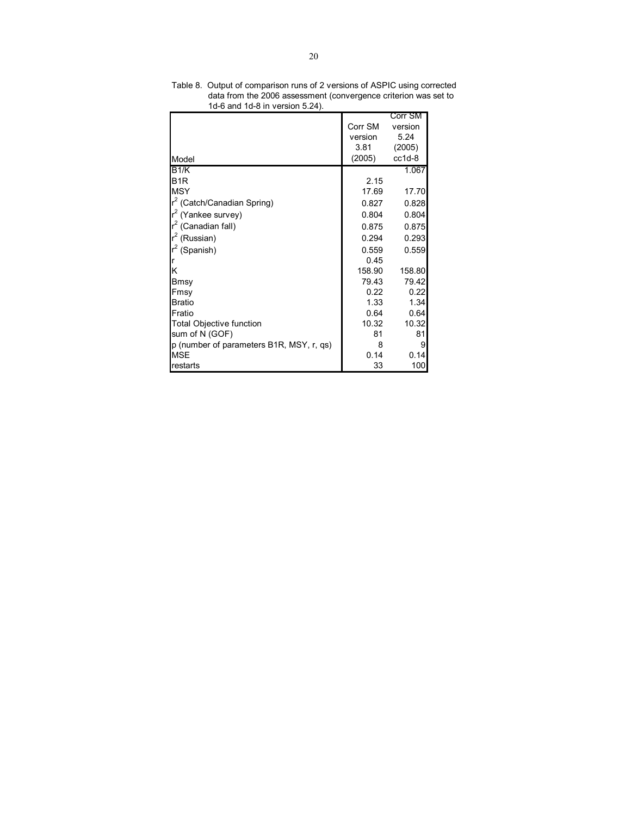|                                          |         | Corr SM  |
|------------------------------------------|---------|----------|
|                                          | Corr SM | version  |
|                                          | version | 5.24     |
|                                          | 3.81    | (2005)   |
| Model                                    | (2005)  | $cc1d-8$ |
| B1/K                                     |         | 1.067    |
| B <sub>1</sub> R                         | 2.15    |          |
| <b>MSY</b>                               | 17.69   | 17.70    |
| $r^2$ (Catch/Canadian Spring)            | 0.827   | 0.828    |
| $r^2$ (Yankee survey)                    | 0.804   | 0.804    |
| $r^2$ (Canadian fall)                    | 0.875   | 0.875    |
| $r^2$ (Russian)                          | 0.294   | 0.293    |
| $r^2$ (Spanish)                          | 0.559   | 0.559    |
|                                          | 0.45    |          |
| Κ                                        | 158.90  | 158.80   |
| Bmsy                                     | 79.43   | 79.42    |
| Fmsy                                     | 0.22    | 0.22     |
| Bratio                                   | 1.33    | 1.34     |
| Fratio                                   | 0.64    | 0.64     |
| <b>Total Objective function</b>          | 10.32   | 10.32    |
| sum of N (GOF)                           | 81      | 81       |
| p (number of parameters B1R, MSY, r, qs) | 8       | 9        |
| <b>MSE</b>                               | 0.14    | 0.14     |
| restarts                                 | 33      | 100      |

Table 8. Output of comparison runs of 2 versions of ASPIC using corrected data from the 2006 assessment (convergence criterion was set to 1d-6 and 1d-8 in version 5.24).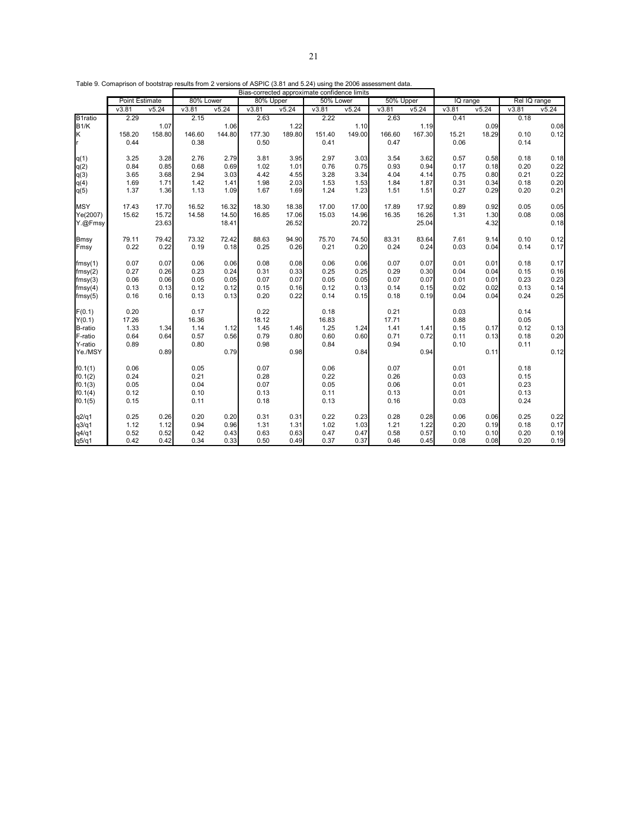|             |                       |        |           |        |           |        | Bias-corrected approximate confidence limits |        |           |        |          |       |              |       |
|-------------|-----------------------|--------|-----------|--------|-----------|--------|----------------------------------------------|--------|-----------|--------|----------|-------|--------------|-------|
|             | <b>Point Estimate</b> |        | 80% Lower |        | 80% Upper |        | 50% Lower                                    |        | 50% Upper |        | IQ range |       | Rel IQ range |       |
|             | V3.81                 | v5.24  | V3.81     | v5.24  | V3.81     | v5.24  | V3.81                                        | V5.24  | V3.81     | v5.24  | V3.81    | v5.24 | V3.81        | v5.24 |
| B1ratio     | 2.29                  |        | 2.15      |        | 2.63      |        | 2.22                                         |        | 2.63      |        | 0.41     |       | 0.18         |       |
| <b>B1/K</b> |                       | 1.07   |           | 1.06   |           | 1.22   |                                              | 1.10   |           | 1.19   |          | 0.09  |              | 0.08  |
| K           | 158.20                | 158.80 | 146.60    | 144.80 | 177.30    | 189.80 | 151.40                                       | 149.00 | 166.60    | 167.30 | 15.21    | 18.29 | 0.10         | 0.12  |
| lr.         | 0.44                  |        | 0.38      |        | 0.50      |        | 0.41                                         |        | 0.47      |        | 0.06     |       | 0.14         |       |
| q(1)        | 3.25                  | 3.28   | 2.76      | 2.79   | 3.81      | 3.95   | 2.97                                         | 3.03   | 3.54      | 3.62   | 0.57     | 0.58  | 0.18         | 0.18  |
| q(2)        | 0.84                  | 0.85   | 0.68      | 0.69   | 1.02      | 1.01   | 0.76                                         | 0.75   | 0.93      | 0.94   | 0.17     | 0.18  | 0.20         | 0.22  |
| q(3)        | 3.65                  | 3.68   | 2.94      | 3.03   | 4.42      | 4.55   | 3.28                                         | 3.34   | 4.04      | 4.14   | 0.75     | 0.80  | 0.21         | 0.22  |
| q(4)        | 1.69                  | 1.71   | 1.42      | 1.41   | 1.98      | 2.03   | 1.53                                         | 1.53   | 1.84      | 1.87   | 0.31     | 0.34  | 0.18         | 0.20  |
| q(5)        | 1.37                  | 1.36   | 1.13      | 1.09   | 1.67      | 1.69   | 1.24                                         | 1.23   | 1.51      | 1.51   | 0.27     | 0.29  | 0.20         | 0.21  |
| <b>MSY</b>  | 17.43                 | 17.70  | 16.52     | 16.32  | 18.30     | 18.38  | 17.00                                        | 17.00  | 17.89     | 17.92  | 0.89     | 0.92  | 0.05         | 0.05  |
| Ye(2007)    | 15.62                 | 15.72  | 14.58     | 14.50  | 16.85     | 17.06  | 15.03                                        | 14.96  | 16.35     | 16.26  | 1.31     | 1.30  | 0.08         | 0.08  |
| Y.@Fmsy     |                       | 23.63  |           | 18.41  |           | 26.52  |                                              | 20.72  |           | 25.04  |          | 4.32  |              | 0.18  |
| <b>Bmsy</b> | 79.11                 | 79.42  | 73.32     | 72.42  | 88.63     | 94.90  | 75.70                                        | 74.50  | 83.31     | 83.64  | 7.61     | 9.14  | 0.10         | 0.12  |
| Fmsy        | 0.22                  | 0.22   | 0.19      | 0.18   | 0.25      | 0.26   | 0.21                                         | 0.20   | 0.24      | 0.24   | 0.03     | 0.04  | 0.14         | 0.17  |
| fmsy(1)     | 0.07                  | 0.07   | 0.06      | 0.06   | 0.08      | 0.08   | 0.06                                         | 0.06   | 0.07      | 0.07   | 0.01     | 0.01  | 0.18         | 0.17  |
| fmsy(2)     | 0.27                  | 0.26   | 0.23      | 0.24   | 0.31      | 0.33   | 0.25                                         | 0.25   | 0.29      | 0.30   | 0.04     | 0.04  | 0.15         | 0.16  |
| fmsy(3)     | 0.06                  | 0.06   | 0.05      | 0.05   | 0.07      | 0.07   | 0.05                                         | 0.05   | 0.07      | 0.07   | 0.01     | 0.01  | 0.23         | 0.23  |
| fmsy(4)     | 0.13                  | 0.13   | 0.12      | 0.12   | 0.15      | 0.16   | 0.12                                         | 0.13   | 0.14      | 0.15   | 0.02     | 0.02  | 0.13         | 0.14  |
| fmsy(5)     | 0.16                  | 0.16   | 0.13      | 0.13   | 0.20      | 0.22   | 0.14                                         | 0.15   | 0.18      | 0.19   | 0.04     | 0.04  | 0.24         | 0.25  |
| F(0.1)      | 0.20                  |        | 0.17      |        | 0.22      |        | 0.18                                         |        | 0.21      |        | 0.03     |       | 0.14         |       |
| Y(0.1)      | 17.26                 |        | 16.36     |        | 18.12     |        | 16.83                                        |        | 17.71     |        | 0.88     |       | 0.05         |       |
| B-ratio     | 1.33                  | 1.34   | 1.14      | 1.12   | 1.45      | 1.46   | 1.25                                         | 1.24   | 1.41      | 1.41   | 0.15     | 0.17  | 0.12         | 0.13  |
| F-ratio     | 0.64                  | 0.64   | 0.57      | 0.56   | 0.79      | 0.80   | 0.60                                         | 0.60   | 0.71      | 0.72   | 0.11     | 0.13  | 0.18         | 0.20  |
| Y-ratio     | 0.89                  |        | 0.80      |        | 0.98      |        | 0.84                                         |        | 0.94      |        | 0.10     |       | 0.11         |       |
| Ye./MSY     |                       | 0.89   |           | 0.79   |           | 0.98   |                                              | 0.84   |           | 0.94   |          | 0.11  |              | 0.12  |
| f0.1(1)     | 0.06                  |        | 0.05      |        | 0.07      |        | 0.06                                         |        | 0.07      |        | 0.01     |       | 0.18         |       |
| f0.1(2)     | 0.24                  |        | 0.21      |        | 0.28      |        | 0.22                                         |        | 0.26      |        | 0.03     |       | 0.15         |       |
| f0.1(3)     | 0.05                  |        | 0.04      |        | 0.07      |        | 0.05                                         |        | 0.06      |        | 0.01     |       | 0.23         |       |
| f0.1(4)     | 0.12                  |        | 0.10      |        | 0.13      |        | 0.11                                         |        | 0.13      |        | 0.01     |       | 0.13         |       |
| f0.1(5)     | 0.15                  |        | 0.11      |        | 0.18      |        | 0.13                                         |        | 0.16      |        | 0.03     |       | 0.24         |       |
| q2/q1       | 0.25                  | 0.26   | 0.20      | 0.20   | 0.31      | 0.31   | 0.22                                         | 0.23   | 0.28      | 0.28   | 0.06     | 0.06  | 0.25         | 0.22  |
| q3/q1       | 1.12                  | 1.12   | 0.94      | 0.96   | 1.31      | 1.31   | 1.02                                         | 1.03   | 1.21      | 1.22   | 0.20     | 0.19  | 0.18         | 0.17  |
| q4/q1       | 0.52                  | 0.52   | 0.42      | 0.43   | 0.63      | 0.63   | 0.47                                         | 0.47   | 0.58      | 0.57   | 0.10     | 0.10  | 0.20         | 0.19  |
| q5/q1       | 0.42                  | 0.42   | 0.34      | 0.33   | 0.50      | 0.49   | 0.37                                         | 0.37   | 0.46      | 0.45   | 0.08     | 0.08  | 0.20         | 0.19  |

Table 9. Comaprison of bootstrap results from 2 versions of ASPIC (3.81 and 5.24) using the 2006 assessment data.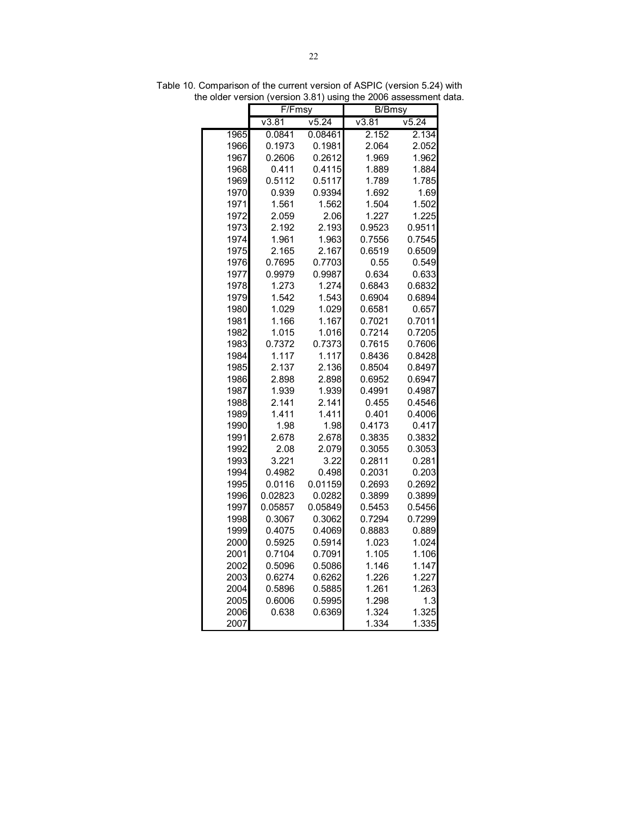|      | F/Fmsy  |         | <b>B/Bmsy</b> |        |  |  |  |
|------|---------|---------|---------------|--------|--|--|--|
|      | V3.81   | V5.24   | V3.81         | v5.24  |  |  |  |
| 1965 | 0.0841  | 0.08461 | 2.152         | 2.134  |  |  |  |
| 1966 | 0.1973  | 0.1981  | 2.064         | 2.052  |  |  |  |
| 1967 | 0.2606  | 0.2612  | 1.969         | 1.962  |  |  |  |
| 1968 | 0.411   | 0.4115  | 1.889         | 1.884  |  |  |  |
| 1969 | 0.5112  | 0.5117  | 1.789         | 1.785  |  |  |  |
| 1970 | 0.939   | 0.9394  | 1.692         | 1.69   |  |  |  |
| 1971 | 1.561   | 1.562   | 1.504         | 1.502  |  |  |  |
| 1972 | 2.059   | 2.06    | 1.227         | 1.225  |  |  |  |
| 1973 | 2.192   | 2.193   | 0.9523        | 0.9511 |  |  |  |
| 1974 | 1.961   | 1.963   | 0.7556        | 0.7545 |  |  |  |
| 1975 | 2.165   | 2.167   | 0.6519        | 0.6509 |  |  |  |
| 1976 | 0.7695  | 0.7703  | 0.55          | 0.549  |  |  |  |
| 1977 | 0.9979  | 0.9987  | 0.634         | 0.633  |  |  |  |
| 1978 | 1.273   | 1.274   | 0.6843        | 0.6832 |  |  |  |
| 1979 | 1.542   | 1.543   | 0.6904        | 0.6894 |  |  |  |
| 1980 | 1.029   | 1.029   | 0.6581        | 0.657  |  |  |  |
| 1981 | 1.166   | 1.167   | 0.7021        | 0.7011 |  |  |  |
| 1982 | 1.015   | 1.016   | 0.7214        | 0.7205 |  |  |  |
| 1983 | 0.7372  | 0.7373  | 0.7615        | 0.7606 |  |  |  |
| 1984 | 1.117   | 1.117   | 0.8436        | 0.8428 |  |  |  |
| 1985 | 2.137   | 2.136   | 0.8504        | 0.8497 |  |  |  |
| 1986 | 2.898   | 2.898   | 0.6952        | 0.6947 |  |  |  |
| 1987 | 1.939   | 1.939   | 0.4991        | 0.4987 |  |  |  |
| 1988 | 2.141   | 2.141   | 0.455         | 0.4546 |  |  |  |
| 1989 | 1.411   | 1.411   | 0.401         | 0.4006 |  |  |  |
| 1990 | 1.98    | 1.98    | 0.4173        | 0.417  |  |  |  |
| 1991 | 2.678   | 2.678   | 0.3835        | 0.3832 |  |  |  |
| 1992 | 2.08    | 2.079   | 0.3055        | 0.3053 |  |  |  |
| 1993 | 3.221   | 3.22    | 0.2811        | 0.281  |  |  |  |
| 1994 | 0.4982  | 0.498   | 0.2031        | 0.203  |  |  |  |
| 1995 | 0.0116  | 0.01159 | 0.2693        | 0.2692 |  |  |  |
| 1996 | 0.02823 | 0.0282  | 0.3899        | 0.3899 |  |  |  |
| 1997 | 0.05857 | 0.05849 | 0.5453        | 0.5456 |  |  |  |
| 1998 | 0.3067  | 0.3062  | 0.7294        | 0.7299 |  |  |  |
| 1999 | 0.4075  | 0.4069  | 0.8883        | 0.889  |  |  |  |
| 2000 | 0.5925  | 0.5914  | 1.023         | 1.024  |  |  |  |
| 2001 | 0.7104  | 0.7091  | 1.105         | 1.106  |  |  |  |
| 2002 | 0.5096  | 0.5086  | 1.146         | 1.147  |  |  |  |
| 2003 | 0.6274  | 0.6262  | 1.226         | 1.227  |  |  |  |
| 2004 | 0.5896  | 0.5885  | 1.261         | 1.263  |  |  |  |
| 2005 | 0.6006  | 0.5995  | 1.298         | 1.3    |  |  |  |
| 2006 | 0.638   | 0.6369  | 1.324         | 1.325  |  |  |  |
| 2007 |         |         | 1.334         | 1.335  |  |  |  |

Table 10. Comparison of the current version of ASPIC (version 5.24) with the older version (version 3.81) using the 2006 assessment data.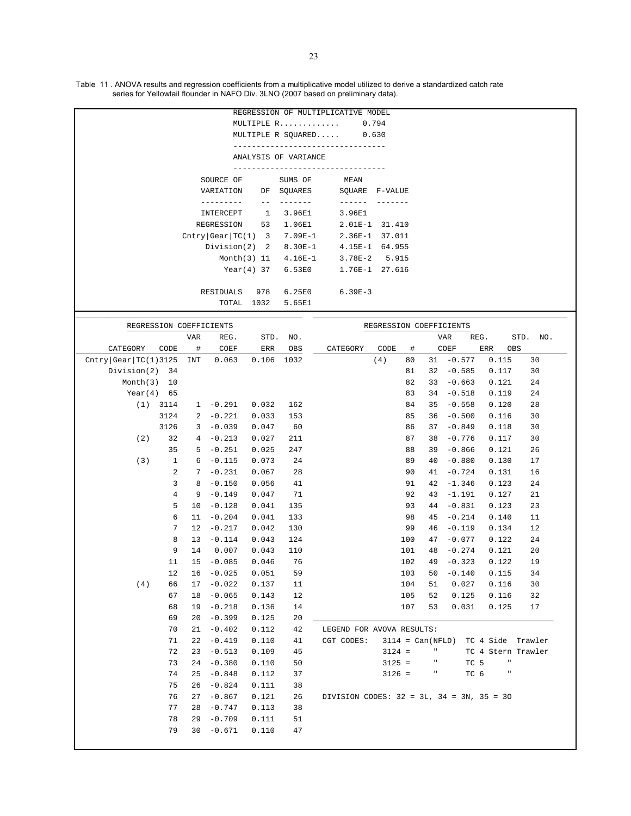Table 11 . ANOVA results and regression coefficients from a multiplicative model utilized to derive a standardized catch rate series for Yellowtail flounder in NAFO Div. 3LNO (2007 based on preliminary data).

| REGRESSION OF MULTIPLICATIVE MODEL          |
|---------------------------------------------|
| MULTIPLE $R$ 0.794                          |
| MULTIPLE R SOUARED 0.630                    |
|                                             |
| ANALYSIS OF VARIANCE                        |
|                                             |
| SOURCE OF SUMS OF MEAN                      |
| VARIATION DF SQUARES SQUARE F-VALUE         |
|                                             |
| INTERCEPT 1 3.96E1<br>3.96E1                |
| REGRESSION 53 1.06E1<br>2.01E-1 31.410      |
| $Chtry Gear TC(1) 3 7.09E-1 2.36E-1 37.011$ |
| Division(2) 2 8.30E-1 4.15E-1 64.955        |
| Month(3) 11 4.16E-1 3.78E-2 5.915           |
| 1.76E-1 27.616<br>Year(4) 37 6.53E0         |
|                                             |
| RESIDUALS 978 6.25E0 6.39E-3                |
| TOTAL 1032 5.65E1                           |
|                                             |

|                      |                |            | REGRESSION COEFFICIENTS |            |      |                                                   |      |          |                    | REGRESSION COEFFICIENTS |                    |               |          |  |
|----------------------|----------------|------------|-------------------------|------------|------|---------------------------------------------------|------|----------|--------------------|-------------------------|--------------------|---------------|----------|--|
|                      |                | <b>VAR</b> | REG.                    | STD.       | NO.  |                                                   |      |          |                    | <b>VAR</b>              | REG.               |               | STD. NO. |  |
| CATEGORY             | CODE           | $\#$       | COEF                    | $\rm{ERR}$ | OBS  | CATEGORY                                          | CODE |          | #                  | COEF                    | ERR                | OBS           |          |  |
| Chtry Gear TC(1)3125 |                | <b>INT</b> | 0.063                   | 0.106      | 1032 |                                                   | (4)  | 80       | 31                 | $-0.577$                |                    | 0.115         | 30       |  |
| Division(2)          | 34             |            |                         |            |      |                                                   |      | 81       | 32                 | $-0.585$                | 0.117              |               | 30       |  |
| Month(3)             | 10             |            |                         |            |      |                                                   |      | 82       | 33                 | $-0.663$                |                    | 0.121         | 24       |  |
| Year(4)              | 65             |            |                         |            |      |                                                   |      | 83       | 34                 | $-0.518$                | 0.119              |               | 24       |  |
| (1)                  | 3114           |            | $1 - 0.291$             | 0.032      | 162  |                                                   |      | 84       | 35                 | $-0.558$                | 0.120              |               | 28       |  |
|                      | 3124           | 2          | $-0.221$                | 0.033      | 153  |                                                   |      | 85       | 36                 | $-0.500$                | 0.116              |               | 30       |  |
|                      | 3126           | 3          | $-0.039$                | 0.047      | 60   |                                                   |      | 86       | 37                 | $-0.849$                | 0.118              |               | 30       |  |
| (2)                  | 32             | 4          | $-0.213$                | 0.027      | 211  |                                                   |      | 87       | 38                 | $-0.776$                | 0.117              |               | 30       |  |
|                      | 35             | 5          | $-0.251$                | 0.025      | 247  |                                                   |      | 88       | 39                 | $-0.866$                | 0.121              |               | 26       |  |
| (3)                  | $\mathbf{1}$   | 6          | $-0.115$                | 0.073      | 24   |                                                   |      | 89       | 40                 | $-0.880$                | 0.130              |               | 17       |  |
|                      | $\overline{a}$ | 7          | $-0.231$                | 0.067      | 28   |                                                   |      | 90       | 41                 | $-0.724$                |                    | 0.131         | 16       |  |
|                      | 3              | 8          | $-0.150$                | 0.056      | 41   |                                                   |      | 91       | 42                 | $-1.346$                |                    | 0.123         | 24       |  |
|                      | $\overline{4}$ | 9          | $-0.149$                | 0.047      | 71   |                                                   |      | 92       | 43                 | $-1.191$                |                    | 0.127         | 21       |  |
|                      | 5              | 10         | $-0.128$                | 0.041      | 135  |                                                   |      | 93       | 44                 | $-0.831$                |                    | 0.123         | 23       |  |
|                      | 6              | 11         | $-0.204$                | 0.041      | 133  |                                                   |      | 98       | 45                 | $-0.214$                |                    | 0.140         | 11       |  |
|                      | 7              | 12         | $-0.217$                | 0.042      | 130  |                                                   |      | 99       | 46                 | $-0.119$                |                    | 0.134         | 12       |  |
|                      | 8              | 13         | $-0.114$                | 0.043      | 124  |                                                   |      | 100      | 47                 | $-0.077$                |                    | 0.122         | 24       |  |
|                      | 9              | 14         | 0.007                   | 0.043      | 110  |                                                   |      | 101      | 48                 | $-0.274$                |                    | 0.121         | 20       |  |
|                      | 11             | 15         | $-0.085$                | 0.046      | 76   |                                                   |      | 102      | 49                 | $-0.323$                |                    | 0.122         | 19       |  |
|                      | 12             | 16         | $-0.025$                | 0.051      | 59   |                                                   |      | 103      | 50                 | $-0.140$                |                    | 0.115         | 34       |  |
| (4)                  | 66             | 17         | $-0.022$                | 0.137      | 11   |                                                   |      | 104      | 51                 | 0.027                   |                    | 0.116         | 30       |  |
|                      | 67             | 18         | $-0.065$                | 0.143      | 12   |                                                   |      | 105      | 52                 | 0.125                   |                    | 0.116         | 32       |  |
|                      | 68             | 19         | $-0.218$                | 0.136      | 14   |                                                   |      | 107      | 53                 | 0.031                   |                    | 0.125         | 17       |  |
|                      | 69             | 20         | $-0.399$                | 0.125      | 20   |                                                   |      |          |                    |                         |                    |               |          |  |
|                      | 70             | 21         | $-0.402$                | 0.112      | 42   | LEGEND FOR AVOVA RESULTS:                         |      |          |                    |                         |                    |               |          |  |
|                      | 71             | 22         | $-0.419$                | 0.110      | 41   | CGT CODES:                                        |      |          | $3114 = Can(NFLD)$ |                         | TC 4 Side Trawler  |               |          |  |
|                      | 72             | 23         | $-0.513$                | 0.109      | 45   |                                                   |      | $3124 =$ | $\mathbf{u}$       |                         | TC 4 Stern Trawler |               |          |  |
|                      | 73             | 24         | $-0.380$                | 0.110      | 50   |                                                   |      | $3125 =$ | $\mathbf n$        |                         | TC 5               | H.            |          |  |
|                      | 74             | 25         | $-0.848$                | 0.112      | 37   |                                                   |      | $3126 =$ | $\mathbf n$        |                         | TC 6               | $\mathfrak n$ |          |  |
|                      | 75             | 26         | $-0.824$                | 0.111      | 38   |                                                   |      |          |                    |                         |                    |               |          |  |
|                      | 76             | 27         | $-0.867$                | 0.121      | 26   | DIVISION CODES: $32 = 3L$ , $34 = 3N$ , $35 = 30$ |      |          |                    |                         |                    |               |          |  |
|                      | 77             | 28         | $-0.747$                | 0.113      | 38   |                                                   |      |          |                    |                         |                    |               |          |  |
|                      | 78             | 29         | $-0.709$                | 0.111      | 51   |                                                   |      |          |                    |                         |                    |               |          |  |
|                      | 79             | 30         | $-0.671$                | 0.110      | 47   |                                                   |      |          |                    |                         |                    |               |          |  |
|                      |                |            |                         |            |      |                                                   |      |          |                    |                         |                    |               |          |  |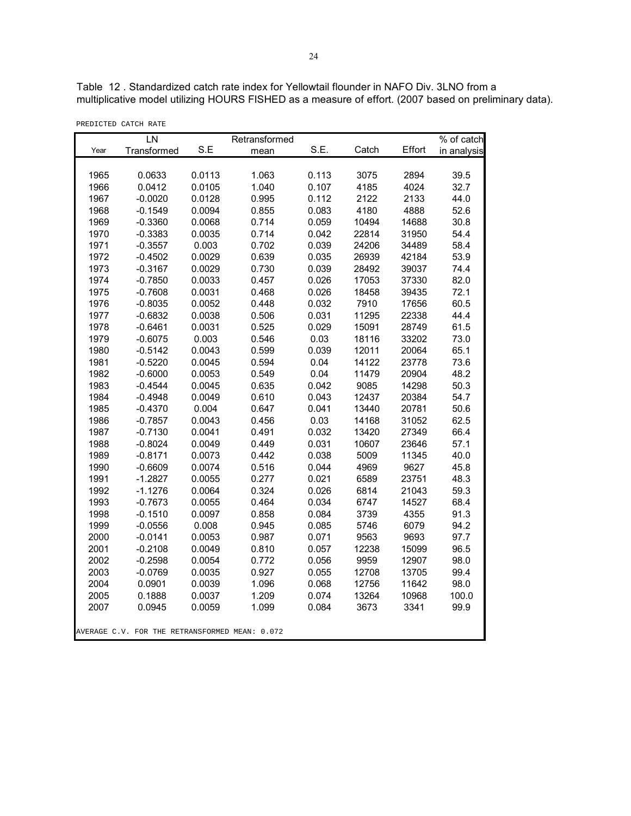Table 12 . Standardized catch rate index for Yellowtail flounder in NAFO Div. 3LNO from a multiplicative model utilizing HOURS FISHED as a measure of effort. (2007 based on preliminary data).

|  | PREDICTED CATCH RATE |  |  |
|--|----------------------|--|--|
|--|----------------------|--|--|

|      | LN                                             |        | Retransformed |       |       |        | $\sqrt%$ of catch |
|------|------------------------------------------------|--------|---------------|-------|-------|--------|-------------------|
| Year | Transformed                                    | S.E    | mean          | S.E.  | Catch | Effort | in analysis       |
|      |                                                |        |               |       |       |        |                   |
| 1965 | 0.0633                                         | 0.0113 | 1.063         | 0.113 | 3075  | 2894   | 39.5              |
| 1966 | 0.0412                                         | 0.0105 | 1.040         | 0.107 | 4185  | 4024   | 32.7              |
| 1967 | $-0.0020$                                      | 0.0128 | 0.995         | 0.112 | 2122  | 2133   | 44.0              |
| 1968 | $-0.1549$                                      | 0.0094 | 0.855         | 0.083 | 4180  | 4888   | 52.6              |
| 1969 | $-0.3360$                                      | 0.0068 | 0.714         | 0.059 | 10494 | 14688  | 30.8              |
| 1970 | $-0.3383$                                      | 0.0035 | 0.714         | 0.042 | 22814 | 31950  | 54.4              |
| 1971 | $-0.3557$                                      | 0.003  | 0.702         | 0.039 | 24206 | 34489  | 58.4              |
| 1972 | $-0.4502$                                      | 0.0029 | 0.639         | 0.035 | 26939 | 42184  | 53.9              |
| 1973 | $-0.3167$                                      | 0.0029 | 0.730         | 0.039 | 28492 | 39037  | 74.4              |
| 1974 | $-0.7850$                                      | 0.0033 | 0.457         | 0.026 | 17053 | 37330  | 82.0              |
| 1975 | $-0.7608$                                      | 0.0031 | 0.468         | 0.026 | 18458 | 39435  | 72.1              |
| 1976 | $-0.8035$                                      | 0.0052 | 0.448         | 0.032 | 7910  | 17656  | 60.5              |
| 1977 | $-0.6832$                                      | 0.0038 | 0.506         | 0.031 | 11295 | 22338  | 44.4              |
| 1978 | $-0.6461$                                      | 0.0031 | 0.525         | 0.029 | 15091 | 28749  | 61.5              |
| 1979 | $-0.6075$                                      | 0.003  | 0.546         | 0.03  | 18116 | 33202  | 73.0              |
| 1980 | $-0.5142$                                      | 0.0043 | 0.599         | 0.039 | 12011 | 20064  | 65.1              |
| 1981 | $-0.5220$                                      | 0.0045 | 0.594         | 0.04  | 14122 | 23778  | 73.6              |
| 1982 | $-0.6000$                                      | 0.0053 | 0.549         | 0.04  | 11479 | 20904  | 48.2              |
| 1983 | $-0.4544$                                      | 0.0045 | 0.635         | 0.042 | 9085  | 14298  | 50.3              |
| 1984 | $-0.4948$                                      | 0.0049 | 0.610         | 0.043 | 12437 | 20384  | 54.7              |
| 1985 | $-0.4370$                                      | 0.004  | 0.647         | 0.041 | 13440 | 20781  | 50.6              |
| 1986 | $-0.7857$                                      | 0.0043 | 0.456         | 0.03  | 14168 | 31052  | 62.5              |
| 1987 | $-0.7130$                                      | 0.0041 | 0.491         | 0.032 | 13420 | 27349  | 66.4              |
| 1988 | $-0.8024$                                      | 0.0049 | 0.449         | 0.031 | 10607 | 23646  | 57.1              |
| 1989 | $-0.8171$                                      | 0.0073 | 0.442         | 0.038 | 5009  | 11345  | 40.0              |
| 1990 | $-0.6609$                                      | 0.0074 | 0.516         | 0.044 | 4969  | 9627   | 45.8              |
| 1991 | $-1.2827$                                      | 0.0055 | 0.277         | 0.021 | 6589  | 23751  | 48.3              |
| 1992 | $-1.1276$                                      | 0.0064 | 0.324         | 0.026 | 6814  | 21043  | 59.3              |
| 1993 | $-0.7673$                                      | 0.0055 | 0.464         | 0.034 | 6747  | 14527  | 68.4              |
| 1998 | $-0.1510$                                      | 0.0097 | 0.858         | 0.084 | 3739  | 4355   | 91.3              |
| 1999 | $-0.0556$                                      | 0.008  | 0.945         | 0.085 | 5746  | 6079   | 94.2              |
| 2000 | $-0.0141$                                      | 0.0053 | 0.987         | 0.071 | 9563  | 9693   | 97.7              |
| 2001 | $-0.2108$                                      | 0.0049 | 0.810         | 0.057 | 12238 | 15099  | 96.5              |
| 2002 | $-0.2598$                                      | 0.0054 | 0.772         | 0.056 | 9959  | 12907  | 98.0              |
| 2003 | $-0.0769$                                      | 0.0035 | 0.927         | 0.055 | 12708 | 13705  | 99.4              |
| 2004 | 0.0901                                         | 0.0039 | 1.096         | 0.068 | 12756 | 11642  | 98.0              |
| 2005 | 0.1888                                         | 0.0037 | 1.209         | 0.074 | 13264 | 10968  | 100.0             |
| 2007 | 0.0945                                         | 0.0059 | 1.099         | 0.084 | 3673  | 3341   | 99.9              |
|      | AVERAGE C.V. FOR THE RETRANSFORMED MEAN: 0.072 |        |               |       |       |        |                   |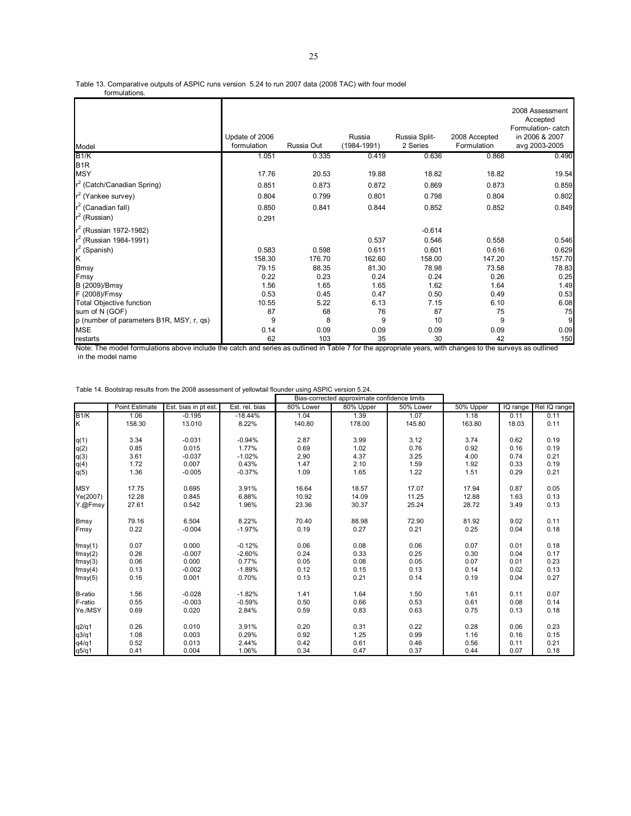Table 13. Comparative outputs of ASPIC runs version 5.24 to run 2007 data (2008 TAC) with four model

formulations.

| Model                                    | Update of 2006<br>formulation | Russia Out | Russia<br>$(1984 - 1991)$ | Russia Split-<br>2 Series | 2008 Accepted<br>Formulation | 2008 Assessment<br>Accepted<br>Formulation-catch<br>in 2006 & 2007<br>avg 2003-2005 |
|------------------------------------------|-------------------------------|------------|---------------------------|---------------------------|------------------------------|-------------------------------------------------------------------------------------|
| B1/K                                     | 1.051                         | 0.335      | 0.419                     | 0.636                     | 0.868                        | 0.490                                                                               |
| B <sub>1R</sub>                          |                               |            |                           |                           |                              |                                                                                     |
| <b>MSY</b>                               | 17.76                         | 20.53      | 19.88                     | 18.82                     | 18.82                        | 19.54                                                                               |
| r <sup>2</sup> (Catch/Canadian Spring)   | 0.851                         | 0.873      | 0.872                     | 0.869                     | 0.873                        | 0.859                                                                               |
| r <sup>2</sup> (Yankee survey)           | 0.804                         | 0.799      | 0.801                     | 0.798                     | 0.804                        | 0.802                                                                               |
| $r^2$ (Canadian fall)                    | 0.850                         | 0.841      | 0.844                     | 0.852                     | 0.852                        | 0.849                                                                               |
| $r^2$ (Russian)                          | 0.291                         |            |                           |                           |                              |                                                                                     |
| $r^2$ (Russian 1972-1982)                |                               |            |                           | $-0.614$                  |                              |                                                                                     |
| $r^2$ (Russian 1984-1991)                |                               |            | 0.537                     | 0.546                     | 0.558                        | 0.546                                                                               |
| (Spanish)                                | 0.583                         | 0.598      | 0.611                     | 0.601                     | 0.616                        | 0.629                                                                               |
| Ιĸ                                       | 158.30                        | 176.70     | 162.60                    | 158.00                    | 147.20                       | 157.70                                                                              |
| <b>Bmsy</b>                              | 79.15                         | 88.35      | 81.30                     | 78.98                     | 73.58                        | 78.83                                                                               |
| Fmsy                                     | 0.22                          | 0.23       | 0.24                      | 0.24                      | 0.26                         | 0.25                                                                                |
| B (2009)/Bmsy                            | 1.56                          | 1.65       | 1.65                      | 1.62                      | 1.64                         | 1.49                                                                                |
| F (2008)/Fmsy                            | 0.53                          | 0.45       | 0.47                      | 0.50                      | 0.49                         | 0.53                                                                                |
| <b>Total Objective function</b>          | 10.55                         | 5.22       | 6.13                      | 7.15                      | 6.10                         | 6.08                                                                                |
| sum of N (GOF)                           | 87                            | 68         | 76                        | 87                        | 75                           | 75                                                                                  |
| p (number of parameters B1R, MSY, r, qs) | 9                             | 8          | 9                         | 10                        | 9                            | 9                                                                                   |
| <b>MSE</b>                               | 0.14                          | 0.09       | 0.09                      | 0.09                      | 0.09                         | 0.09                                                                                |
| restarts                                 | 62                            | 103        | 35                        | 30                        | 42                           | 150                                                                                 |

Note: The model formulations above include the catch and series as outlined in Table 7 for the appropriate years, with changes to the surveys as outlined in the model name

| Table 14. Bootstrap results from the 2008 assessment of yellowtail flounder using ASPIC version 5.24. |  |
|-------------------------------------------------------------------------------------------------------|--|
|-------------------------------------------------------------------------------------------------------|--|

|                  |                       |                      |                | Bias-corrected approximate confidence limits |           |           |           |          |              |
|------------------|-----------------------|----------------------|----------------|----------------------------------------------|-----------|-----------|-----------|----------|--------------|
|                  | <b>Point Estimate</b> | Est. bias in pt est. | Est. rel. bias | 80% Lower                                    | 80% Upper | 50% Lower | 50% Upper | IQ range | Rel IQ range |
| B1/K             | 1.06                  | $-0.195$             | $-18.44%$      | 1.04                                         | 1.39      | 1.07      | 1.18      | 0.11     | 0.11         |
| K                | 158.30                | 13.010               | 8.22%          | 140.80                                       | 178.00    | 145.80    | 163.80    | 18.03    | 0.11         |
|                  |                       |                      |                |                                              |           |           |           |          |              |
| q(1)             | 3.34                  | $-0.031$             | $-0.94%$       | 2.87                                         | 3.99      | 3.12      | 3.74      | 0.62     | 0.19         |
| $q(2)$<br>$q(3)$ | 0.85                  | 0.015                | 1.77%          | 0.69                                         | 1.02      | 0.76      | 0.92      | 0.16     | 0.19         |
|                  | 3.61                  | $-0.037$             | $-1.02%$       | 2.90                                         | 4.37      | 3.25      | 4.00      | 0.74     | 0.21         |
| q(4)             | 1.72                  | 0.007                | 0.43%          | 1.47                                         | 2.10      | 1.59      | 1.92      | 0.33     | 0.19         |
| q(5)             | 1.36                  | $-0.005$             | $-0.37%$       | 1.09                                         | 1.65      | 1.22      | 1.51      | 0.29     | 0.21         |
|                  |                       |                      |                |                                              |           |           |           |          |              |
| <b>MSY</b>       | 17.75                 | 0.695                | 3.91%          | 16.64                                        | 18.57     | 17.07     | 17.94     | 0.87     | 0.05         |
| Ye(2007)         | 12.28                 | 0.845                | 6.88%          | 10.92                                        | 14.09     | 11.25     | 12.88     | 1.63     | 0.13         |
| Y.@Fmsy          | 27.61                 | 0.542                | 1.96%          | 23.36                                        | 30.37     | 25.24     | 28.72     | 3.49     | 0.13         |
| <b>Bmsy</b>      | 79.16                 | 6.504                | 8.22%          | 70.40                                        | 88.98     | 72.90     | 81.92     | 9.02     | 0.11         |
| Fmsy             | 0.22                  | $-0.004$             | $-1.97%$       | 0.19                                         | 0.27      | 0.21      | 0.25      | 0.04     | 0.18         |
| fmsy(1)          | 0.07                  | 0.000                | $-0.12%$       | 0.06                                         | 0.08      | 0.06      | 0.07      | 0.01     | 0.18         |
| fmsy(2)          | 0.26                  | $-0.007$             | $-2.60%$       | 0.24                                         | 0.33      | 0.25      | 0.30      | 0.04     | 0.17         |
| fmsy(3)          | 0.06                  | 0.000                | 0.77%          | 0.05                                         | 0.08      | 0.05      | 0.07      | 0.01     | 0.23         |
| fmsy(4)          | 0.13                  | $-0.002$             | $-1.89%$       | 0.12                                         | 0.15      | 0.13      | 0.14      | 0.02     | 0.13         |
| fmsy(5)          | 0.16                  | 0.001                | 0.70%          | 0.13                                         | 0.21      | 0.14      | 0.19      | 0.04     | 0.27         |
| B-ratio          | 1.56                  | $-0.028$             | $-1.82%$       | 1.41                                         | 1.64      | 1.50      | 1.61      | 0.11     | 0.07         |
| F-ratio          | 0.55                  | $-0.003$             | $-0.59%$       | 0.50                                         | 0.66      | 0.53      | 0.61      | 0.08     | 0.14         |
| Ye./MSY          | 0.69                  | 0.020                | 2.84%          | 0.59                                         | 0.83      | 0.63      | 0.75      | 0.13     | 0.18         |
| q2/q1            | 0.26                  | 0.010                | 3.91%          | 0.20                                         | 0.31      | 0.22      | 0.28      | 0.06     | 0.23         |
| q3/q1            | 1.08                  | 0.003                | 0.29%          | 0.92                                         | 1.25      | 0.99      | 1.16      | 0.16     | 0.15         |
| q4/q1            | 0.52                  | 0.013                | 2.44%          | 0.42                                         | 0.61      | 0.46      | 0.56      | 0.11     | 0.21         |
| q5/q1            | 0.41                  | 0.004                | 1.06%          | 0.34                                         | 0.47      | 0.37      | 0.44      | 0.07     | 0.18         |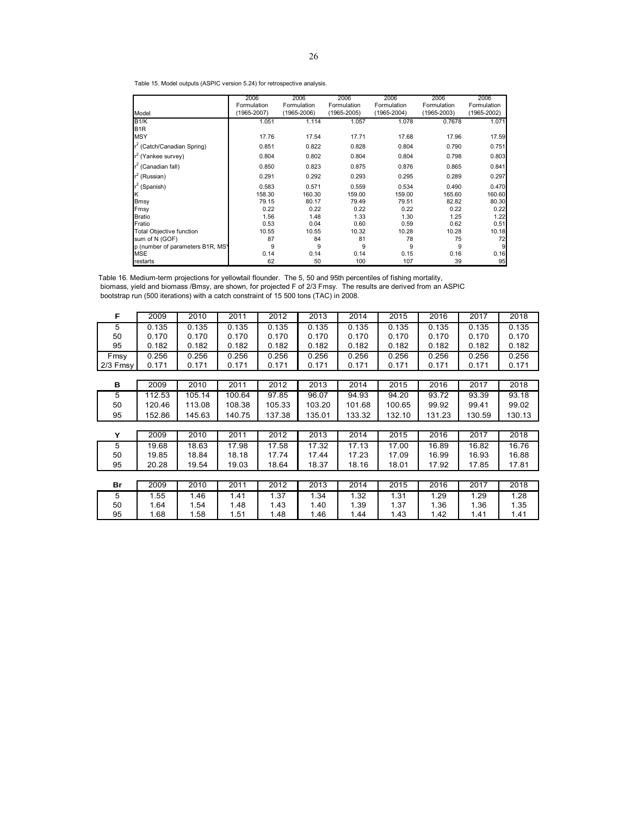Table 15. Model outputs (ASPIC version 5.24) for retrospective analysis.

|                                  | 2006            | 2006        | 2006            | 2006            | 2006            | 2006            |
|----------------------------------|-----------------|-------------|-----------------|-----------------|-----------------|-----------------|
|                                  | Formulation     | Formulation | Formulation     | Formulation     | Formulation     | Formulation     |
| Model                            | $(1965 - 2007)$ | (1965-2006) | $(1965 - 2005)$ | $(1965 - 2004)$ | $(1965 - 2003)$ | $(1965 - 2002)$ |
| B <sub>1/K</sub>                 | 1.051           | 1.114       | 1.057           | 1.078           | 0.7678          | 1.071           |
| B <sub>1R</sub>                  |                 |             |                 |                 |                 |                 |
| <b>MSY</b>                       | 17.76           | 17.54       | 17.71           | 17.68           | 17.96           | 17.59           |
| $r^2$ (Catch/Canadian Spring)    | 0.851           | 0.822       | 0.828           | 0.804           | 0.790           | 0.751           |
| r <sup>2</sup> (Yankee survey)   | 0.804           | 0.802       | 0.804           | 0.804           | 0.798           | 0.803           |
| $r^2$ (Canadian fall)            | 0.850           | 0.823       | 0.875           | 0.876           | 0.865           | 0.841           |
| r <sup>2</sup> (Russian)         | 0.291           | 0.292       | 0.293           | 0.295           | 0.289           | 0.297           |
| $r^2$ (Spanish)                  | 0.583           | 0.571       | 0.559           | 0.534           | 0.490           | 0.470           |
| K                                | 158.30          | 160.30      | 159.00          | 159.00          | 165.60          | 160.60          |
| Bmsy                             | 79.15           | 80.17       | 79.49           | 79.51           | 82.82           | 80.30           |
| Fmsy                             | 0.22            | 0.22        | 0.22            | 0.22            | 0.22            | 0.22            |
| <b>Bratio</b>                    | 1.56            | 1.48        | 1.33            | 1.30            | 1.25            | 1.22            |
| Fratio                           | 0.53            | 0.04        | 0.60            | 0.59            | 0.62            | 0.51            |
| <b>Total Objective function</b>  | 10.55           | 10.55       | 10.32           | 10.28           | 10.28           | 10.18           |
| sum of N (GOF)                   | 87              | 84          | 81              | 78              | 75              | 72              |
| p (number of parameters B1R, MS) | 9               | 9           | 9               | 9               | 9               | 9               |
| <b>MSE</b>                       | 0.14            | 0.14        | 0.14            | 0.15            | 0.16            | 0.16            |
| restarts                         | 62              | 50          | 100             | 107             | 39              | 95              |

Table 16. Medium-term projections for yellowtail flounder. The 5, 50 and 95th percentiles of fishing mortality, biomass, yield and biomass /Bmsy, are shown, for projected F of 2/3 Fmsy. The results are derived from an ASPIC bootstrap run (500 iterations) with a catch constraint of 15 500 tons (TAC) in 2008.

| F        | 2009   | 2010   | 2011   | 2012   | 2013   | 2014   | 2015   | 2016   | 2017   | 2018   |
|----------|--------|--------|--------|--------|--------|--------|--------|--------|--------|--------|
| 5        | 0.135  | 0.135  | 0.135  | 0.135  | 0.135  | 0.135  | 0.135  | 0.135  | 0.135  | 0.135  |
| 50       | 0.170  | 0.170  | 0.170  | 0.170  | 0.170  | 0.170  | 0.170  | 0.170  | 0.170  | 0.170  |
| 95       | 0.182  | 0.182  | 0.182  | 0.182  | 0.182  | 0.182  | 0.182  | 0.182  | 0.182  | 0.182  |
| Fmsy     | 0.256  | 0.256  | 0.256  | 0.256  | 0.256  | 0.256  | 0.256  | 0.256  | 0.256  | 0.256  |
| 2/3 Fmsy | 0.171  | 0.171  | 0.171  | 0.171  | 0.171  | 0.171  | 0.171  | 0.171  | 0.171  | 0.171  |
|          |        |        |        |        |        |        |        |        |        |        |
| в        | 2009   | 2010   | 2011   | 2012   | 2013   | 2014   | 2015   | 2016   | 2017   | 2018   |
| 5        | 112.53 | 105.14 | 100.64 | 97.85  | 96.07  | 94.93  | 94.20  | 93.72  | 93.39  | 93.18  |
| 50       | 120.46 | 113.08 | 108.38 | 105.33 | 103.20 | 101.68 | 100.65 | 99.92  | 99.41  | 99.02  |
| 95       | 152.86 | 145.63 | 140.75 | 137.38 | 135.01 | 133.32 | 132.10 | 131.23 | 130.59 | 130.13 |
|          |        |        |        |        |        |        |        |        |        |        |
| Υ        | 2009   | 2010   | 2011   | 2012   | 2013   | 2014   | 2015   | 2016   | 2017   | 2018   |
| 5        | 19.68  | 18.63  | 17.98  | 17.58  | 17.32  | 17.13  | 17.00  | 16.89  | 16.82  | 16.76  |
| 50       | 19.85  | 18.84  | 18.18  | 17.74  | 17.44  | 17.23  | 17.09  | 16.99  | 16.93  | 16.88  |
| 95       | 20.28  | 19.54  | 19.03  | 18.64  | 18.37  | 18.16  | 18.01  | 17.92  | 17.85  | 17.81  |
|          |        |        |        |        |        |        |        |        |        |        |
| Br       | 2009   | 2010   | 2011   | 2012   | 2013   | 2014   | 2015   | 2016   | 2017   | 2018   |
| 5        | 1.55   | 1.46   | 1.41   | 1.37   | 1.34   | 1.32   | 1.31   | 1.29   | 1.29   | 1.28   |
| 50       | 1.64   | 1.54   | 1.48   | 1.43   | 1.40   | 1.39   | 1.37   | 1.36   | 1.36   | 1.35   |
| 95       | 1.68   | 1.58   | 1.51   | 1.48   | 1.46   | 1.44   | 1.43   | 1.42   | 1.41   | 1.41   |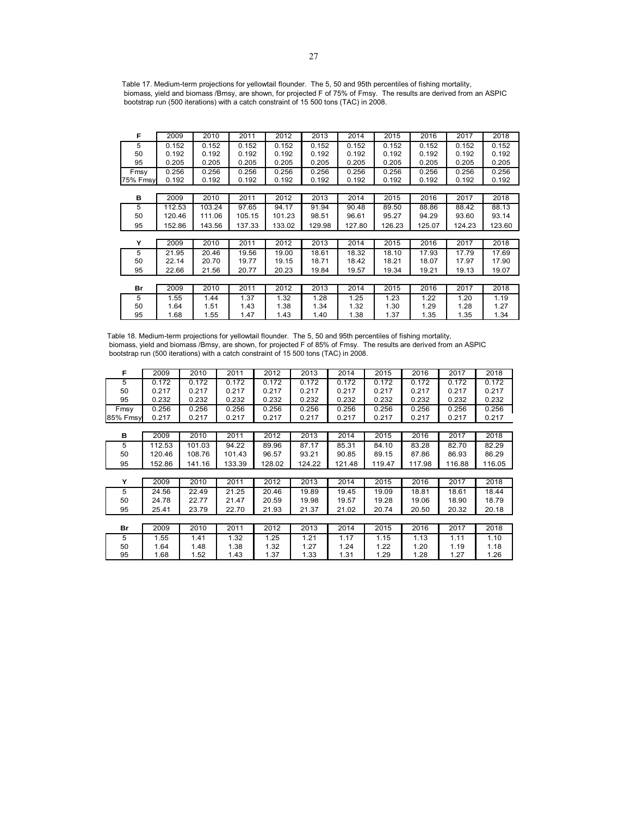Table 17. Medium-term projections for yellowtail flounder. The 5, 50 and 95th percentiles of fishing mortality, biomass, yield and biomass /Bmsy, are shown, for projected F of 75% of Fmsy. The results are derived from an ASPIC bootstrap run (500 iterations) with a catch constraint of 15 500 tons (TAC) in 2008.

| F        | 2009   | 2010   | 2011   | 2012   | 2013   | 2014   | 2015   | 2016   | 2017   | 2018   |
|----------|--------|--------|--------|--------|--------|--------|--------|--------|--------|--------|
| 5        | 0.152  | 0.152  | 0.152  | 0.152  | 0.152  | 0.152  | 0.152  | 0.152  | 0.152  | 0.152  |
| 50       | 0.192  | 0.192  | 0.192  | 0.192  | 0.192  | 0.192  | 0.192  | 0.192  | 0.192  | 0.192  |
| 95       | 0.205  | 0.205  | 0.205  | 0.205  | 0.205  | 0.205  | 0.205  | 0.205  | 0.205  | 0.205  |
| Fmsy     | 0.256  | 0.256  | 0.256  | 0.256  | 0.256  | 0.256  | 0.256  | 0.256  | 0.256  | 0.256  |
| 75% Fmsy | 0.192  | 0.192  | 0.192  | 0.192  | 0.192  | 0.192  | 0.192  | 0.192  | 0.192  | 0.192  |
|          |        |        |        |        |        |        |        |        |        |        |
| в        | 2009   | 2010   | 2011   | 2012   | 2013   | 2014   | 2015   | 2016   | 2017   | 2018   |
| 5        | 112.53 | 103.24 | 97.65  | 94.17  | 91.94  | 90.48  | 89.50  | 88.86  | 88.42  | 88.13  |
| 50       | 120.46 | 111.06 | 105.15 | 101.23 | 98.51  | 96.61  | 95.27  | 94.29  | 93.60  | 93.14  |
| 95       | 152.86 | 143.56 | 137.33 | 133.02 | 129.98 | 127.80 | 126.23 | 125.07 | 124.23 | 123.60 |
|          |        |        |        |        |        |        |        |        |        |        |
| Y        | 2009   | 2010   | 2011   | 2012   | 2013   | 2014   | 2015   | 2016   | 2017   | 2018   |
| 5        | 21.95  | 20.46  | 19.56  | 19.00  | 18.61  | 18.32  | 18.10  | 17.93  | 17.79  | 17.69  |
| 50       | 22.14  | 20.70  | 19.77  | 19.15  | 18.71  | 18.42  | 18.21  | 18.07  | 17.97  | 17.90  |
| 95       | 22.66  | 21.56  | 20.77  | 20.23  | 19.84  | 19.57  | 19.34  | 19.21  | 19.13  | 19.07  |
|          |        |        |        |        |        |        |        |        |        |        |
| Br       | 2009   | 2010   | 2011   | 2012   | 2013   | 2014   | 2015   | 2016   | 2017   | 2018   |
| 5        | 1.55   | 1.44   | 1.37   | 1.32   | 1.28   | 1.25   | 1.23   | 1.22   | 1.20   | 1.19   |
| 50       | 1.64   | 1.51   | 1.43   | 1.38   | 1.34   | 1.32   | 1.30   | 1.29   | 1.28   | 1.27   |
| 95       | 1.68   | 1.55   | 1.47   | 1.43   | 1.40   | 1.38   | 1.37   | 1.35   | 1.35   | 1.34   |

Table 18. Medium-term projections for yellowtail flounder. The 5, 50 and 95th percentiles of fishing mortality, biomass, yield and biomass /Bmsy, are shown, for projected F of 85% of Fmsy. The results are derived from an ASPIC bootstrap run (500 iterations) with a catch constraint of 15 500 tons (TAC) in 2008.

| F        | 2009   | 2010   | 2011   | 2012   | 2013   | 2014   | 2015   | 2016   | 2017   | 2018   |
|----------|--------|--------|--------|--------|--------|--------|--------|--------|--------|--------|
| 5        | 0.172  | 0.172  | 0.172  | 0.172  | 0.172  | 0.172  | 0.172  | 0.172  | 0.172  | 0.172  |
| 50       | 0.217  | 0.217  | 0.217  | 0.217  | 0.217  | 0.217  | 0.217  | 0.217  | 0.217  | 0.217  |
| 95       | 0.232  | 0.232  | 0.232  | 0.232  | 0.232  | 0.232  | 0.232  | 0.232  | 0.232  | 0.232  |
| Fmsy     | 0.256  | 0.256  | 0.256  | 0.256  | 0.256  | 0.256  | 0.256  | 0.256  | 0.256  | 0.256  |
| 85% Fmsy | 0.217  | 0.217  | 0.217  | 0.217  | 0.217  | 0.217  | 0.217  | 0.217  | 0.217  | 0.217  |
|          |        |        |        |        |        |        |        |        |        |        |
| в        | 2009   | 2010   | 2011   | 2012   | 2013   | 2014   | 2015   | 2016   | 2017   | 2018   |
| 5        | 112.53 | 101.03 | 94.22  | 89.96  | 87.17  | 85.31  | 84.10  | 83.28  | 82.70  | 82.29  |
| 50       | 120.46 | 108.76 | 101.43 | 96.57  | 93.21  | 90.85  | 89.15  | 87.86  | 86.93  | 86.29  |
| 95       | 152.86 | 141.16 | 133.39 | 128.02 | 124.22 | 121.48 | 119.47 | 117.98 | 116.88 | 116.05 |
|          |        |        |        |        |        |        |        |        |        |        |
| Y        | 2009   | 2010   | 2011   | 2012   | 2013   | 2014   | 2015   | 2016   | 2017   | 2018   |
| 5        | 24.56  | 22.49  | 21.25  | 20.46  | 19.89  | 19.45  | 19.09  | 18.81  | 18.61  | 18.44  |
| 50       | 24.78  | 22.77  | 21.47  | 20.59  | 19.98  | 19.57  | 19.28  | 19.06  | 18.90  | 18.79  |
| 95       | 25.41  | 23.79  | 22.70  | 21.93  | 21.37  | 21.02  | 20.74  | 20.50  | 20.32  | 20.18  |
|          |        |        |        |        |        |        |        |        |        |        |
| Br       | 2009   | 2010   | 2011   | 2012   | 2013   | 2014   | 2015   | 2016   | 2017   | 2018   |
| 5        | 1.55   | 1.41   | 1.32   | 1.25   | 1.21   | 1.17   | 1.15   | 1.13   | 1.11   | 1.10   |
| 50       | 1.64   | 1.48   | 1.38   | 1.32   | 1.27   | 1.24   | 1.22   | 1.20   | 1.19   | 1.18   |
| 95       | 1.68   | 1.52   | 1.43   | 1.37   | 1.33   | 1.31   | 1.29   | 1.28   | 1.27   | 1.26   |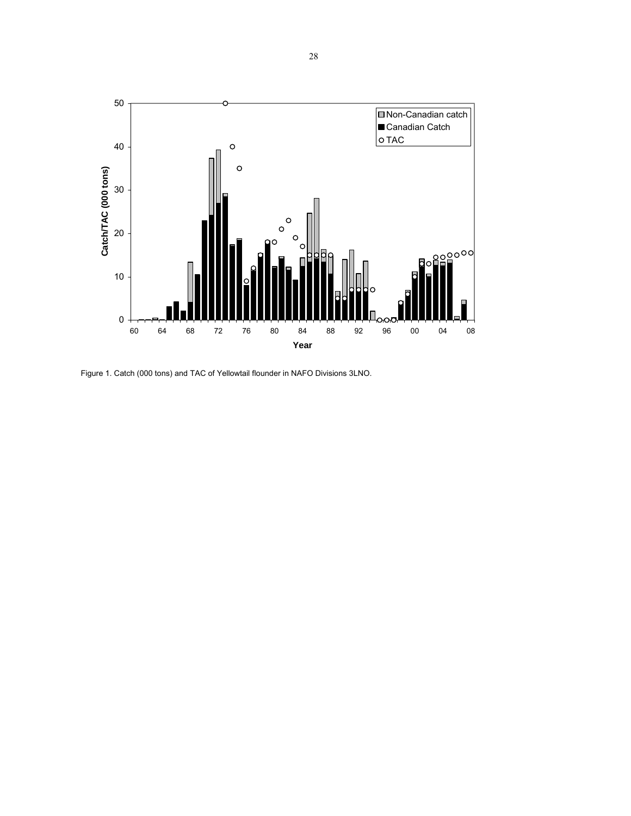

Figure 1. Catch (000 tons) and TAC of Yellowtail flounder in NAFO Divisions 3LNO.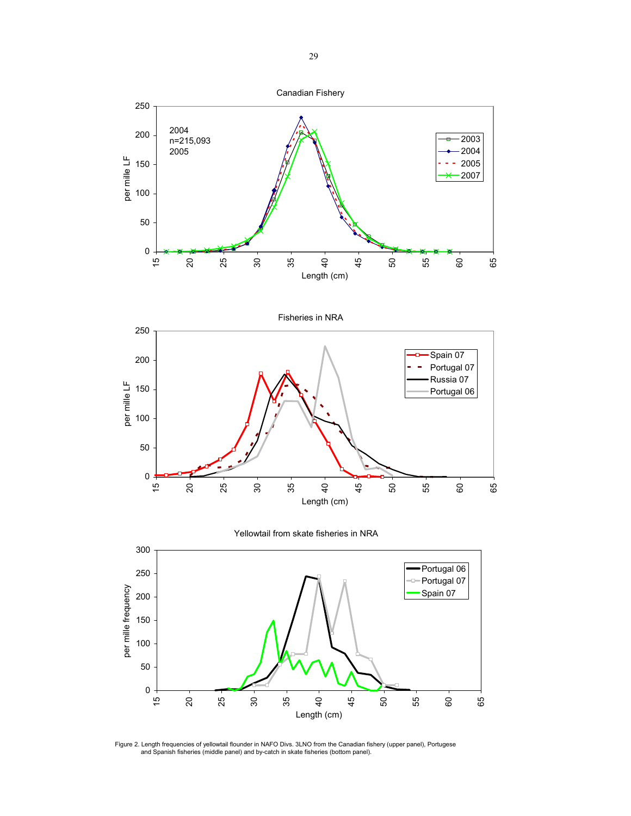





Figure 2. Length frequencies of yellowtail flounder in NAFO Divs. 3LNO from the Canadian fishery (upper panel), Portugese<br>and Spanish fisheries (middle panel) and by-catch in skate fisheries (bottom panel).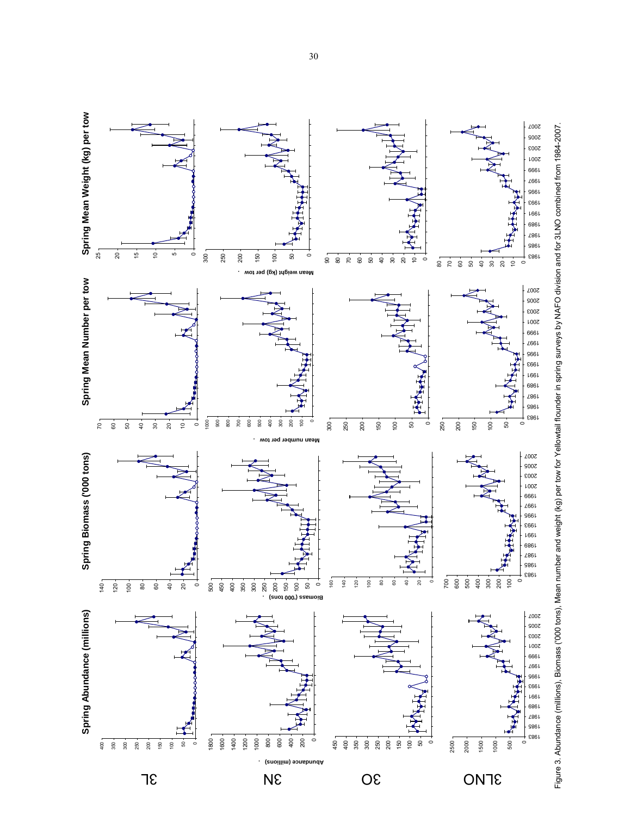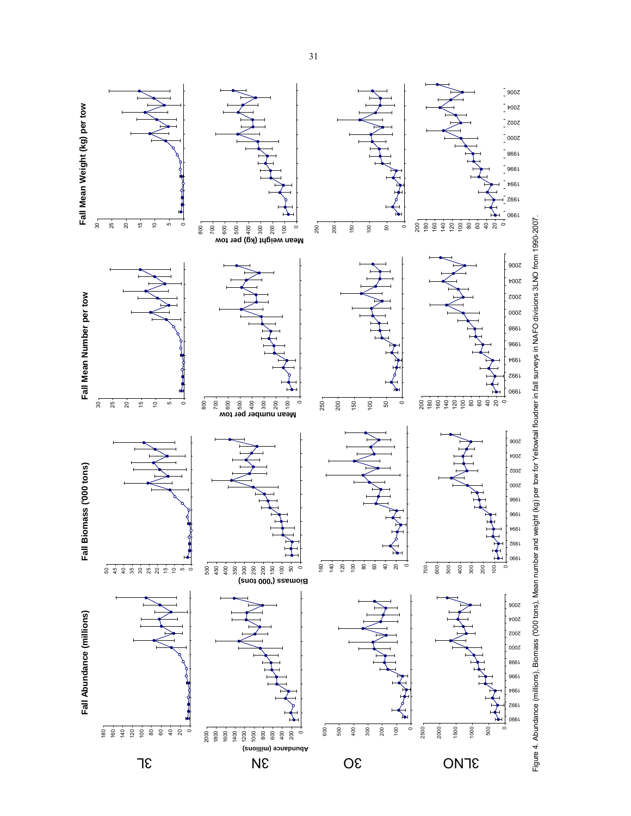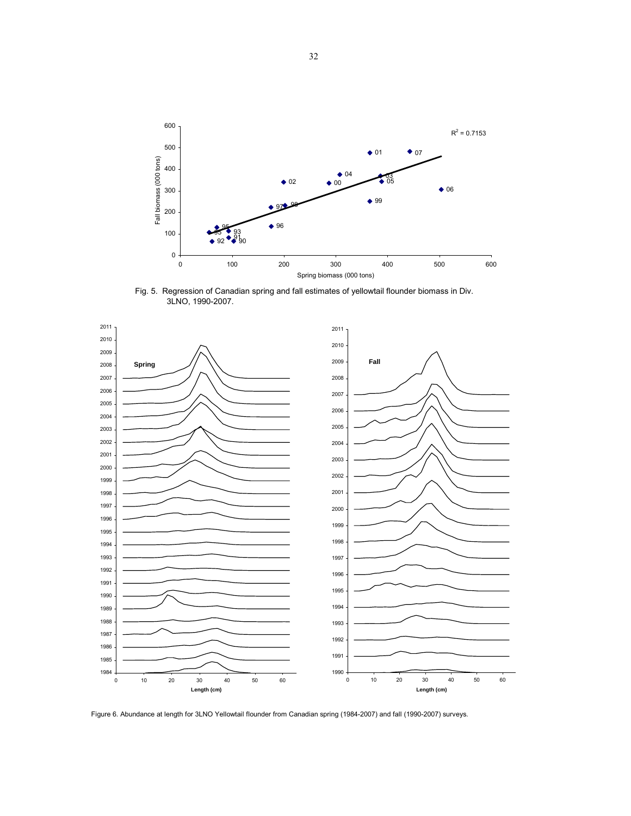

Fig. 5. Regression of Canadian spring and fall estimates of yellowtail flounder biomass in Div. 3LNO, 1990-2007.



Figure 6. Abundance at length for 3LNO Yellowtail flounder from Canadian spring (1984-2007) and fall (1990-2007) surveys.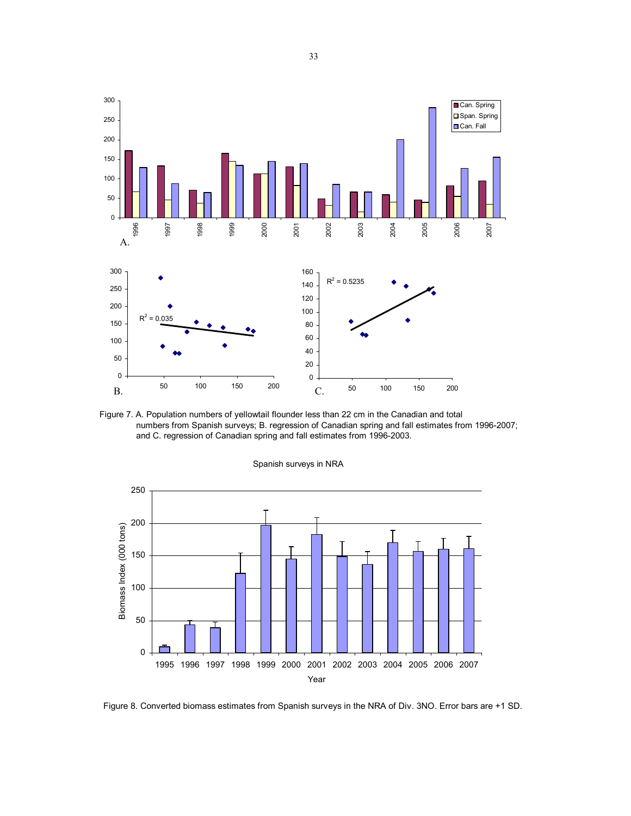

Figure 7. A. Population numbers of yellowtail flounder less than 22 cm in the Canadian and total numbers from Spanish surveys; B. regression of Canadian spring and fall estimates from 1996-2007; and C. regression of Canadian spring and fall estimates from 1996-2003.



Figure 8. Converted biomass estimates from Spanish surveys in the NRA of Div. 3NO. Error bars are +1 SD.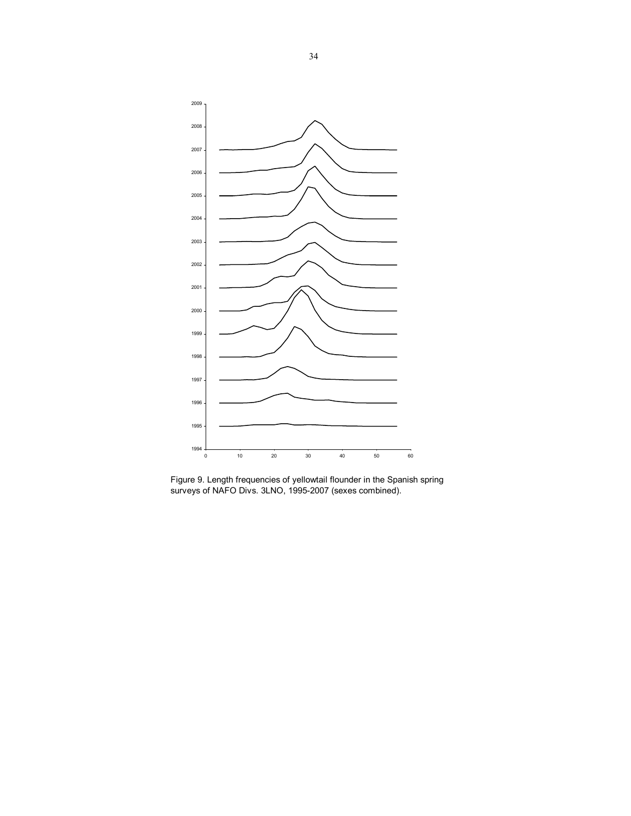

Figure 9. Length frequencies of yellowtail flounder in the Spanish spring surveys of NAFO Divs. 3LNO, 1995-2007 (sexes combined).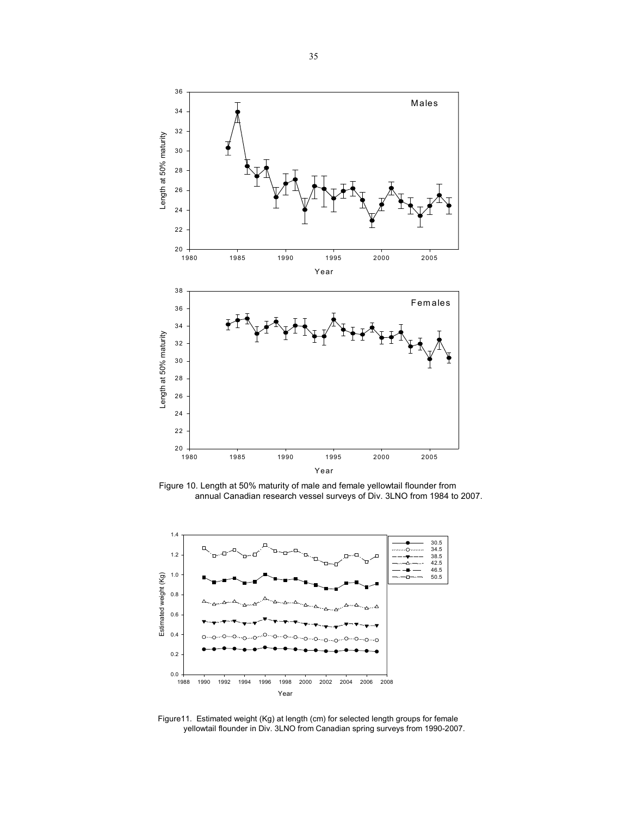

Figure 10. Length at 50% maturity of male and female yellowtail flounder from annual Canadian research vessel surveys of Div. 3LNO from 1984 to 2007.



Figure11. Estimated weight (Kg) at length (cm) for selected length groups for female yellowtail flounder in Div. 3LNO from Canadian spring surveys from 1990-2007.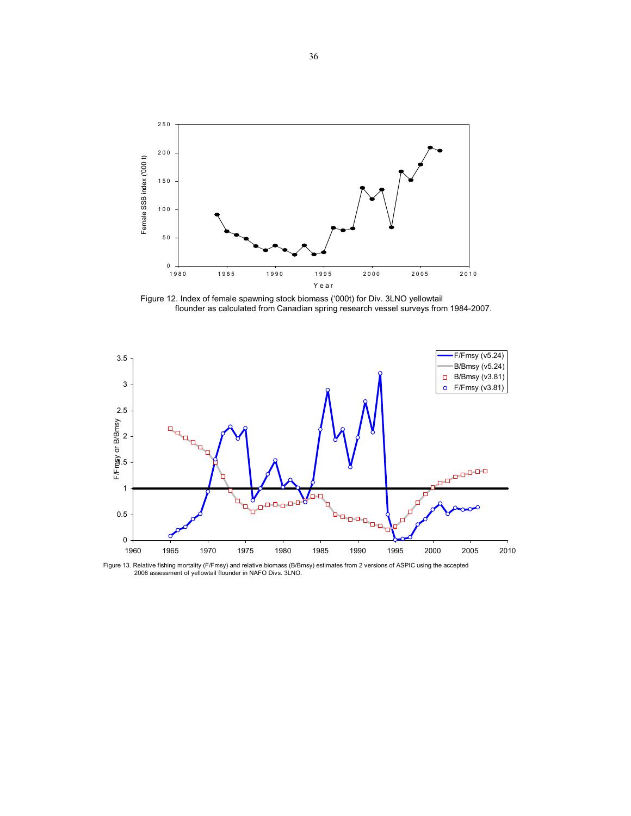

Figure 12. Index of female spawning stock biomass ('000t) for Div. 3LNO yellowtail flounder as calculated from Canadian spring research vessel surveys from 1984-2007.



Figure 13. Relative fishing mortality (F/Fmsy) and relative biomass (B/Bmsy) estimates from 2 versions of ASPIC using the accepted 2006 assessment of yellowtail flounder in NAFO Divs. 3LNO.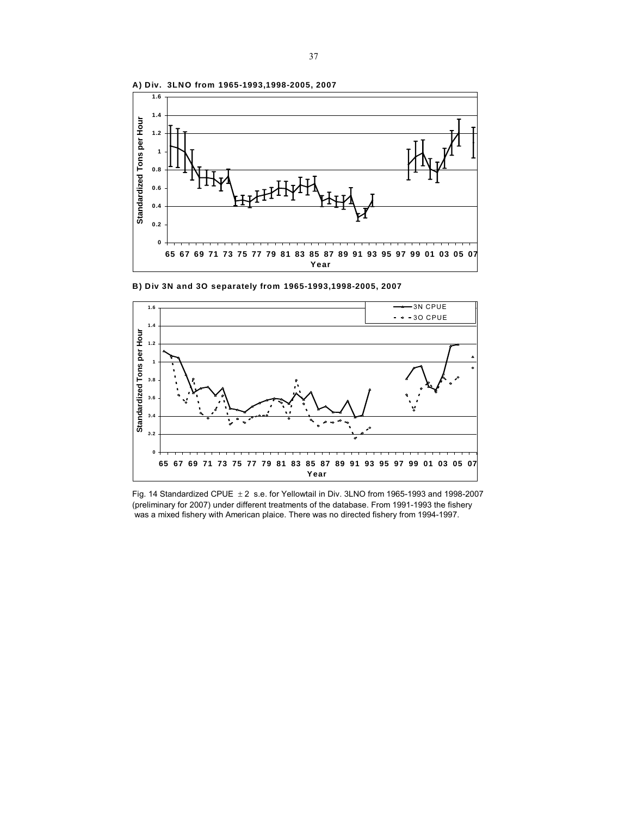

**B) Div 3N and 3O separately from 1965-1993,1998-2005, 2007**



Fig. 14 Standardized CPUE  $\pm 2$  s.e. for Yellowtail in Div. 3LNO from 1965-1993 and 1998-2007 (preliminary for 2007) under different treatments of the database. From 1991-1993 the fishery was a mixed fishery with American plaice. There was no directed fishery from 1994-1997.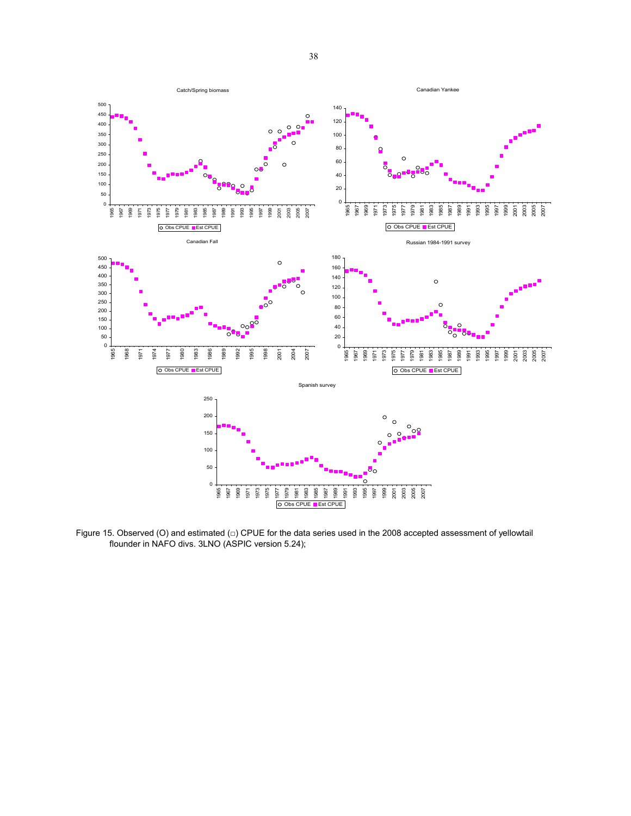

Figure 15. Observed (O) and estimated (□) CPUE for the data series used in the 2008 accepted assessment of yellowtail flounder in NAFO divs. 3LNO (ASPIC version 5.24);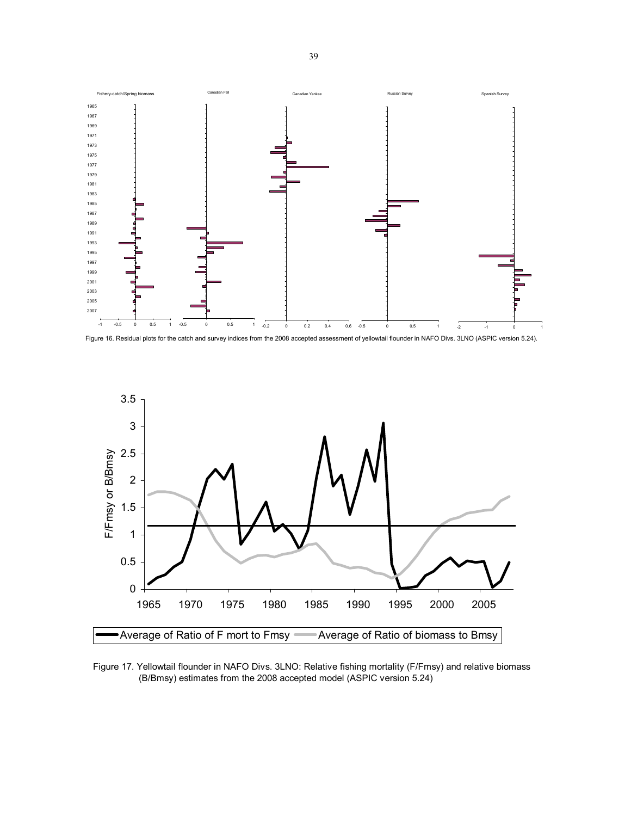

Figure 16. Residual plots for the catch and survey indices from the 2008 accepted assessment of yellowtail flounder in NAFO Divs. 3LNO (ASPIC version 5.24).



Figure 17. Yellowtail flounder in NAFO Divs. 3LNO: Relative fishing mortality (F/Fmsy) and relative biomass (B/Bmsy) estimates from the 2008 accepted model (ASPIC version 5.24)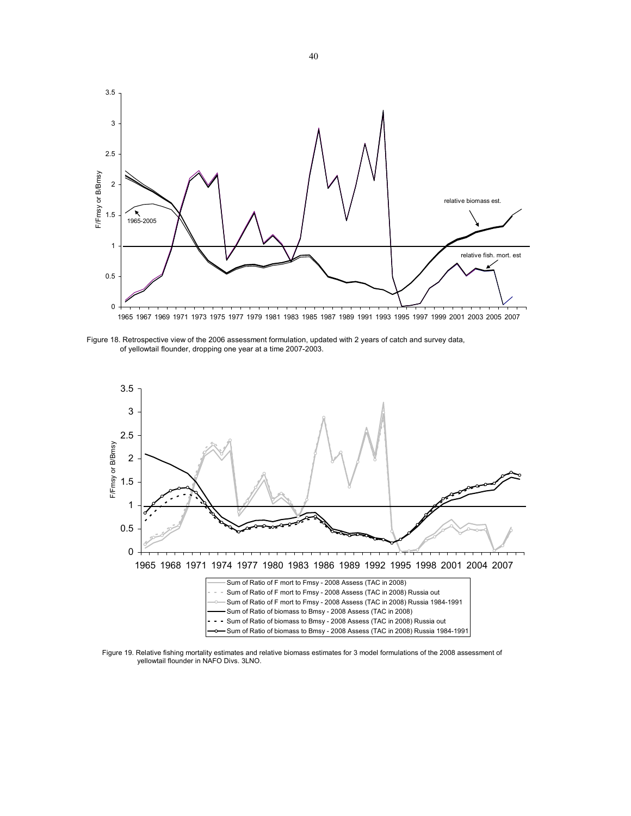

Figure 18. Retrospective view of the 2006 assessment formulation, updated with 2 years of catch and survey data, of yellowtail flounder, dropping one year at a time 2007-2003.



Figure 19. Relative fishing mortality estimates and relative biomass estimates for 3 model formulations of the 2008 assessment of yellowtail flounder in NAFO Divs. 3LNO.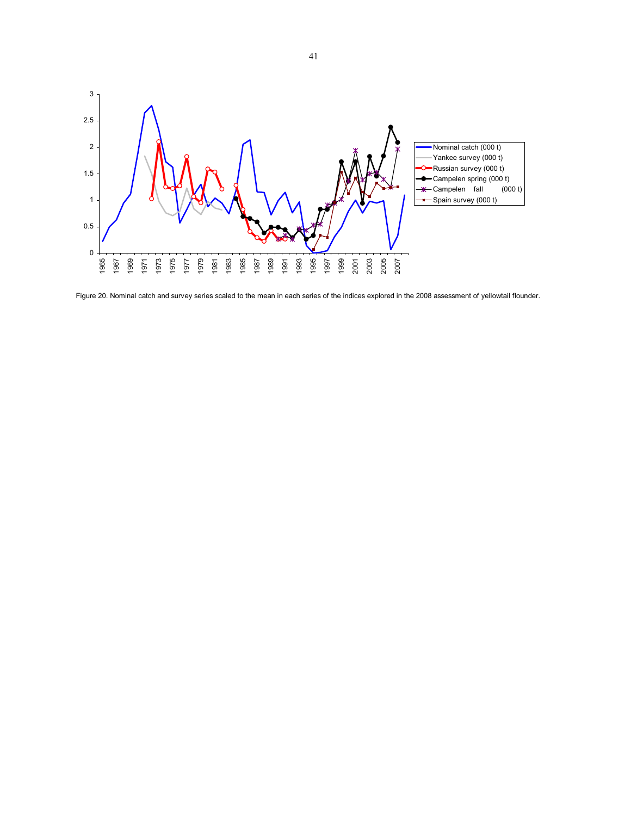

Figure 20. Nominal catch and survey series scaled to the mean in each series of the indices explored in the 2008 assessment of yellowtail flounder.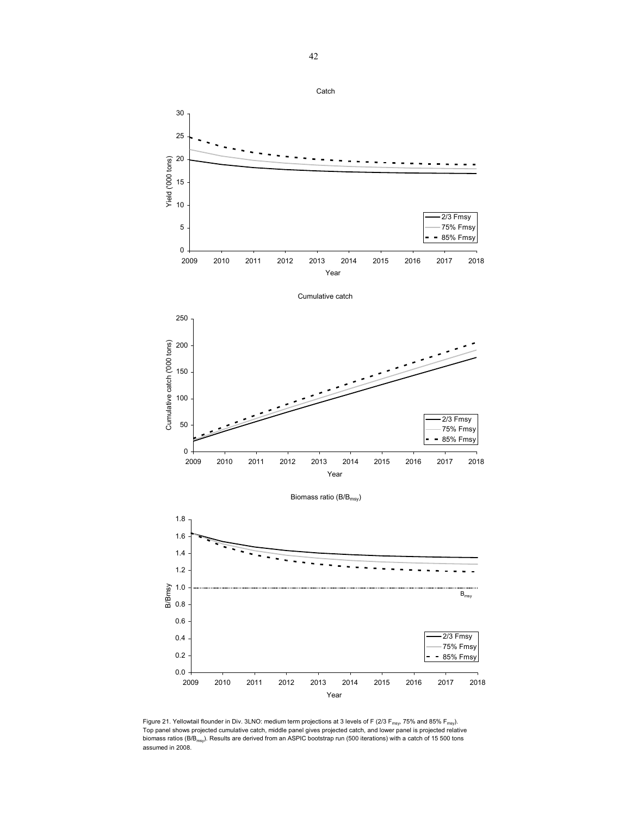

Figure 21. Yellowtail flounder in Div. 3LNO: medium term projections at 3 levels of F (2/3 F<sub>msy</sub>, 75% and 85% F<sub>msy</sub>). Top panel shows projected cumulative catch, middle panel gives projected catch, and lower panel is projected relative biomass ratios (B/B<sub>msy</sub>). Results are derived from an ASPIC bootstrap run (500 iterations) with a catch of 15 500 tons assumed in 2008.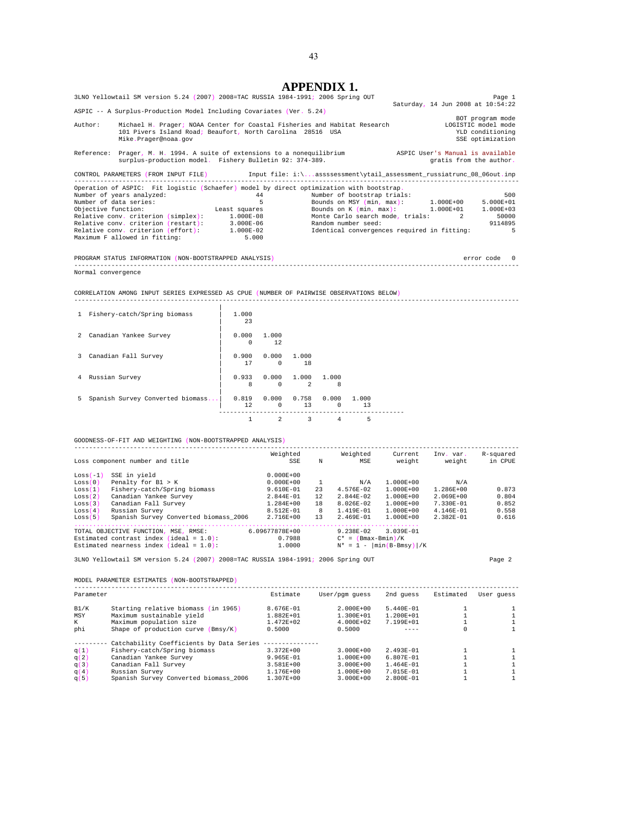|                                                                                                                  |         | <b>APPENDIX 1.</b>                                                                                        |                                             |                         |
|------------------------------------------------------------------------------------------------------------------|---------|-----------------------------------------------------------------------------------------------------------|---------------------------------------------|-------------------------|
| 3LNO Yellowtail SM version 5.24 (2007) 2008=TAC RUSSIA 1984-1991; 2006 Spring OUT                                |         |                                                                                                           |                                             | Page 1                  |
|                                                                                                                  |         |                                                                                                           | Saturday, 14 Jun 2008 at 10:54:22           |                         |
| ASPIC -- A Surplus-Production Model Including Covariates (Ver. 5.24)                                             |         |                                                                                                           |                                             |                         |
|                                                                                                                  |         |                                                                                                           |                                             | BOT program mode        |
| Author:                                                                                                          |         | Michael H. Prager; NOAA Center for Coastal Fisheries and Habitat Research [10] LOGISTIC model mode        |                                             |                         |
| 101 Pivers Island Road; Beaufort, North Carolina 28516 USA                                                       |         |                                                                                                           |                                             | YLD conditioning        |
| Mike.Prager@noaa.gov                                                                                             |         |                                                                                                           |                                             | SSE optimization        |
| Reference: Prager, M. H. 1994. A suite of extensions to a nonequilibrium and anspic User's Manual is available   |         |                                                                                                           |                                             |                         |
| surplus-production model. Fishery Bulletin 92: 374-389.                                                          |         |                                                                                                           |                                             | gratis from the author. |
|                                                                                                                  |         |                                                                                                           |                                             |                         |
| CONTROL PARAMETERS (FROM INPUT FILE) [110] Input file: i:\assssessment\ytail assessment russiatrunc 08 06out.inp |         |                                                                                                           |                                             |                         |
|                                                                                                                  |         |                                                                                                           |                                             |                         |
| Operation of ASPIC: Fit logistic (Schaefer) model by direct optimization with bootstrap.                         |         |                                                                                                           |                                             |                         |
| Number of years analyzed:                                                                                        |         | 44 Number of bootstrap trials:                                                                            |                                             | 500                     |
| Number of data series:                                                                                           | $5 - 1$ |                                                                                                           | Bounds on MSY $(min, max): 1.000E+00$       | 5.000E+01               |
| Objective function:                                                                                              |         | Least squares $\qquad \qquad$ Bounds on K $(\min, \max): \qquad \qquad 1.000E+01 \qquad \qquad 1.000E+03$ |                                             |                         |
| Relative conv. criterion (simplex): 1.000E-08                                                                    |         |                                                                                                           | Monte Carlo search mode, trials: 2 50000    |                         |
| Relative conv. criterion (restart): 3.000E-06                                                                    |         | Random number seed:                                                                                       |                                             | 9114895                 |
| Relative conv. criterion (effort): 1.000E-02                                                                     |         |                                                                                                           | Identical convergences required in fitting: | -5                      |
| Maximum F allowed in fitting: 5.000                                                                              |         |                                                                                                           |                                             |                         |
|                                                                                                                  |         |                                                                                                           |                                             |                         |
| PROGRAM STATUS INFORMATION (NON-BOOTSTRAPPED ANALYSIS)                                                           |         |                                                                                                           |                                             | error code 0            |
|                                                                                                                  |         |                                                                                                           |                                             |                         |

Normal convergence

CORRELATION AMONG INPUT SERIES EXPRESSED AS CPUE (NUMBER OF PAIRWISE OBSERVATIONS BELOW) ------------------------------------------------------------------------------------------------------------------------

| $\mathbf{1}$   | Fishery-catch/Spring biomass     | 1,000<br>23       |                              |                   |                   |             |  |
|----------------|----------------------------------|-------------------|------------------------------|-------------------|-------------------|-------------|--|
| $\mathcal{L}$  | Canadian Yankee Survey           | 0.000<br>$\Omega$ | 1,000<br>12                  |                   |                   |             |  |
| 3              | Canadian Fall Survey             | 0.900<br>17       | 0.000<br>$\Omega$            | 1,000<br>18       |                   |             |  |
| $\overline{4}$ | Russian Survey                   | 8                 | $0.933 \t 0.000$<br>$\Omega$ | 1,000<br>2        | 1.000<br>8        |             |  |
| 5.             | Spanish Survey Converted biomass | 0.819<br>12       | $\Omega$                     | 0.000 0.758<br>13 | 0.000<br>$\Omega$ | 1,000<br>13 |  |
|                |                                  | 1                 | 2                            | 3                 | 4                 | 5           |  |

GOODNESS-OF-FIT AND WEIGHTING (NON-BOOTSTRAPPED ANALYSIS)

|            | Loss component number and title            | Weighted<br>SSE | N  | Weighted<br>MSE       | Current<br>weight             | Inv. var.<br>weight | R-squared<br>in CPUE |
|------------|--------------------------------------------|-----------------|----|-----------------------|-------------------------------|---------------------|----------------------|
| $Loss(-1)$ | SSE in yield                               | $0.000E + 00$   |    |                       |                               |                     |                      |
| Loss(0)    | Penalty for $B1 > K$                       | $0.000E + 00$   |    | N/A                   | $1.000E + 00$                 | N/A                 |                      |
| Loss(1)    | Fishery-catch/Spring biomass               | $9.610E-01$     | 23 | $4.576E - 02$         | $1.000E + 00$                 | 1.286E+00           | 0.873                |
| Loss(2)    | Canadian Yankee Survey                     | 2.844E-01       | 12 | $2.844E - 02$         | $1.000E + 00$                 | $2.069E + 00$       | 0.804                |
| Loss(3)    | Canadian Fall Survey                       | 1.284E+00       | 18 | 8.026E-02             | $1.000E + 00$                 | 7.330E-01           | 0.852                |
| Loss(4)    | Russian Survey                             | 8.512E-01       | 8  | $1.419E - 01$         | $1.000E + 00$                 | $4.146E - 01$       | 0.558                |
| Loss(5)    | Spanish Survey Converted biomass 2006      | $2.716E + 00$   | 13 | $2.469E - 01$         | $1.000E + 00$                 | $2.382E - 01$       | 0.616                |
|            |                                            |                 |    |                       |                               |                     |                      |
|            | TOTAL OBJECTIVE FUNCTION, MSE, RMSE:       | 6.09677878E+00  |    | $9.238E - 02$         | $3.039E - 01$                 |                     |                      |
|            | Estimated contrast index (ideal = $1.0$ ): | 0.7988          |    | $C^* = (Bmax-Bmin)/K$ |                               |                     |                      |
|            | Estimated nearness index (ideal = $1.0$ ): | 1,0000          |    | $N^* = 1 -$           | $\left \min(B-Bmsv)\right /K$ |                     |                      |

3LNO Yellowtail SM version 5.24 (2007) 2008=TAC RUSSIA 1984-1991; 2006 Spring OUT Page 2

MODEL PARAMETER ESTIMATES (NON-BOOTSTRAPPED)

| Parameter |                                          | Estimate      | User/pqm quess | 2nd quess     | Estimated | User quess |
|-----------|------------------------------------------|---------------|----------------|---------------|-----------|------------|
| B1/K      | Starting relative biomass (in 1965)      | $8.676E - 01$ | $2.000E + 00$  | $5.440E - 01$ |           |            |
| MSY       | Maximum sustainable vield                | $1.882E + 01$ | $1.300E + 01$  | $1.200E + 01$ |           |            |
| К         | Maximum population size                  | $1.472E + 02$ | $4.000E + 02$  | $7.199E + 01$ |           |            |
| phi       | Shape of production curve (Bmsy/K)       | 0.5000        | 0.5000         |               | $\Omega$  |            |
|           | Catchability Coefficients by Data Series |               |                |               |           |            |
| q(1)      | Fishery-catch/Spring biomass             | $3.372E + 00$ | $3.000E + 00$  | $2.493E - 01$ |           |            |
| q(2)      | Canadian Yankee Survey                   | 9.965E-01     | $1.000E + 00$  | $6.807E - 01$ |           |            |
| q(3)      | Canadian Fall Survey                     | $3.581E + 00$ | $3.000E + 00$  | $1.464E - 01$ |           |            |
| q(4)      | Russian Survey                           | $1.176E + 00$ | $1.000E + 00$  | $7.015E - 01$ |           |            |
| q(5)      | Spanish Survey Converted biomass 2006    | $1.307E + 00$ | $3.000E + 00$  | $2.800E - 01$ |           |            |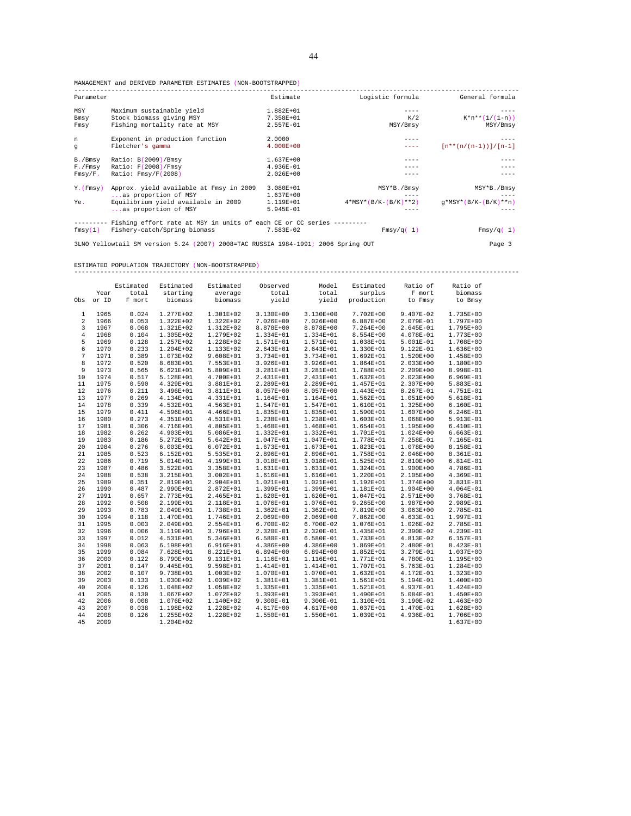MANAGEMENT and DERIVED PARAMETER ESTIMATES (NON-BOOTSTRAPPED)

| Parameter     |                                                                       | Estimate      | Logistic formula       | General formula          |
|---------------|-----------------------------------------------------------------------|---------------|------------------------|--------------------------|
| MSY           | Maximum sustainable yield                                             | 1.882E+01     |                        |                          |
| Bmsy          | Stock biomass giving MSY                                              | 7.358E+01     | K/2                    | $K*n**(1/(1-n))$         |
| Fmsy          | Fishing mortality rate at MSY                                         | 2.557E-01     | MSY/Bmsy               | MSY/Bmsy                 |
| n             | Exponent in production function                                       | 2,0000        |                        |                          |
| q             | Fletcher's gamma                                                      | $4.000E + 00$ |                        | $[n**(n/(n-1))] / [n-1]$ |
| B./Bmsy       | Ratio: $B(2009)$ /Bmsy                                                | $1.637E + 00$ |                        |                          |
| $F.$ / $Fmsy$ | Ratio: $F(2008)/Fmsy$                                                 | 4.936E-01     |                        |                          |
| Fmsy/F.       | Ratio: Fmsy/F(2008)                                                   | $2.026E + 00$ |                        |                          |
| Y. (Fmsv)     | Approx. yield available at Fmsy in 2009                               | $3.080E + 01$ | MSY*B./Bmsv            | MSY*B./Bmsy              |
|               | as proportion of MSY                                                  | 1.637E+00     |                        |                          |
| Ye.           | Equilibrium yield available in 2009                                   | 1.119E+01     | $4*MSY*(B/K-(B/K)**2)$ | $q*MSY*(B/K-(B/K)**n)$   |
|               | as proportion of MSY                                                  | 5.945E-01     |                        |                          |
|               | Fishing effort rate at MSY in units of each CE or CC series --------- |               |                        |                          |
| fmsy(1)       | Fishery-catch/Spring biomass                                          | 7.583E-02     | Fmsy/q(1)              | Fmsy/q(1)                |

------------------------------------------------------------------------------------------------------------------------

3LNO Yellowtail SM version 5.24 (2007) 2008=TAC RUSSIA 1984-1991; 2006 Spring OUT Page 3

ESTIMATED POPULATION TRAJECTORY (NON-BOOTSTRAPPED)

|                |       | Estimated | Estimated     | Estimated     | Observed      | Model         | Estimated              | Ratio of      | Ratio of      |
|----------------|-------|-----------|---------------|---------------|---------------|---------------|------------------------|---------------|---------------|
|                | Year  | total     | starting      | average       | total         | total         | surplus                | F mort        | biomass       |
| Obs            | or ID | F mort    | biomass       | biomass       | yield         | yield         | production             | to Fmsy       | to Bmsy       |
| 1              | 1965  | 0.024     | 1.277E+02     | 1.301E+02     | 3.130E+00     | 3.130E+00     | 7.702E+00              | 9.407E-02     | 1.735E+00     |
| $\overline{a}$ | 1966  | 0.053     | 1.322E+02     | 1.322E+02     | 7.026E+00     | 7.026E+00     | $6.887E+00$            | 2.079E-01     | 1.797E+00     |
| 3              | 1967  | 0.068     | 1.321E+02     | 1.312E+02     | 8.878E+00     | 8.878E+00     | $7.264E + 00$          | 2.645E-01     | 1.795E+00     |
| 4              | 1968  | 0.104     | 1.305E+02     | 1.279E+02     | 1.334E+01     | 1.334E+01     | 8.554E+00              | 4.078E-01     | 1.773E+00     |
| 5              | 1969  | 0.128     | 1.257E+02     | 1.228E+02     | 1.571E+01     | 1.571E+01     | 1.038E+01              | 5.001E-01     | 1.708E+00     |
| 6              | 1970  | 0.233     | 1.204E+02     | 1.133E+02     | 2.643E+01     | 2.643E+01     | 1.330E+01              | 9.122E-01     | 1.636E+00     |
| 7              | 1971  | 0.389     | 1.073E+02     | $9.608E + 01$ | 3.734E+01     | 3.734E+01     | $1.692E + 01$          | 1.520E+00     | 1.458E+00     |
| 8              | 1972  | 0.520     | 8.683E+01     | 7.553E+01     | 3.926E+01     | 3.926E+01     | 1.864E+01              | $2.033E+00$   | 1.180E+00     |
| 9              | 1973  | 0.565     | $6.621E + 01$ | 5.809E+01     | 3.281E+01     | 3.281E+01     | 1.788E+01              | 2.209E+00     | 8.998E-01     |
| 10             | 1974  | 0.517     | 5.128E+01     | 4.700E+01     | 2.431E+01     | 2.431E+01     | $1.632E + 01$          | $2.023E+00$   | 6.969E-01     |
| 11             | 1975  | 0.590     | 4.329E+01     | 3.881E+01     | 2.289E+01     | 2.289E+01     | 1.457E+01              | $2.307E+00$   | 5.883E-01     |
| 12             | 1976  | 0.211     | 3.496E+01     | 3.811E+01     | 8.057E+00     | 8.057E+00     | 1.443E+01              | 8.267E-01     | 4.751E-01     |
| 13             | 1977  | 0.269     | 4.134E+01     | 4.331E+01     | 1.164E+01     | 1.164E+01     | 1.562E+01              | $1.051E+00$   | 5.618E-01     |
| 14             | 1978  | 0.339     | 4.532E+01     | 4.563E+01     | 1.547E+01     | 1.547E+01     | 1.610E+01              | 1.325E+00     | 6.160E-01     |
| 15             | 1979  | 0.411     | 4.596E+01     | 4.466E+01     | 1.835E+01     | 1.835E+01     | 1.590E+01              | 1.607E+00     | $6.246E-01$   |
| 16             | 1980  | 0.273     | 4.351E+01     |               | 1.238E+01     |               |                        | 1.068E+00     | 5.913E-01     |
| 17             | 1981  |           |               | 4.531E+01     |               | 1.238E+01     | 1.603E+01<br>1.654E+01 |               |               |
| 18             |       | 0.306     | 4.716E+01     | 4.805E+01     | 1.468E+01     | 1.468E+01     |                        | 1.195E+00     | 6.410E-01     |
| 19             | 1982  | 0.262     | 4.903E+01     | $5.086E + 01$ | 1.332E+01     | 1.332E+01     | 1.701E+01              | 1.024E+00     | $6.663E-01$   |
|                | 1983  | 0.186     | 5.272E+01     | 5.642E+01     | 1.047E+01     | 1.047E+01     | 1.778E+01              | 7.258E-01     | 7.165E-01     |
| 20             | 1984  | 0.276     | $6.003E + 01$ | $6.072E + 01$ | 1.673E+01     | 1.673E+01     | 1.823E+01              | 1.078E+00     | 8.158E-01     |
| 21             | 1985  | 0.523     | $6.152E + 01$ | 5.535E+01     | 2.896E+01     | 2.896E+01     | 1.758E+01              | 2.046E+00     | 8.361E-01     |
| 22             | 1986  | 0.719     | 5.014E+01     | 4.199E+01     | 3.018E+01     | 3.018E+01     | 1.525E+01              | 2.810E+00     | 6.814E-01     |
| 23             | 1987  | 0.486     | 3.522E+01     | $3.358E + 01$ | 1.631E+01     | 1.631E+01     | 1.324E+01              | 1.900E+00     | 4.786E-01     |
| 24             | 1988  | 0.538     | 3.215E+01     | $3.002E + 01$ | 1.616E+01     | 1.616E+01     | 1.220E+01              | 2.105E+00     | 4.369E-01     |
| 25             | 1989  | 0.351     | 2.819E+01     | 2.904E+01     | 1.021E+01     | 1.021E+01     | 1.192E+01              | 1.374E+00     | 3.831E-01     |
| 26             | 1990  | 0.487     | 2.990E+01     | 2.872E+01     | 1.399E+01     | 1.399E+01     | 1.181E+01              | $1.904E + 00$ | 4.064E-01     |
| 27             | 1991  | 0.657     | 2.773E+01     | 2.465E+01     | 1.620E+01     | 1.620E+01     | $1.047E + 01$          | 2.571E+00     | 3.768E-01     |
| 28             | 1992  | 0.508     | 2.199E+01     | 2.118E+01     | 1.076E+01     | 1.076E+01     | $9.265E + 00$          | 1.987E+00     | 2.989E-01     |
| 29             | 1993  | 0.783     | 2.049E+01     | 1.738E+01     | $1.362E + 01$ | $1.362E + 01$ | 7.819E+00              | $3.063E + 00$ | 2.785E-01     |
| 30             | 1994  | 0.118     | 1.470E+01     | 1.746E+01     | $2.069E + 00$ | 2.069E+00     | 7.862E+00              | $4.633E-01$   | 1.997E-01     |
| 31             | 1995  | 0.003     | 2.049E+01     | 2.554E+01     | 6.700E-02     | 6.700E-02     | 1.076E+01              | 1.026E-02     | 2.785E-01     |
| 32             | 1996  | 0.006     | 3.119E+01     | 3.796E+01     | 2.320E-01     | 2.320E-01     | 1.435E+01              | 2.390E-02     | 4.239E-01     |
| 33             | 1997  | 0.012     | 4.531E+01     | 5.346E+01     | 6.580E-01     | 6.580E-01     | 1.733E+01              | 4.813E-02     | 6.157E-01     |
| 34             | 1998  | 0.063     | 6.198E+01     | $6.916E + 01$ | $4.386E+00$   | 4.386E+00     | 1.869E+01              | 2.480E-01     | 8.423E-01     |
| 35             | 1999  | 0.084     | 7.628E+01     | 8.221E+01     | $6.894E+00$   | $6.894E+00$   | 1.852E+01              | 3.279E-01     | 1.037E+00     |
| 36             | 2000  | 0.122     | 8.790E+01     | 9.131E+01     | 1.116E+01     | 1.116E+01     | 1.771E+01              | 4.780E-01     | 1.195E+00     |
| 37             | 2001  | 0.147     | 9.445E+01     | 9.598E+01     | 1.414E+01     | 1.414E+01     | 1.707E+01              | 5.763E-01     | 1.284E+00     |
| 38             | 2002  | 0.107     | 9.738E+01     | $1.003E+02$   | 1.070E+01     | 1.070E+01     | $1.632E + 01$          | 4.172E-01     | 1.323E+00     |
| 39             | 2003  | 0.133     | 1.030E+02     | 1.039E+02     | 1.381E+01     | 1.381E+01     | 1.561E+01              | 5.194E-01     | 1.400E+00     |
| 40             | 2004  | 0.126     | 1.048E+02     | 1.058E+02     | 1.335E+01     | 1.335E+01     | 1.521E+01              | 4.937E-01     | 1.424E+00     |
| 41             | 2005  | 0.130     | 1.067E+02     | 1.072E+02     | 1.393E+01     | 1.393E+01     | 1.490E+01              | 5.084E-01     | 1.450E+00     |
| 42             | 2006  | 0.008     | 1.076E+02     | 1.140E+02     | $9.300E - 01$ | 9.300E-01     | 1.310E+01              | 3.190E-02     | $1.463E + 00$ |
| 43             | 2007  | 0.038     | 1.198E+02     | 1.228E+02     | 4.617E+00     | 4.617E+00     | 1.037E+01              | 1.470E-01     | 1.628E+00     |
| 44             | 2008  | 0.126     | 1.255E+02     | 1.228E+02     | 1.550E+01     | 1.550E+01     | 1.039E+01              | 4.936E-01     | 1.706E+00     |
| 45             | 2009  |           | 1.204E+02     |               |               |               |                        |               | $1.637E + 00$ |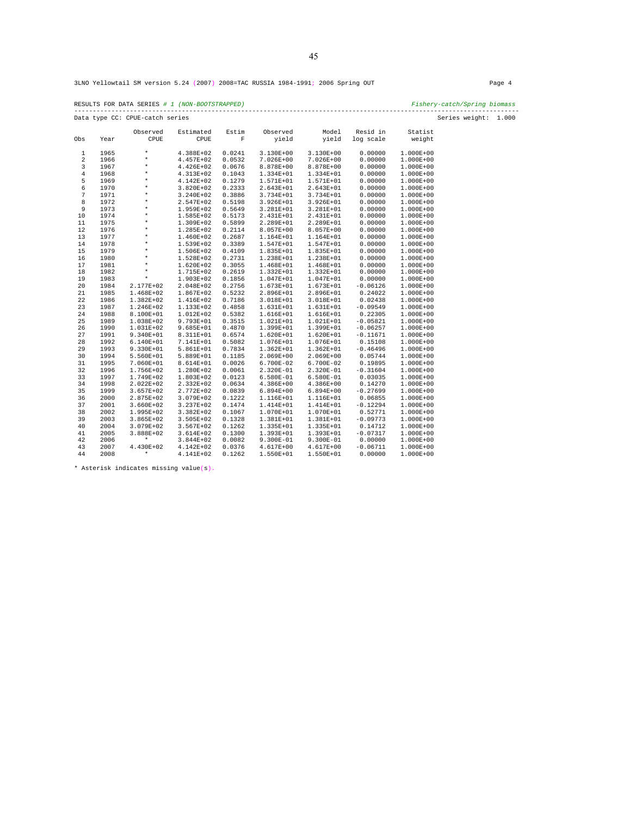3LNO Yellowtail SM version 5.24 (2007) 2008=TAC RUSSIA 1984-1991; 2006 Spring OUT Page 4

RESULTS FOR DATA SERIES *# 1 (NON-BOOTSTRAPPED) Fishery-catch/Spring biomass*  ------------------------------------------------------------------------------------------------------------------------ Data type CC: CPUE-catch series Series weight: 1.000

|                |              | Observed                   | Estimated              | Estim            | Observed                 | Model                  | Resid in              | Statist                        |
|----------------|--------------|----------------------------|------------------------|------------------|--------------------------|------------------------|-----------------------|--------------------------------|
| Obs            | Year         | CPUE                       | CPUE                   | F                | yield                    | yield                  | log scale             | weight                         |
| $\mathbf{1}$   | 1965         | $\star$                    | 4.388E+02              | 0.0241           | 3.130E+00                | 3.130E+00              | 0.00000               | $1.000E + 00$                  |
| $\overline{a}$ | 1966         | $\star$                    | 4.457E+02              | 0.0532           | $7.026E + 00$            | 7.026E+00              | 0.00000               | 1.000E+00                      |
| 3              | 1967         | $\star$                    | 4.426E+02              | 0.0676           | 8.878E+00                | 8.878E+00              | 0.00000               | $1.000E + 00$                  |
| $\bf 4$        | 1968         | $\star$                    | 4.313E+02              | 0.1043           | 1.334E+01                | 1.334E+01              | 0.00000               | $1.000E + 00$                  |
| 5              | 1969         | $\star$                    | 4.142E+02              | 0.1279           | 1.571E+01                | 1.571E+01              | 0.00000               | $1.000E + 00$                  |
| 6              | 1970         | $\star$                    | 3.820E+02              | 0.2333           | $2.643E+01$              | 2.643E+01              | 0.00000               | $1.000E + 00$                  |
| 7              | 1971         | $\star$                    | 3.240E+02              | 0.3886           | 3.734E+01                | 3.734E+01              | 0.00000               | $1.000E + 00$                  |
| 8              | 1972         | $\star$                    | 2.547E+02              | 0.5198           | 3.926E+01                | 3.926E+01              | 0.00000               | $1.000E + 00$                  |
| 9              | 1973         | *                          | 1.959E+02              | 0.5649           | 3.281E+01                | 3.281E+01              | 0.00000               | $1.000E + 00$                  |
| 10             | 1974         | $\star$                    | 1.585E+02              | 0.5173           | 2.431E+01                | 2.431E+01              | 0.00000               | $1.000E + 00$                  |
| 11             | 1975         | $\star$                    | 1.309E+02              | 0.5899           | 2.289E+01                | 2.289E+01              | 0.00000               | 1.000E+00                      |
| 12             | 1976         | $\star$                    | 1.285E+02              | 0.2114           | 8.057E+00                | 8.057E+00              | 0.00000               | $1.000E + 00$                  |
| 13             | 1977         | $\star$                    | 1.460E+02              | 0.2687           | 1.164E+01                | 1.164E+01              | 0.00000               | $1.000E + 00$                  |
| 14             | 1978         | $\star$                    | 1.539E+02              | 0.3389           | 1.547E+01                | 1.547E+01              | 0.00000               | 1.000E+00                      |
| 15             | 1979         | $\star$                    | 1.506E+02              | 0.4109           | 1.835E+01                | 1.835E+01              | 0.00000               | 1.000E+00                      |
| 16             | 1980         | $\star$                    | 1.528E+02              | 0.2731           | 1.238E+01                | 1.238E+01              | 0.00000               | $1.000E + 00$                  |
| 17             | 1981         | $\star$                    | 1.620E+02              | 0.3055           | 1.468E+01                | 1.468E+01              | 0.00000               | 1.000E+00                      |
| 18             | 1982         | $\star$                    | 1.715E+02              | 0.2619           | 1.332E+01                | 1.332E+01              | 0.00000               | 1.000E+00                      |
| 19             | 1983         | $\star$                    | 1.903E+02              | 0.1856           | 1.047E+01                | 1.047E+01              | 0.00000               | $1.000E + 00$                  |
| 20             | 1984         | 2.177E+02                  | 2.048E+02              | 0.2756           | $1.673E + 01$            | $1.673E + 01$          | $-0.06126$            | $1.000E + 00$                  |
| 21             | 1985         | 1.468E+02                  | 1.867E+02              | 0.5232           | 2.896E+01                | 2.896E+01              | 0.24022               | 1.000E+00                      |
| 22             | 1986         | 1.382E+02                  | 1.416E+02              | 0.7186           | 3.018E+01                | 3.018E+01              | 0.02438               | 1.000E+00                      |
| 23             | 1987         | 1.246E+02                  | 1.133E+02              | 0.4858           | 1.631E+01                | 1.631E+01              | $-0.09549$            | 1.000E+00                      |
| 24             | 1988         | 8.100E+01                  | 1.012E+02              | 0.5382           | 1.616E+01                | 1.616E+01              | 0.22305               | 1.000E+00                      |
| 25             | 1989         | 1.038E+02                  | 9.793E+01              | 0.3515           | 1.021E+01                | 1.021E+01              | $-0.05821$            | 1.000E+00                      |
| 26             | 1990         | 1.031E+02                  | 9.685E+01              | 0.4870           | 1.399E+01                | 1.399E+01              | $-0.06257$            | $1.000E + 00$                  |
| 27             | 1991         | 9.340E+01                  | 8.311E+01              | 0.6574           | 1.620E+01                | 1.620E+01              | $-0.11671$            | $1.000E + 00$                  |
| 28             | 1992         | 6.140E+01                  | 7.141E+01              | 0.5082           | 1.076E+01                | 1.076E+01              | 0.15108               | 1.000E+00                      |
| 29             | 1993         | 9.330E+01                  | 5.861E+01              | 0.7834           | $1.362E + 01$            | 1.362E+01              | $-0.46496$            | 1.000E+00                      |
| 30             | 1994         | 5.560E+01                  | 5.889E+01              | 0.1185           | $2.069E + 00$            | 2.069E+00              | 0.05744               | $1.000E + 00$                  |
| 31             | 1995         | 7.060E+01                  | 8.614E+01              | 0.0026           | 6.700E-02                | 6.700E-02              | 0.19895               | 1.000E+00                      |
| 32<br>33       | 1996         | 1.756E+02                  | 1.280E+02              | 0.0061<br>0.0123 | 2.320E-01<br>$6.580E-01$ | 2.320E-01<br>6.580E-01 | $-0.31604$<br>0.03035 | 1.000E+00<br>$1.000E + 00$     |
|                | 1997         | 1.749E+02                  | 1.803E+02              |                  |                          |                        |                       |                                |
| 34<br>35       | 1998<br>1999 | 2.022E+02                  | 2.332E+02              | 0.0634<br>0.0839 | $4.386E+00$              | $4.386E+00$            | 0.14270<br>$-0.27699$ | $1.000E + 00$                  |
|                | 2000         | $3.657E + 02$              | 2.772E+02<br>3.079E+02 | 0.1222           | $6.894E + 00$            | $6.894E + 00$          | 0.06855               | $1.000E + 00$<br>$1.000E + 00$ |
| 36<br>37       | 2001         | 2.875E+02<br>$3.660E + 02$ | 3.237E+02              | 0.1474           | 1.116E+01<br>1.414E+01   | 1.116E+01<br>1.414E+01 | $-0.12294$            | $1.000E + 00$                  |
| 38             | 2002         | 1.995E+02                  | $3.382E + 02$          | 0.1067           | 1.070E+01                | 1.070E+01              | 0.52771               | $1.000E + 00$                  |
| 39             | 2003         | 3.865E+02                  | 3.505E+02              | 0.1328           | 1.381E+01                | 1.381E+01              | $-0.09773$            | $1.000E + 00$                  |
| 40             | 2004         | 3.079E+02                  | 3.567E+02              | 0.1262           | 1.335E+01                | 1.335E+01              | 0.14712               | $1.000E + 00$                  |
| 41             | 2005         | 3.888E+02                  | 3.614E+02              | 0.1300           | 1.393E+01                | 1.393E+01              | $-0.07317$            | $1.000E + 00$                  |
| 42             | 2006         | $\star$                    | 3.844E+02              | 0.0082           | $9.300E-01$              | 9.300E-01              | 0.00000               | $1.000E + 00$                  |
| 43             | 2007         | 4.430E+02                  | 4.142E+02              | 0.0376           | 4.617E+00                | 4.617E+00              | $-0.06711$            | $1.000E + 00$                  |
| 44             | 2008         | $\star$                    | 4.141E+02              | 0.1262           | 1.550E+01                | 1.550E+01              | 0.00000               | 1.000E+00                      |
|                |              |                            |                        |                  |                          |                        |                       |                                |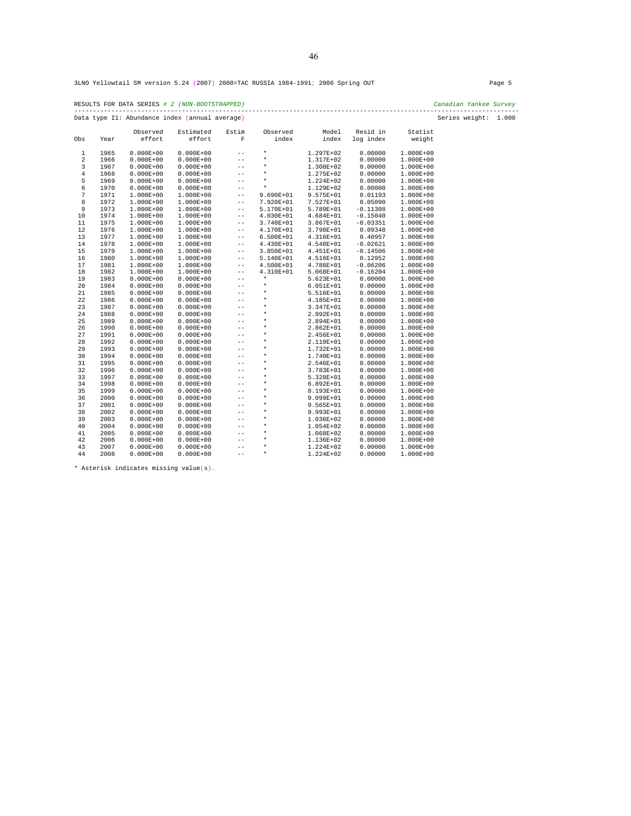RESULTS FOR DATA SERIES *# 2 (NON-BOOTSTRAPPED) Canadian Yankee Survey*  ------------------------------------------------------------------------------------------------------------------------ Data type I1: Abundance index (annual average) Series weight: 1.000

| Obs            | Year | Observed<br>effort | Estimated<br>effort | Estim<br>F        | Observed<br>index | Model<br>index | Resid in<br>log index | Statist<br>weight |
|----------------|------|--------------------|---------------------|-------------------|-------------------|----------------|-----------------------|-------------------|
| $\mathbf{1}$   | 1965 | $0.000E + 00$      | $0.000E + 00$       | $- -$             | $\star$           | 1.297E+02      | 0.00000               | 1.000E+00         |
| $\overline{a}$ | 1966 | $0.000E + 00$      | $0.000E + 00$       | $- -$             | $\star$           | 1.317E+02      | 0.00000               | 1.000E+00         |
| 3              | 1967 | $0.000E + 00$      | $0.000E + 00$       | $- -$             | $\star$           | 1.308E+02      | 0.00000               | 1.000E+00         |
| $\overline{4}$ | 1968 | $0.000E + 00$      | $0.000E + 00$       | $-$               | $\star$           | 1.275E+02      | 0.00000               | 1.000E+00         |
| 5              | 1969 | $0.000E + 00$      | $0.000E + 00$       | $-$               | $\star$           | 1.224E+02      | 0.00000               | 1.000E+00         |
| 6              | 1970 | $0.000E + 00$      | $0.000E + 00$       | $- -$             | $\star$           | 1.129E+02      | 0.00000               | 1.000E+00         |
| 7              | 1971 | $1.000E + 00$      | 1.000E+00           | $- -$             | $9.690E + 01$     | 9.575E+01      | 0.01193               | 1.000E+00         |
| 8              | 1972 | 1.000E+00          | 1.000E+00           | $\qquad \qquad -$ | 7.920E+01         | 7.527E+01      | 0.05090               | 1.000E+00         |
| 9              | 1973 | 1.000E+00          | 1.000E+00           | $- -$             | 5.170E+01         | 5.789E+01      | $-0.11308$            | 1.000E+00         |
| 10             | 1974 | 1.000E+00          | 1.000E+00           | $\qquad \qquad -$ | $4.030E + 01$     | 4.684E+01      | $-0.15040$            | 1.000E+00         |
| 11             | 1975 | $1.000E + 00$      | $1.000E + 00$       | $- -$             | 3.740E+01         | 3.867E+01      | $-0.03351$            | 1.000E+00         |
| 12             | 1976 | $1.000E + 00$      | $1.000E + 00$       | $- -$             | 4.170E+01         | 3.798E+01      | 0.09348               | 1.000E+00         |
| 13             | 1977 | $1.000E + 00$      | $1.000E + 00$       | $- -$             | $6.500E + 01$     | 4.316E+01      | 0.40957               | 1.000E+00         |
| 14             | 1978 | $1.000E + 00$      | 1.000E+00           | $- -$             | 4.430E+01         | 4.548E+01      | $-0.02621$            | 1.000E+00         |
| 15             | 1979 | $1.000E + 00$      | $1.000E + 00$       | $\qquad \qquad -$ | 3.850E+01         | 4.451E+01      | $-0.14506$            | 1.000E+00         |
| 16             | 1980 | 1.000E+00          | 1.000E+00           | $- -$             | 5.140E+01         | 4.516E+01      | 0.12952               | 1.000E+00         |
| 17             | 1981 | 1.000E+00          | 1.000E+00           | $- -$             | 4.500E+01         | 4.788E+01      | $-0.06206$            | 1.000E+00         |
| 18             | 1982 | 1.000E+00          | 1.000E+00           | $- -$             | 4.310E+01         | 5.068E+01      | $-0.16204$            | 1.000E+00         |
| 19             | 1983 | $0.000E + 00$      | $0.000E + 00$       | $- -$             | $\star$           | 5.623E+01      | 0.00000               | 1.000E+00         |
| 20             | 1984 | $0.000E + 00$      | $0.000E + 00$       | $- -$             | $\star$           | $6.051E + 01$  | 0.00000               | 1.000E+00         |
| 21             | 1985 | $0.000E + 00$      | $0.000E + 00$       | $- -$             | $\star$           | 5.516E+01      | 0.00000               | 1.000E+00         |
| 22             | 1986 | $0.000E + 00$      | $0.000E + 00$       | $- -$             | $\star$           | 4.185E+01      | 0.00000               | 1.000E+00         |
| 23             | 1987 | $0.000E + 00$      | $0.000E + 00$       | $- -$             | $\star$           | 3.347E+01      | 0.00000               | 1.000E+00         |
| 24             | 1988 | $0.000E + 00$      | $0.000E + 00$       | $- -$             | $\star$           | 2.992E+01      | 0.00000               | 1.000E+00         |
| 25             | 1989 | $0.000E + 00$      | $0.000E + 00$       | $- -$             | $\star$           | 2.894E+01      | 0.00000               | 1.000E+00         |
| 26             | 1990 | $0.000E + 00$      | $0.000E + 00$       | $- -$             | $\star$           | 2.862E+01      | 0.00000               | 1.000E+00         |
| 27             | 1991 | $0.000E + 00$      | $0.000E + 00$       | $- -$             | $\star$           | 2.456E+01      | 0.00000               | 1.000E+00         |
| 28             | 1992 | $0.000E + 00$      | $0.000E + 00$       | $-$               | $\star$           | 2.110E+01      | 0.00000               | 1.000E+00         |
| 29             | 1993 | $0.000E + 00$      | $0.000E + 00$       | $- -$             | $\star$           | 1.732E+01      | 0.00000               | 1.000E+00         |
| 30             | 1994 | $0.000E + 00$      | $0.000E + 00$       | $- -$             | $\star$           | 1.740E+01      | 0.00000               | 1.000E+00         |
| 31             | 1995 | $0.000E + 00$      | $0.000E + 00$       | $- -$             | $\star$           | 2.546E+01      | 0.00000               | 1.000E+00         |
| 32             | 1996 | $0.000E + 00$      | $0.000E + 00$       | $-$               | $\star$           | 3.783E+01      | 0.00000               | 1.000E+00         |
| 33             | 1997 | $0.000E + 00$      | $0.000E + 00$       | $- -$             | $\star$           | 5.328E+01      | 0.00000               | 1.000E+00         |
| 34             | 1998 | $0.000E + 00$      | $0.000E + 00$       | $- -$             | $\star$           | $6.892E + 01$  | 0.00000               | 1.000E+00         |
| 35             | 1999 | $0.000E + 00$      | $0.000E + 00$       | $- -$             | $\star$           | 8.193E+01      | 0.00000               | 1.000E+00         |
| 36             | 2000 | $0.000E + 00$      | $0.000E + 00$       | $- -$             | $\star$           | 9.099E+01      | 0.00000               | 1.000E+00         |
| 37             | 2001 | $0.000E + 00$      | $0.000E + 00$       | $- -$             | $\star$           | 9.565E+01      | 0.00000               | 1.000E+00         |
| 38             | 2002 | $0.000E + 00$      | $0.000E + 00$       | $- -$             | $\star$           | 9.993E+01      | 0.00000               | 1.000E+00         |
| 39             | 2003 | $0.000E + 00$      | $0.000E + 00$       | $- -$             | $\star$           | 1.036E+02      | 0.00000               | 1.000E+00         |
| 40             | 2004 | $0.000E + 00$      | $0.000E + 00$       | $- -$             | $\star$           | 1.054E+02      | 0.00000               | 1.000E+00         |
| 41             | 2005 | $0.000E + 00$      | $0.000E + 00$       | $- -$             | $\star$           | 1.068E+02      | 0.00000               | 1.000E+00         |
| 42             | 2006 | $0.000E + 00$      | $0.000E + 00$       | $- -$             | $\star$           | 1.136E+02      | 0.00000               | 1.000E+00         |
| 43             | 2007 | $0.000E + 00$      | $0.000E + 00$       | $- -$             | $\star$           | 1.224E+02      | 0.00000               | 1.000E+00         |
| 44             | 2008 | $0.000E + 00$      | $0.000E + 00$       | $- -$             | $\star$           | 1.224E+02      | 0.00000               | 1.000E+00         |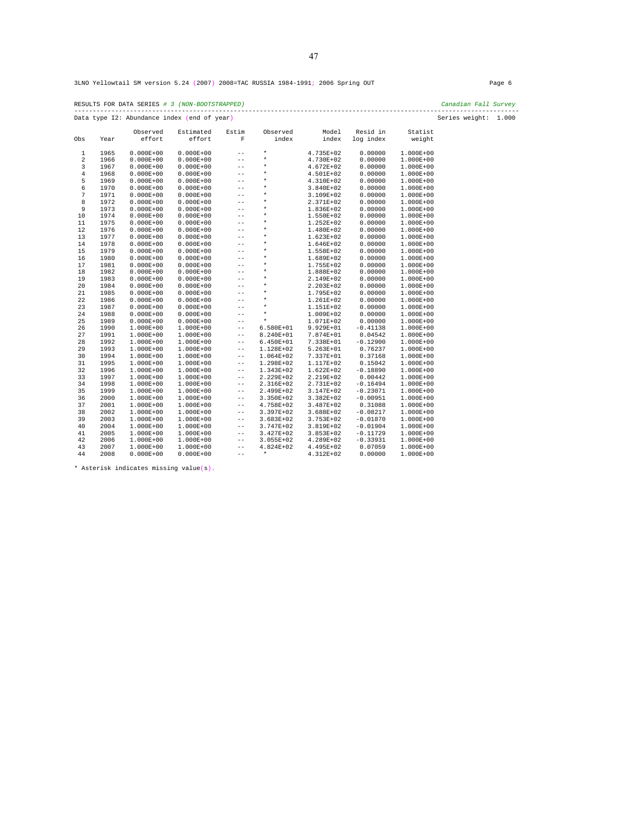| RESULTS FOR DATA SERIES # 3 (NON-BOOTSTRAPPED) | Canadian Fall Survey |  |
|------------------------------------------------|----------------------|--|
| Data type I2: Abundance index (end of year)    | Series weight: 1.000 |  |

|                  |      | Observed      | Estimated     | Estim | Observed    | Model       | Resid in   | Statist       |
|------------------|------|---------------|---------------|-------|-------------|-------------|------------|---------------|
| Obs              | Year | effort        | effort        | F     | index       | index       | log index  | weight        |
| $\mathbf{1}$     | 1965 | $0.000E + 00$ | $0.000E + 00$ | $-$   | $\star$     | 4.735E+02   | 0.00000    | $1.000E + 00$ |
| $\overline{a}$   | 1966 | $0.000E + 00$ | $0.000E + 00$ | $- -$ | $\star$     | 4.730E+02   | 0.00000    | 1.000E+00     |
| 3                | 1967 | $0.000E + 00$ | $0.000E + 00$ | $- -$ | $\star$     | 4.672E+02   | 0.00000    | $1.000E + 00$ |
| $\overline{4}$   | 1968 | $0.000E + 00$ | $0.000E + 00$ | $-$   | $\star$     | 4.501E+02   | 0.00000    | 1.000E+00     |
| 5                | 1969 | $0.000E + 00$ | $0.000E + 00$ | $-$   | $\star$     | 4.310E+02   | 0.00000    | $1.000E + 00$ |
| 6                | 1970 | $0.000E + 00$ | $0.000E + 00$ | $- -$ | $\star$     | 3.840E+02   | 0.00000    | $1.000E + 00$ |
| $\boldsymbol{7}$ | 1971 | $0.000E + 00$ | $0.000E + 00$ | $-$   | $\star$     | 3.109E+02   | 0.00000    | 1.000E+00     |
| 8                | 1972 | $0.000E + 00$ | $0.000E + 00$ | $- -$ | $\star$     | 2.371E+02   | 0.00000    | 1.000E+00     |
| 9                | 1973 | $0.000E + 00$ | $0.000E + 00$ | $- -$ | $\star$     | 1.836E+02   | 0.00000    | $1.000E + 00$ |
| 10               | 1974 | $0.000E + 00$ | $0.000E + 00$ | $-$   | $\star$     | 1.550E+02   | 0.00000    | $1.000E + 00$ |
| $1\,1$           | 1975 | $0.000E + 00$ | $0.000E + 00$ | $-$   | $\star$     | 1.252E+02   | 0.00000    | 1.000E+00     |
| 12               | 1976 | $0.000E + 00$ | $0.000E + 00$ | $-$   | $\star$     | 1.480E+02   | 0.00000    | 1.000E+00     |
| 13               | 1977 | $0.000E + 00$ | $0.000E + 00$ | $- -$ | $\star$     | 1.623E+02   | 0.00000    | $1.000E + 00$ |
| $14$             | 1978 | $0.000E + 00$ | $0.000E + 00$ | $- -$ | $\star$     | 1.646E+02   | 0.00000    | 1.000E+00     |
| 15               | 1979 | $0.000E + 00$ | $0.000E + 00$ | $- -$ | $\star$     | 1.558E+02   | 0.00000    | 1.000E+00     |
| 16               | 1980 | $0.000E + 00$ | $0.000E + 00$ | $- -$ | $\star$     | 1.689E+02   | 0.00000    | 1.000E+00     |
| 17               | 1981 | $0.000E + 00$ | $0.000E + 00$ | $- -$ | $\star$     | 1.755E+02   | 0.00000    | $1.000E + 00$ |
| 18               | 1982 | $0.000E + 00$ | $0.000E + 00$ | $- -$ | $\star$     | 1.888E+02   | 0.00000    | 1.000E+00     |
| 19               | 1983 | $0.000E + 00$ | $0.000E + 00$ | $-$   | $\star$     | 2.149E+02   | 0.00000    | 1.000E+00     |
| 20               | 1984 | $0.000E + 00$ | $0.000E + 00$ | $- -$ | $^\star$    | 2.203E+02   | 0.00000    | $1.000E + 00$ |
| 21               | 1985 | $0.000E + 00$ | $0.000E + 00$ | $- -$ | $\star$     | 1.795E+02   | 0.00000    | 1.000E+00     |
| 22               | 1986 | $0.000E + 00$ | $0.000E + 00$ | $-$   | $\star$     | 1.261E+02   | 0.00000    | $1.000E + 00$ |
| 23               | 1987 | $0.000E + 00$ | $0.000E + 00$ | $- -$ | $^\star$    | 1.151E+02   | 0.00000    | 1.000E+00     |
| 24               | 1988 | $0.000E + 00$ | $0.000E + 00$ | $- -$ | $\star$     | 1.009E+02   | 0.00000    | 1.000E+00     |
| 25               | 1989 | $0.000E + 00$ | $0.000E + 00$ | $ -$  | $\star$     | 1.071E+02   | 0.00000    | $1.000E + 00$ |
| 26               | 1990 | $1.000E + 00$ | 1.000E+00     | $- -$ | 6.580E+01   | 9.929E+01   | $-0.41138$ | 1.000E+00     |
| 27               | 1991 | $1.000E + 00$ | 1.000E+00     | $- -$ | 8.240E+01   | 7.874E+01   | 0.04542    | 1.000E+00     |
| 28               | 1992 | 1.000E+00     | $1.000E + 00$ | $- -$ | $6.450E+01$ | 7.338E+01   | $-0.12900$ | 1.000E+00     |
| 29               | 1993 | 1.000E+00     | $1.000E + 00$ | $- -$ | 1.128E+02   | 5.263E+01   | 0.76237    | $1.000E + 00$ |
| 30               | 1994 | 1.000E+00     | $1.000E + 00$ | $- -$ | 1.064E+02   | 7.337E+01   | 0.37168    | $1.000E + 00$ |
| 31               | 1995 | 1.000E+00     | $1.000E + 00$ | $- -$ | 1.298E+02   | 1.117E+02   | 0.15042    | 1.000E+00     |
| 32               | 1996 | $1.000E + 00$ | 1.000E+00     | $- -$ | 1.343E+02   | 1.622E+02   | $-0.18890$ | 1.000E+00     |
| 33               | 1997 | 1.000E+00     | 1.000E+00     | $- -$ | 2.229E+02   | 2.219E+02   | 0.00442    | 1.000E+00     |
| 34               | 1998 | $1.000E + 00$ | 1.000E+00     | $- -$ | 2.316E+02   | 2.731E+02   | $-0.16494$ | 1.000E+00     |
| 35               | 1999 | 1.000E+00     | $1.000E + 00$ | $- -$ | 2.499E+02   | 3.147E+02   | $-0.23071$ | 1.000E+00     |
| 36               | 2000 | 1.000E+00     | $1.000E + 00$ | $- -$ | 3.350E+02   | 3.382E+02   | $-0.00951$ | $1.000E + 00$ |
| 37               | 2001 | $1.000E + 00$ | 1.000E+00     | $- -$ | 4.758E+02   | 3.487E+02   | 0.31088    | 1.000E+00     |
| 38               | 2002 | 1.000E+00     | $1.000E + 00$ | $- -$ | 3.397E+02   | 3.688E+02   | $-0.08217$ | 1.000E+00     |
| 39               | 2003 | 1.000E+00     | $1.000E + 00$ | $- -$ | $3.683E+02$ | 3.753E+02   | $-0.01870$ | 1.000E+00     |
| 40               | 2004 | 1.000E+00     | $1.000E + 00$ | $- -$ | 3.747E+02   | 3.819E+02   | $-0.01904$ | $1.000E + 00$ |
| 41               | 2005 | 1.000E+00     | 1.000E+00     | $- -$ | 3.427E+02   | $3.853E+02$ | $-0.11729$ | $1.000E + 00$ |
| 42               | 2006 | $1.000E + 00$ | $1.000E + 00$ | $- -$ | 3.055E+02   | 4.289E+02   | $-0.33931$ | $1.000E + 00$ |
| 43               | 2007 | 1.000E+00     | $1.000E + 00$ | $- -$ | 4.824E+02   | 4.495E+02   | 0.07059    | 1.000E+00     |
| 44               | 2008 | $0.000E + 00$ | $0.000E + 00$ | $- -$ | $\star$     | 4.312E+02   | 0.00000    | $1.000E + 00$ |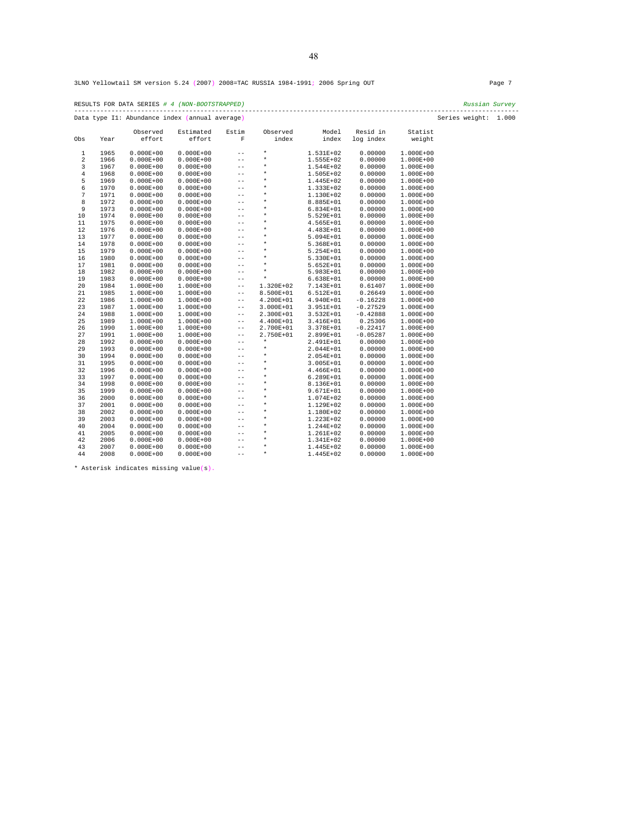|     | RESULTS FOR DATA SERIES # 4 (NON-BOOTSTRAPPED)<br>Russian Survey       |                    |                     |       |                   |                |                       |                   |  |  |  |
|-----|------------------------------------------------------------------------|--------------------|---------------------|-------|-------------------|----------------|-----------------------|-------------------|--|--|--|
|     | Series weight: 1.000<br>Data type I1: Abundance index (annual average) |                    |                     |       |                   |                |                       |                   |  |  |  |
| Obs | Year                                                                   | Observed<br>effort | Estimated<br>effort | Estim | Observed<br>index | Model<br>index | Resid in<br>log index | Statist<br>weight |  |  |  |

| ODS            | Year | ettort        | effort        | к.                | ındex     | ındex         | log index  | weight        |  |
|----------------|------|---------------|---------------|-------------------|-----------|---------------|------------|---------------|--|
| 1              | 1965 | $0.000E + 00$ | $0.000E + 00$ | $- -$             | $\star$   | 1.531E+02     | 0.00000    | 1.000E+00     |  |
| 2              | 1966 | $0.000E + 00$ | $0.000E + 00$ | $- -$             | $^\star$  | 1.555E+02     | 0.00000    | 1.000E+00     |  |
| 3              | 1967 | $0.000E + 00$ | $0.000E + 00$ | $- -$             | $\star$   | 1.544E+02     | 0.00000    | 1.000E+00     |  |
| $\overline{4}$ | 1968 | $0.000E + 00$ | $0.000E + 00$ | $- -$             | $\star$   | 1.505E+02     | 0.00000    | 1.000E+00     |  |
| 5              | 1969 | $0.000E + 00$ | $0.000E + 00$ | $- -$             | $\star$   | 1.445E+02     | 0.00000    | 1.000E+00     |  |
| 6              | 1970 | $0.000E + 00$ | $0.000E + 00$ | $-$               | $\star$   | 1.333E+02     | 0.00000    | 1.000E+00     |  |
| 7              | 1971 | $0.000E + 00$ | $0.000E + 00$ | $- -$             | $\star$   | 1.130E+02     | 0.00000    | 1.000E+00     |  |
| 8              | 1972 | $0.000E + 00$ | $0.000E + 00$ | $-$               | $\star$   | 8.885E+01     | 0.00000    | 1.000E+00     |  |
| 9              | 1973 | $0.000E + 00$ | $0.000E + 00$ | $- -$             | $^\star$  | $6.834E + 01$ | 0.00000    | $1.000E + 00$ |  |
| 10             | 1974 | $0.000E + 00$ | $0.000E + 00$ | $\qquad \qquad -$ | $^\star$  | 5.529E+01     | 0.00000    | 1.000E+00     |  |
| 11             | 1975 | $0.000E + 00$ | $0.000E + 00$ | $-$               | $\star$   | 4.565E+01     | 0.00000    | 1.000E+00     |  |
| 12             | 1976 | $0.000E + 00$ | $0.000E + 00$ | $- -$             | $^\star$  | 4.483E+01     | 0.00000    | 1.000E+00     |  |
| 13             | 1977 | $0.000E + 00$ | $0.000E + 00$ | $-$               | $\star$   | 5.094E+01     | 0.00000    | 1.000E+00     |  |
| 14             | 1978 | $0.000E + 00$ | $0.000E + 00$ | --                | $\star$   | 5.368E+01     | 0.00000    | $1.000E + 00$ |  |
| 15             | 1979 | $0.000E + 00$ | $0.000E + 00$ | $- -$             | $\star$   | 5.254E+01     | 0.00000    | 1.000E+00     |  |
| 16             | 1980 | $0.000E + 00$ | $0.000E + 00$ | --                | $\star$   | 5.330E+01     | 0.00000    | $1.000E + 00$ |  |
| 17             | 1981 | $0.000E + 00$ | $0.000E + 00$ | $- -$             | $\star$   | 5.652E+01     | 0.00000    | 1.000E+00     |  |
| 18             | 1982 | $0.000E + 00$ | $0.000E + 00$ | $-$               | $\star$   | 5.983E+01     | 0.00000    | 1.000E+00     |  |
| 19             | 1983 | $0.000E + 00$ | $0.000E + 00$ | $- -$             | $\star$   | $6.638E + 01$ | 0.00000    | 1.000E+00     |  |
| 20             | 1984 | $1.000E + 00$ | 1.000E+00     | $- -$             | 1.320E+02 | 7.143E+01     | 0.61407    | 1.000E+00     |  |
| 21             | 1985 | $1.000E + 00$ | $1.000E + 00$ | $- -$             | 8.500E+01 | $6.512E+01$   | 0.26649    | 1.000E+00     |  |
| 22             | 1986 | $1.000E + 00$ | 1.000E+00     | $\qquad \qquad -$ | 4.200E+01 | 4.940E+01     | $-0.16228$ | 1.000E+00     |  |
| 23             | 1987 | $1.000E + 00$ | $1.000E + 00$ | $- -$             | 3.000E+01 | $3.951E + 01$ | $-0.27529$ | $1.000E + 00$ |  |
| 24             | 1988 | $1.000E + 00$ | $1.000E + 00$ | $- -$             | 2.300E+01 | 3.532E+01     | $-0.42888$ | $1.000E + 00$ |  |
| 25             | 1989 | $1.000E + 00$ | $1.000E + 00$ | $- -$             | 4.400E+01 | 3.416E+01     | 0.25306    | $1.000E + 00$ |  |
| 26             | 1990 | $1.000E + 00$ | $1.000E + 00$ | $- -$             | 2.700E+01 | 3.378E+01     | $-0.22417$ | $1.000E + 00$ |  |
| 27             | 1991 | 1.000E+00     | $1.000E + 00$ | $\qquad \qquad -$ | 2.750E+01 | 2.899E+01     | $-0.05287$ | 1.000E+00     |  |
| 28             | 1992 | $0.000E + 00$ | $0.000E + 00$ | $- -$             | $\star$   | 2.491E+01     | 0.00000    | $1.000E + 00$ |  |
| 29             | 1993 | $0.000E + 00$ | $0.000E + 00$ | $- -$             | $\star$   | 2.044E+01     | 0.00000    | 1.000E+00     |  |
| 30             | 1994 | $0.000E + 00$ | $0.000E + 00$ | $- -$             | $\star$   | 2.054E+01     | 0.00000    | 1.000E+00     |  |
| 31             | 1995 | $0.000E + 00$ | $0.000E + 00$ | $- -$             | $\star$   | $3.005E + 01$ | 0.00000    | 1.000E+00     |  |
| 32             | 1996 | $0.000E + 00$ | $0.000E + 00$ | --                | $\star$   | 4.466E+01     | 0.00000    | 1.000E+00     |  |
| 33             | 1997 | $0.000E + 00$ | $0.000E + 00$ | $- -$             | $\star$   | 6.289E+01     | 0.00000    | 1.000E+00     |  |
| 34             | 1998 | $0.000E + 00$ | $0.000E + 00$ | $-$               | $\star$   | 8.136E+01     | 0.00000    | 1.000E+00     |  |
| 35             | 1999 | $0.000E + 00$ | $0.000E + 00$ | $- -$             | $\star$   | 9.671E+01     | 0.00000    | 1.000E+00     |  |
| 36             | 2000 | $0.000E + 00$ | $0.000E + 00$ | $- -$             | $\star$   | 1.074E+02     | 0.00000    | 1.000E+00     |  |
| 37             | 2001 | $0.000E + 00$ | $0.000E + 00$ | $- -$             | $\star$   | 1.129E+02     | 0.00000    | $1.000E + 00$ |  |
| 38             | 2002 | $0.000E + 00$ | $0.000E + 00$ | $- -$             | $\star$   | 1.180E+02     | 0.00000    | 1.000E+00     |  |
| 39             | 2003 | $0.000E + 00$ | $0.000E + 00$ | $-$               | $\star$   | 1.223E+02     | 0.00000    | 1.000E+00     |  |
| 40             | 2004 | $0.000E + 00$ | $0.000E + 00$ | $- -$             | $\star$   | 1.244E+02     | 0.00000    | 1.000E+00     |  |
| 41             | 2005 | $0.000E + 00$ | $0.000E + 00$ | $- -$             | $\star$   | 1.261E+02     | 0.00000    | 1.000E+00     |  |
| 42             | 2006 | $0.000E + 00$ | $0.000E + 00$ | $\qquad \qquad -$ | $\star$   | 1.341E+02     | 0.00000    | 1.000E+00     |  |
| 43             | 2007 | $0.000E + 00$ | $0.000E + 00$ | $\qquad \qquad -$ | $\star$   | 1.445E+02     | 0.00000    | 1.000E+00     |  |
| 44             | 2008 | $0.000E + 00$ | $0.000E + 00$ | $- -$             | $\star$   | 1.445E+02     | 0.00000    | $1.000E + 00$ |  |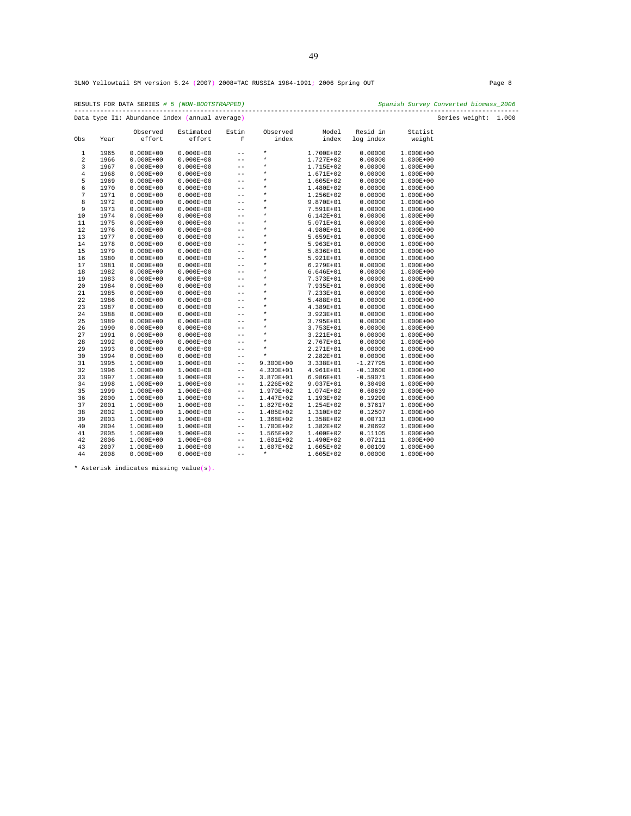RESULTS FOR DATA SERIES *# 5 (NON-BOOTSTRAPPED) Spanish Survey Converted biomass\_2006*  ------------------------------------------------------------------------------------------------------------------------ Data type I1: Abundance index (annual average) Series weight: 1.000

| Obs        | Year | Observed<br>effort | Estimated<br>effort | Estim<br>$\overline{\mathbf{F}}$ | Observed<br>index | Model<br>index | Resid in<br>log index | Statist<br>weight |  |
|------------|------|--------------------|---------------------|----------------------------------|-------------------|----------------|-----------------------|-------------------|--|
|            |      |                    |                     |                                  |                   |                |                       |                   |  |
| $1\,$      | 1965 | $0.000E + 00$      | $0.000E + 00$       | $\qquad \qquad -$                | $\star$           | 1.700E+02      | 0.00000               | 1.000E+00         |  |
| $\sqrt{2}$ | 1966 | $0.000E + 00$      | $0.000E + 00$       | $-$                              | $\star$           | 1.727E+02      | 0.00000               | $1.000E + 00$     |  |
| 3          | 1967 | $0.000E + 00$      | $0.000E + 00$       | $- -$                            | $\star$           | 1.715E+02      | 0.00000               | $1.000E + 00$     |  |
| $\bf{4}$   | 1968 | $0.000E + 00$      | $0.000E + 00$       | $- -$                            | $\ast$            | 1.671E+02      | 0.00000               | $1.000E + 00$     |  |
| 5          | 1969 | $0.000E + 00$      | $0.000E + 00$       | $- -$                            | $\star$           | 1.605E+02      | 0.00000               | 1.000E+00         |  |
| 6          | 1970 | $0.000E + 00$      | $0.000E + 00$       | $-$                              | $\star$           | 1.480E+02      | 0.00000               | $1.000E + 00$     |  |
| 7          | 1971 | $0.000E + 00$      | $0.000E + 00$       | $- -$                            | $\star$           | 1.256E+02      | 0.00000               | $1.000E + 00$     |  |
| 8          | 1972 | $0.000E + 00$      | $0.000E + 00$       | $\qquad \qquad -$                | $\star$           | 9.870E+01      | 0.00000               | $1.000E + 00$     |  |
| 9          | 1973 | $0.000E + 00$      | $0.000E + 00$       | $-$                              | $\star$           | 7.591E+01      | 0.00000               | $1.000E + 00$     |  |
| 10         | 1974 | $0.000E + 00$      | $0.000E + 00$       | $- -$                            | $\star$           | $6.142E + 01$  | 0.00000               | $1.000E + 00$     |  |
| 11         | 1975 | $0.000E + 00$      | $0.000E + 00$       | $- -$                            | $\star$           | 5.071E+01      | 0.00000               | $1.000E + 00$     |  |
| 12         | 1976 | $0.000E + 00$      | $0.000E + 00$       | $- -$                            | $\star$           | 4.980E+01      | 0.00000               | 1.000E+00         |  |
| 13         | 1977 | $0.000E + 00$      | $0.000E + 00$       | $-$                              | $\star$           | 5.659E+01      | 0.00000               | $1.000E + 00$     |  |
| 14         | 1978 | $0.000E + 00$      | $0.000E + 00$       | $-$                              | $\star$           | 5.963E+01      | 0.00000               | $1.000E + 00$     |  |
| 15         | 1979 | $0.000E + 00$      | $0.000E + 00$       | $\qquad \qquad -$                | $\star$           | 5.836E+01      | 0.00000               | $1.000E + 00$     |  |
| 16         | 1980 | $0.000E + 00$      | $0.000E + 00$       | $- -$                            | $\star$           | 5.921E+01      | 0.00000               | $1.000E + 00$     |  |
| 17         | 1981 | $0.000E + 00$      | $0.000E + 00$       | $- -$                            | $\star$           | 6.279E+01      | 0.00000               | $1.000E + 00$     |  |
| 18         | 1982 | $0.000E + 00$      | $0.000E + 00$       | $- -$                            | $\star$           | $6.646E + 01$  | 0.00000               | $1.000E + 00$     |  |
| 19         | 1983 | $0.000E + 00$      | $0.000E + 00$       | $- -$                            | $\star$           | 7.373E+01      | 0.00000               | 1.000E+00         |  |
| 20         | 1984 | $0.000E + 00$      | $0.000E + 00$       | $-$                              | $\star$           | 7.935E+01      | 0.00000               | $1.000E + 00$     |  |
| 21         | 1985 | $0.000E + 00$      | $0.000E + 00$       | $- -$                            | $\star$           | 7.233E+01      | 0.00000               | $1.000E + 00$     |  |
| 22         | 1986 | $0.000E + 00$      | $0.000E + 00$       | $\qquad \qquad -$                | $^\star$          | 5.488E+01      | 0.00000               | $1.000E + 00$     |  |
| 23         | 1987 | $0.000E + 00$      | $0.000E + 00$       | $-$                              | $^\star$          | 4.389E+01      | 0.00000               | $1.000E + 00$     |  |
| 24         | 1988 | $0.000E + 00$      | $0.000E + 00$       | $- -$                            | $\star$           | 3.923E+01      | 0.00000               | $1.000E + 00$     |  |
| 25         | 1989 | $0.000E + 00$      | $0.000E + 00$       | $- -$                            | $\star$           | 3.795E+01      | 0.00000               | $1.000E + 00$     |  |
| 26         | 1990 | $0.000E + 00$      | $0.000E + 00$       | $- -$                            | $\star$           | 3.753E+01      | 0.00000               | $1.000E + 00$     |  |
| 27         | 1991 | $0.000E + 00$      | $0.000E + 00$       | $-$                              | $\star$           | 3.221E+01      | 0.00000               | $1.000E + 00$     |  |
| 28         | 1992 | $0.000E + 00$      | $0.000E + 00$       | $-$                              | $\star$           | $2.767E + 01$  | 0.00000               | $1.000E + 00$     |  |
| 29         | 1993 | $0.000E + 00$      | $0.000E + 00$       | $\qquad \qquad -$                | $\star$           | 2.271E+01      | 0.00000               | $1.000E + 00$     |  |
| 30         | 1994 | $0.000E + 00$      | $0.000E + 00$       | $\qquad \qquad -$                | $\star$           | 2.282E+01      | 0.00000               | $1.000E + 00$     |  |
| 31         | 1995 | $1.000E + 00$      | 1.000E+00           | $\qquad \qquad -$                | $9.300E + 00$     | 3.338E+01      | $-1.27795$            | $1.000E + 00$     |  |
| 32         | 1996 | $1.000E + 00$      | 1.000E+00           | $\qquad \qquad -$                | 4.330E+01         | 4.961E+01      | $-0.13600$            | $1.000E + 00$     |  |
| 33         | 1997 | $1.000E + 00$      | $1.000E + 00$       | $\qquad \qquad -$                | 3.870E+01         | $6.986E + 01$  | $-0.59071$            | $1.000E + 00$     |  |
| 34         | 1998 | $1.000E + 00$      | $1.000E + 00$       | $\qquad \qquad -$                | $1.226E + 02$     | 9.037E+01      | 0.30498               | $1.000E + 00$     |  |
| 35         | 1999 | $1.000E + 00$      | 1.000E+00           | $\qquad \qquad -$                | 1.970E+02         | 1.074E+02      | 0.60639               | $1.000E + 00$     |  |
| 36         | 2000 | $1.000E + 00$      | 1.000E+00           | $\qquad \qquad -$                | 1.447E+02         | 1.193E+02      | 0.19290               | $1.000E + 00$     |  |
| 37         | 2001 | $1.000E + 00$      | 1.000E+00           | $- -$                            | 1.827E+02         | 1.254E+02      | 0.37617               | $1.000E + 00$     |  |
| 38         | 2002 | $1.000E + 00$      | 1.000E+00           | $\qquad \qquad -$                | 1.485E+02         | 1.310E+02      | 0.12507               | $1.000E + 00$     |  |
| 39         | 2003 | 1.000E+00          | 1.000E+00           | $\qquad \qquad -$                | 1.368E+02         | 1.358E+02      | 0.00713               | $1.000E + 00$     |  |
| 40         | 2004 | $1.000E + 00$      | $1.000E + 00$       | $\qquad \qquad -$                | 1.700E+02         | 1.382E+02      | 0.20692               | $1.000E + 00$     |  |
| 41         | 2005 | $1.000E + 00$      | 1.000E+00           | $\qquad \qquad -$                | 1.565E+02         | 1.400E+02      | 0.11105               | 1.000E+00         |  |
| 42         | 2006 | 1.000E+00          | 1.000E+00           | $\qquad \qquad -$                | 1.601E+02         | 1.490E+02      | 0.07211               | 1.000E+00         |  |
| 43         | 2007 | 1.000E+00          | 1.000E+00           | $\qquad \qquad -$                | 1.607E+02         | 1.605E+02      | 0.00109               | $1.000E + 00$     |  |
| 44         | 2008 | $0.000E + 00$      | $0.000E + 00$       | $- -$                            | $\star$           | 1.605E+02      | 0.00000               | $1.000E + 00$     |  |